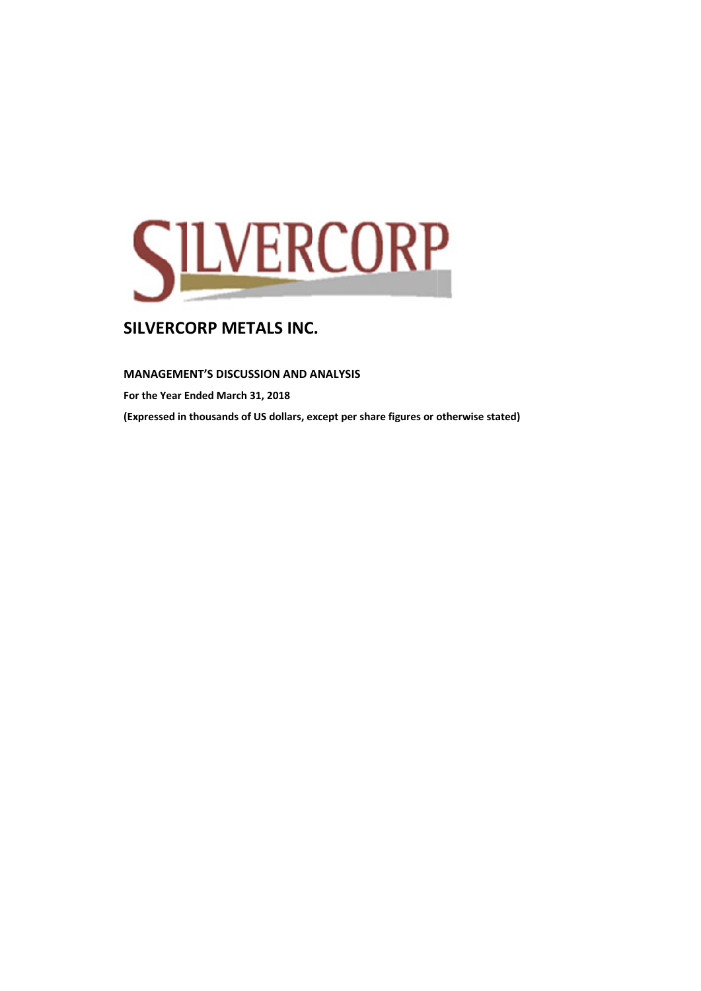

## **M MANAGEME ENT'S DISCUS SSION AND A ANALYSIS**

**F For the Year E Ended March 31, 2018 ( (Expressed in thousands of f US dollars, e xcept per share figures or otherwise stated)**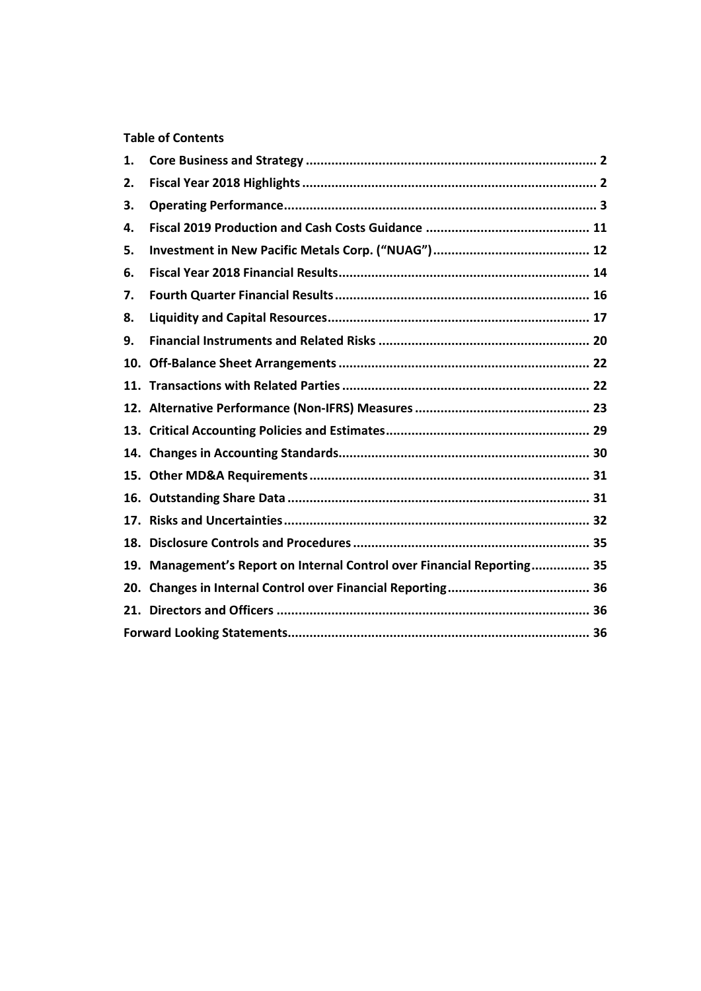# **Table of Contents**

| 1.  |                                                                         |  |
|-----|-------------------------------------------------------------------------|--|
| 2.  |                                                                         |  |
| 3.  |                                                                         |  |
| 4.  |                                                                         |  |
| 5.  |                                                                         |  |
| 6.  |                                                                         |  |
| 7.  |                                                                         |  |
| 8.  |                                                                         |  |
| 9.  |                                                                         |  |
| 10. |                                                                         |  |
|     |                                                                         |  |
|     |                                                                         |  |
|     |                                                                         |  |
| 14. |                                                                         |  |
| 15. |                                                                         |  |
| 16. |                                                                         |  |
|     |                                                                         |  |
|     |                                                                         |  |
|     | 19. Management's Report on Internal Control over Financial Reporting 35 |  |
| 20. |                                                                         |  |
|     |                                                                         |  |
|     |                                                                         |  |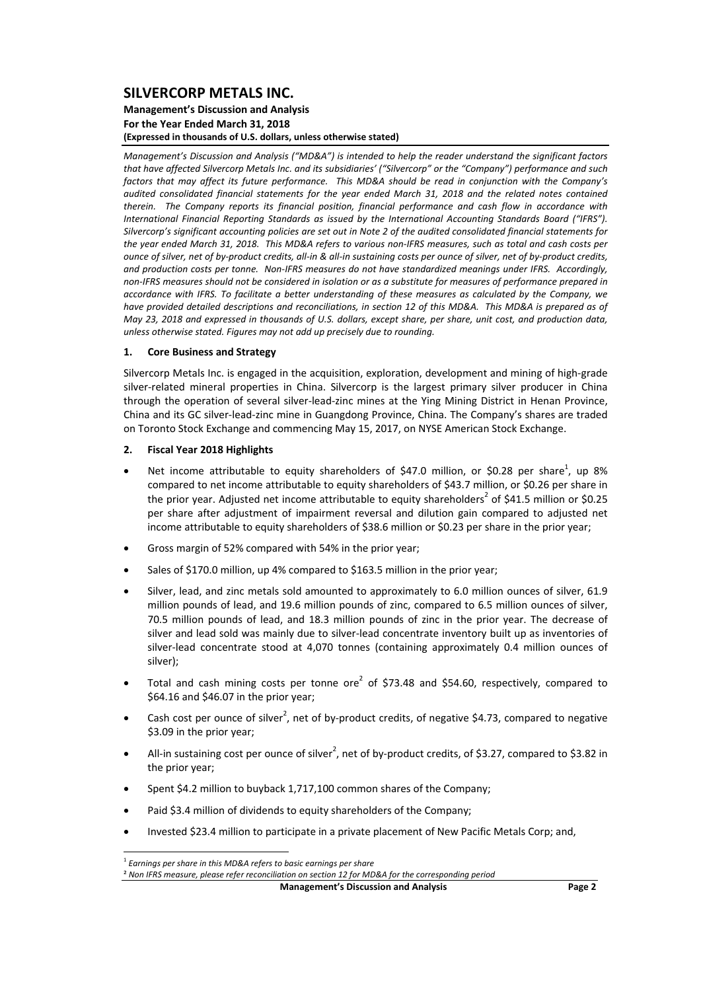### **Management's Discussion and Analysis For the Year Ended March 31, 2018 (Expressed in thousands of U.S. dollars, unless otherwise stated)**

*Management's Discussion and Analysis ("MD&A") is intended to help the reader understand the significant factors* that have affected Silvercorp Metals Inc. and its subsidiaries' ("Silvercorp" or the "Company") performance and such factors that may affect its future performance. This MD&A should be read in conjunction with the Company's *audited consolidated financial statements for the year ended March 31, 2018 and the related notes contained therein. The Company reports its financial position, financial performance and cash flow in accordance with International Financial Reporting Standards as issued by the International Accounting Standards Board ("IFRS").* Silvercorp's significant accounting policies are set out in Note 2 of the audited consolidated financial statements for the year ended March 31, 2018. This MD&A refers to various non-IFRS measures, such as total and cash costs per ounce of silver, net of by-product credits, all-in & all-in sustaining costs per ounce of silver, net of by-product credits, and production costs per tonne. Non-IFRS measures do not have standardized meanings under IFRS. Accordingly, non-IFRS measures should not be considered in isolation or as a substitute for measures of performance prepared in accordance with IFRS. To facilitate a better understandina of these measures as calculated by the Company, we have provided detailed descriptions and reconciliations, in section 12 of this MD&A. This MD&A is prepared as of May 23, 2018 and expressed in thousands of U.S. dollars, except share, per share, unit cost, and production data, *unless otherwise stated. Figures may not add up precisely due to rounding.*

### **1. Core Business and Strategy**

Silvercorp Metals Inc. is engaged in the acquisition, exploration, development and mining of high‐grade silver-related mineral properties in China. Silvercorp is the largest primary silver producer in China through the operation of several silver‐lead‐zinc mines at the Ying Mining District in Henan Province, China and its GC silver‐lead‐zinc mine in Guangdong Province, China. The Company's shares are traded on Toronto Stock Exchange and commencing May 15, 2017, on NYSE American Stock Exchange.

### **2. Fiscal Year 2018 Highlights**

- Net income attributable to equity shareholders of \$47.0 million, or \$0.28 per share<sup>1</sup>, up 8% compared to net income attributable to equity shareholders of \$43.7 million, or \$0.26 per share in the prior year. Adjusted net income attributable to equity shareholders<sup>2</sup> of \$41.5 million or \$0.25 per share after adjustment of impairment reversal and dilution gain compared to adjusted net income attributable to equity shareholders of \$38.6 million or \$0.23 per share in the prior year;
- Gross margin of 52% compared with 54% in the prior year;
- Sales of \$170.0 million, up 4% compared to \$163.5 million in the prior year;
- Silver, lead, and zinc metals sold amounted to approximately to 6.0 million ounces of silver, 61.9 million pounds of lead, and 19.6 million pounds of zinc, compared to 6.5 million ounces of silver, 70.5 million pounds of lead, and 18.3 million pounds of zinc in the prior year. The decrease of silver and lead sold was mainly due to silver-lead concentrate inventory built up as inventories of silver-lead concentrate stood at 4,070 tonnes (containing approximately 0.4 million ounces of silver);
- Total and cash mining costs per tonne ore<sup>2</sup> of \$73.48 and \$54.60, respectively, compared to \$64.16 and \$46.07 in the prior year;
- Cash cost per ounce of silver<sup>2</sup>, net of by-product credits, of negative \$4.73, compared to negative \$3.09 in the prior year;
- All-in sustaining cost per ounce of silver<sup>2</sup>, net of by-product credits, of \$3.27, compared to \$3.82 in the prior year;
- Spent \$4.2 million to buyback 1,717,100 common shares of the Company;
- Paid \$3.4 million of dividends to equity shareholders of the Company;
- Invested \$23.4 million to participate in a private placement of New Pacific Metals Corp; and,

**Management's Discussion and Analysis Page 2**

 <sup>1</sup> *Earnings per share in this MD&A refers to basic earnings per share*

² *Non IFRS measure, please refer reconciliation on section 12 for MD&A for the corresponding period*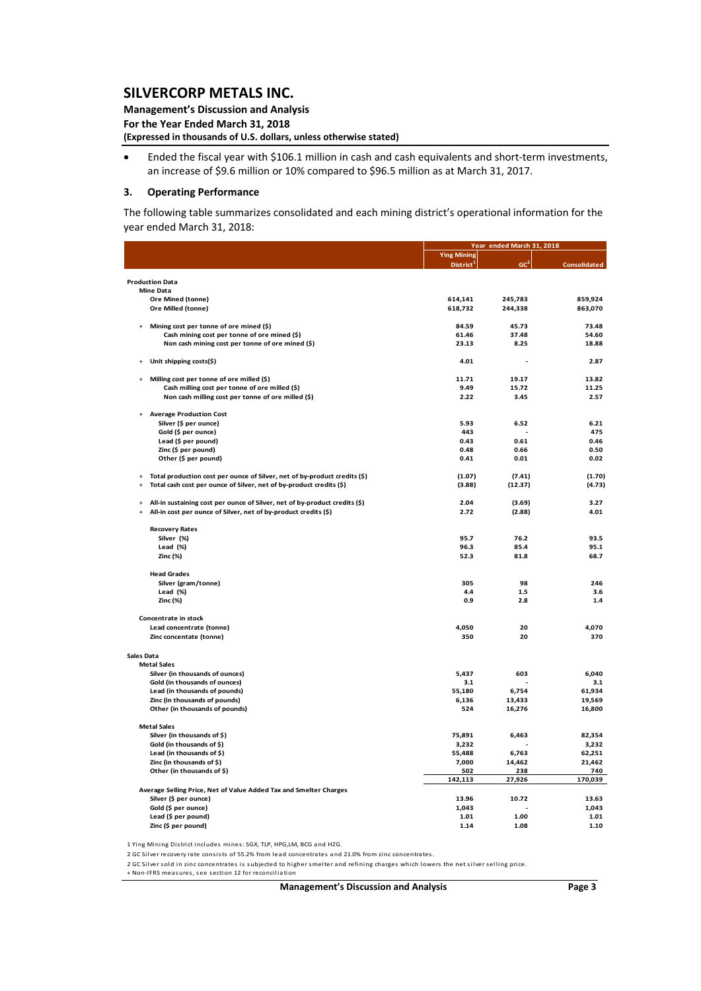**Management's Discussion and Analysis For the Year Ended March 31, 2018 (Expressed in thousands of U.S. dollars, unless otherwise stated)**

 Ended the fiscal year with \$106.1 million in cash and cash equivalents and short‐term investments, an increase of \$9.6 million or 10% compared to \$96.5 million as at March 31, 2017.

#### **3. Operating Performance**

The following table summarizes consolidated and each mining district's operational information for the year ended March 31, 2018:

|            |                                                                            |                       | Year ended March 31, 2018 |                     |
|------------|----------------------------------------------------------------------------|-----------------------|---------------------------|---------------------|
|            |                                                                            | <b>Ying Mining</b>    |                           |                     |
|            |                                                                            | District <sup>1</sup> | GC <sup>2</sup>           | <b>Consolidated</b> |
|            |                                                                            |                       |                           |                     |
|            | <b>Production Data</b>                                                     |                       |                           |                     |
|            | <b>Mine Data</b>                                                           |                       |                           |                     |
|            | Ore Mined (tonne)                                                          | 614,141               | 245,783                   | 859,924             |
|            | Ore Milled (tonne)                                                         | 618,732               | 244,338                   | 863,070             |
|            |                                                                            |                       |                           |                     |
|            | Mining cost per tonne of ore mined (\$)                                    | 84.59                 | 45.73<br>37.48            | 73.48<br>54.60      |
|            | Cash mining cost per tonne of ore mined (\$)                               | 61.46                 |                           |                     |
|            | Non cash mining cost per tonne of ore mined (\$)                           | 23.13                 | 8.25                      | 18.88               |
|            | Unit shipping costs(\$)                                                    | 4.01                  | $\overline{a}$            | 2.87                |
|            | Milling cost per tonne of ore milled (\$)                                  | 11.71                 | 19.17                     | 13.82               |
|            | Cash milling cost per tonne of ore milled (\$)                             | 9.49                  | 15.72                     | 11.25               |
|            |                                                                            | 2.22                  | 3.45                      | 2.57                |
|            | Non cash milling cost per tonne of ore milled (\$)                         |                       |                           |                     |
|            | <b>Average Production Cost</b>                                             |                       |                           |                     |
|            | Silver (\$ per ounce)                                                      | 5.93                  | 6.52                      | 6.21                |
|            | Gold (\$ per ounce)                                                        | 443                   |                           | 475                 |
|            | Lead (\$ per pound)                                                        | 0.43                  | 0.61                      | 0.46                |
|            | Zinc (\$ per pound)                                                        | 0.48                  | 0.66                      | 0.50                |
|            | Other (\$ per pound)                                                       | 0.41                  | 0.01                      | 0.02                |
|            |                                                                            |                       |                           |                     |
| $\ddot{}$  | Total production cost per ounce of Silver, net of by-product credits (\$)  | (1.07)                | (7.41)                    | (1.70)              |
| $\ddot{}$  | Total cash cost per ounce of Silver, net of by-product credits (\$)        | (3.88)                | (12.37)                   | (4.73)              |
|            | All-in sustaining cost per ounce of Silver, net of by-product credits (\$) | 2.04                  | (3.69)                    | 3.27                |
| $\ddot{}$  | All-in cost per ounce of Silver, net of by-product credits (\$)            | 2.72                  | (2.88)                    | 4.01                |
|            |                                                                            |                       |                           |                     |
|            | <b>Recovery Rates</b>                                                      |                       |                           |                     |
|            | Silver (%)                                                                 | 95.7                  | 76.2                      | 93.5                |
|            | Lead (%)                                                                   | 96.3                  | 85.4                      | 95.1                |
|            | Zinc (%)                                                                   | 52.3                  | 81.8                      | 68.7                |
|            | <b>Head Grades</b>                                                         |                       |                           |                     |
|            | Silver (gram/tonne)                                                        | 305                   | 98                        | 246                 |
|            | Lead $(\%)$                                                                | 4.4                   | 1.5                       | 3.6                 |
|            | Zinc (%)                                                                   | 0.9                   | 2.8                       | 1.4                 |
|            |                                                                            |                       |                           |                     |
|            | Concentrate in stock                                                       |                       |                           |                     |
|            | Lead concentrate (tonne)                                                   | 4,050                 | 20                        | 4,070               |
|            | Zinc concentate (tonne)                                                    | 350                   | 20                        | 370                 |
| Sales Data |                                                                            |                       |                           |                     |
|            | <b>Metal Sales</b>                                                         |                       |                           |                     |
|            | Silver (in thousands of ounces)                                            | 5,437                 | 603                       | 6,040               |
|            | Gold (in thousands of ounces)                                              | 3.1                   |                           | 3.1                 |
|            | Lead (in thousands of pounds)                                              | 55,180                | 6,754                     | 61,934              |
|            | Zinc (in thousands of pounds)                                              | 6,136                 | 13,433                    | 19,569              |
|            | Other (in thousands of pounds)                                             | 524                   | 16,276                    | 16,800              |
|            |                                                                            |                       |                           |                     |
|            | <b>Metal Sales</b>                                                         |                       |                           |                     |
|            | Silver (in thousands of \$)                                                | 75,891                | 6,463                     | 82,354              |
|            | Gold (in thousands of \$)                                                  | 3,232                 |                           | 3,232               |
|            | Lead (in thousands of \$)                                                  | 55,488                | 6,763                     | 62,251              |
|            | Zinc (in thousands of \$)                                                  | 7,000                 | 14,462                    | 21,462              |
|            | Other (in thousands of \$)                                                 | 502                   | 238                       | 740                 |
|            |                                                                            | 142,113               | 27,926                    | 170,039             |
|            | Average Selling Price, Net of Value Added Tax and Smelter Charges          |                       |                           |                     |
|            | Silver (\$ per ounce)                                                      | 13.96                 | 10.72                     | 13.63               |
|            | Gold (\$ per ounce)                                                        | 1,043                 |                           | 1,043               |
|            | Lead (\$ per pound)                                                        | 1.01                  | 1.00                      | 1.01                |
|            | Zinc (\$ per pound)                                                        | 1.14                  | 1.08                      | 1.10                |

1 Ying Mining District includes mines: SGX, TLP, HPG,LM, BCG and HZG.

2 GC Silver recovery rate consists of 55.2% from lead concentrates and 21.0% from zinc concentrates.

2 GC Silver sold in zinc concentrates is subjected to higher smelter and refining charges which lowers the net silver selling price.

+ Non-IFRS measures, see section 12 for reconciliation

**Management's Discussion and Analysis Page 3**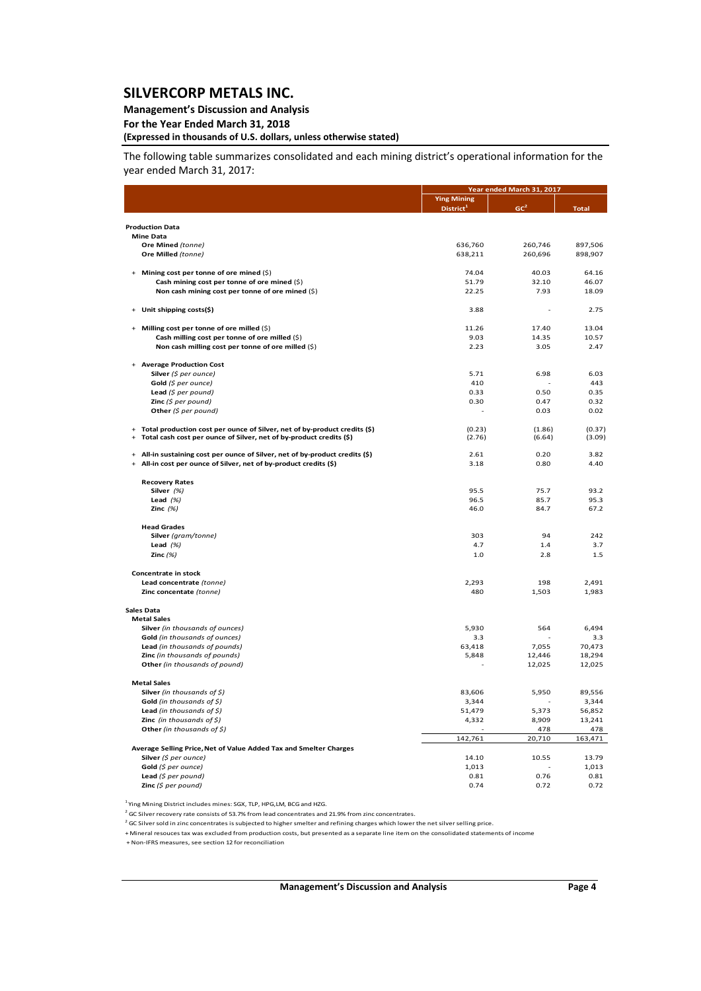### **Management's Discussion and Analysis**

**For the Year Ended March 31, 2018**

## **(Expressed in thousands of U.S. dollars, unless otherwise stated)**

The following table summarizes consolidated and each mining district's operational information for the year ended March 31, 2017:

|                                                                                   |                                             | Year ended March 31, 2017 |                |
|-----------------------------------------------------------------------------------|---------------------------------------------|---------------------------|----------------|
|                                                                                   | <b>Ying Mining</b><br>District <sup>1</sup> | GC <sup>2</sup>           | <b>Total</b>   |
|                                                                                   |                                             |                           |                |
| <b>Production Data</b><br>Mine Data                                               |                                             |                           |                |
| Ore Mined (tonne)                                                                 | 636,760                                     | 260,746                   | 897,506        |
| Ore Milled (tonne)                                                                | 638,211                                     | 260,696                   | 898,907        |
|                                                                                   |                                             |                           |                |
| Mining cost per tonne of ore mined (\$)                                           | 74.04                                       | 40.03                     | 64.16          |
| Cash mining cost per tonne of ore mined (\$)                                      | 51.79                                       | 32.10                     | 46.07          |
| Non cash mining cost per tonne of ore mined (\$)                                  | 22.25                                       | 7.93                      | 18.09          |
| Unit shipping costs(\$)                                                           | 3.88                                        |                           | 2.75           |
| Milling cost per tonne of ore milled (\$)                                         | 11.26                                       | 17.40                     | 13.04          |
| Cash milling cost per tonne of ore milled (\$)                                    | 9.03                                        | 14.35                     | 10.57          |
| Non cash milling cost per tonne of ore milled (\$)                                | 2.23                                        | 3.05                      | 2.47           |
|                                                                                   |                                             |                           |                |
| <b>Average Production Cost</b>                                                    |                                             |                           |                |
| Silver (\$ per ounce)                                                             | 5.71                                        | 6.98                      | 6.03           |
| Gold $(\xi$ per ounce)                                                            | 410                                         |                           | 443            |
| Lead $(5$ per pound)                                                              | 0.33                                        | 0.50<br>0.47              | 0.35           |
| <b>Zinc</b> (\$ per pound)<br>Other (\$ per pound)                                | 0.30                                        | 0.03                      | 0.32<br>0.02   |
|                                                                                   |                                             |                           |                |
| Total production cost per ounce of Silver, net of by-product credits (\$)<br>$+$  | (0.23)                                      | (1.86)                    | (0.37)         |
| Total cash cost per ounce of Silver, net of by-product credits (\$)<br>$\ddot{}$  | (2.76)                                      | (6.64)                    | (3.09)         |
| All-in sustaining cost per ounce of Silver, net of by-product credits (\$)<br>$+$ | 2.61                                        | 0.20                      | 3.82           |
| All-in cost per ounce of Silver, net of by-product credits (\$)<br>$+$            | 3.18                                        | 0.80                      | 4.40           |
|                                                                                   |                                             |                           |                |
| <b>Recovery Rates</b>                                                             |                                             |                           |                |
| Silver (%)                                                                        | 95.5                                        | 75.7                      | 93.2           |
| Lead $(%)$<br>Zinc $(%)$                                                          | 96.5<br>46.0                                | 85.7<br>84.7              | 95.3<br>67.2   |
|                                                                                   |                                             |                           |                |
| <b>Head Grades</b>                                                                |                                             |                           |                |
| Silver (gram/tonne)                                                               | 303                                         | 94                        | 242            |
| Lead $(%)$                                                                        | 4.7                                         | 1.4                       | 3.7            |
| Zinc $(%)$                                                                        | 1.0                                         | 2.8                       | 1.5            |
| Concentrate in stock                                                              |                                             |                           |                |
| Lead concentrate (tonne)                                                          | 2,293                                       | 198                       | 2,491          |
| Zinc concentate (tonne)                                                           | 480                                         | 1,503                     | 1,983          |
|                                                                                   |                                             |                           |                |
| <b>Sales Data</b><br><b>Metal Sales</b>                                           |                                             |                           |                |
| Silver (in thousands of ounces)                                                   | 5,930                                       | 564                       | 6,494          |
| Gold (in thousands of ounces)                                                     | 3.3                                         |                           | 3.3            |
| Lead (in thousands of pounds)                                                     | 63,418                                      | 7,055                     | 70,473         |
| Zinc (in thousands of pounds)                                                     | 5,848                                       | 12,446                    | 18,294         |
| Other (in thousands of pound)                                                     |                                             | 12,025                    | 12,025         |
| <b>Metal Sales</b>                                                                |                                             |                           |                |
| Silver (in thousands of $\zeta$ )                                                 | 83,606                                      | 5,950                     | 89,556         |
| Gold (in thousands of $\zeta$ )                                                   | 3,344                                       |                           | 3,344          |
| Lead (in thousands of $$$ )                                                       | 51,479                                      | 5,373                     | 56,852         |
| <b>Zinc</b> (in thousands of $\zeta$ )                                            | 4,332                                       | 8,909                     | 13,241         |
| Other (in thousands of \$)                                                        |                                             | 478                       | 478            |
|                                                                                   | 142,761                                     | 20,710                    | 163,471        |
| Average Selling Price, Net of Value Added Tax and Smelter Charges                 |                                             |                           |                |
| Silver (\$ per ounce)                                                             | 14.10<br>1,013                              | 10.55                     | 13.79<br>1,013 |
| Gold $(\xi$ per ounce)<br>Lead (\$ per pound)                                     | 0.81                                        | 0.76                      | 0.81           |
| Zinc $(5$ per pound)                                                              | 0.74                                        | 0.72                      | 0.72           |
|                                                                                   |                                             |                           |                |

<sup>1</sup> Ying Mining District includes mines: SGX, TLP, HPG,LM, BCG and HZG.

 $^{2}$  GC Silver recovery rate consists of 53.7% from lead concentrates and 21.9% from zinc concentrates.

2 GC Silver sold in zinc concentrates is subjected to higher smelter and refining charges which lower the net silver selling price.

+ Mineral resouces tax was excluded from production costs, but presented as a separate line item on the consolidated statements of income

+ Non‐IFRS measures, see section 12 for reconciliation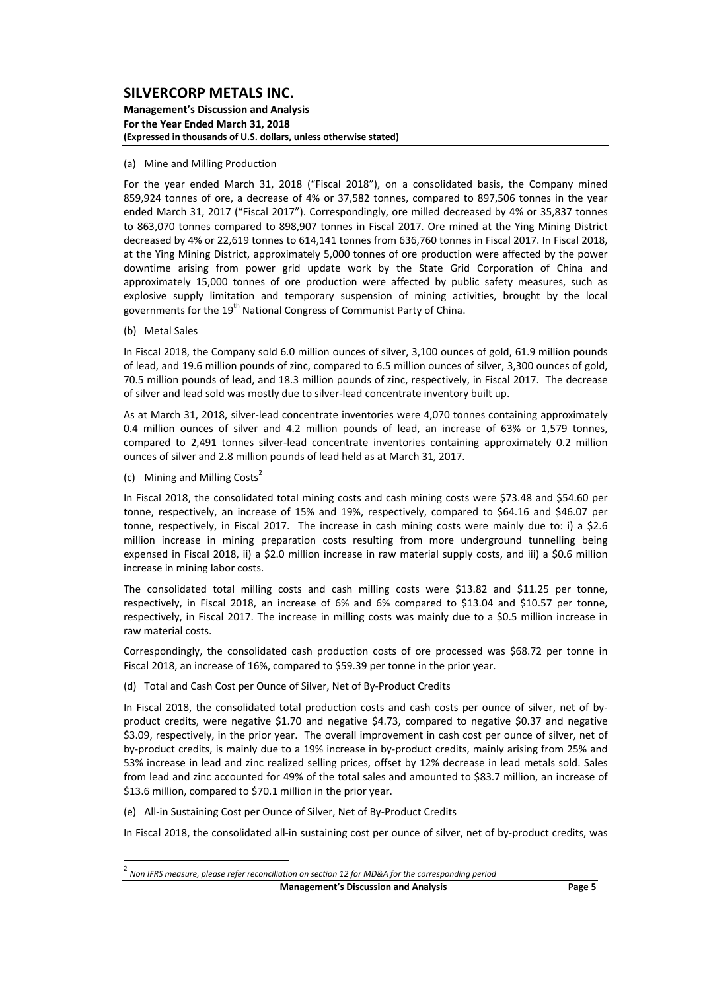#### **Management's Discussion and Analysis For the Year Ended March 31, 2018 (Expressed in thousands of U.S. dollars, unless otherwise stated)**

#### (a) Mine and Milling Production

For the year ended March 31, 2018 ("Fiscal 2018"), on a consolidated basis, the Company mined 859,924 tonnes of ore, a decrease of 4% or 37,582 tonnes, compared to 897,506 tonnes in the year ended March 31, 2017 ("Fiscal 2017"). Correspondingly, ore milled decreased by 4% or 35,837 tonnes to 863,070 tonnes compared to 898,907 tonnes in Fiscal 2017. Ore mined at the Ying Mining District decreased by 4% or 22,619 tonnes to 614,141 tonnes from 636,760 tonnes in Fiscal 2017. In Fiscal 2018, at the Ying Mining District, approximately 5,000 tonnes of ore production were affected by the power downtime arising from power grid update work by the State Grid Corporation of China and approximately 15,000 tonnes of ore production were affected by public safety measures, such as explosive supply limitation and temporary suspension of mining activities, brought by the local governments for the 19<sup>th</sup> National Congress of Communist Party of China.

(b) Metal Sales

In Fiscal 2018, the Company sold 6.0 million ounces of silver, 3,100 ounces of gold, 61.9 million pounds of lead, and 19.6 million pounds of zinc, compared to 6.5 million ounces of silver, 3,300 ounces of gold, 70.5 million pounds of lead, and 18.3 million pounds of zinc, respectively, in Fiscal 2017. The decrease of silver and lead sold was mostly due to silver‐lead concentrate inventory built up.

As at March 31, 2018, silver-lead concentrate inventories were 4,070 tonnes containing approximately 0.4 million ounces of silver and 4.2 million pounds of lead, an increase of 63% or 1,579 tonnes, compared to 2,491 tonnes silver-lead concentrate inventories containing approximately 0.2 million ounces of silver and 2.8 million pounds of lead held as at March 31, 2017.

(c) Mining and Milling Costs<sup>2</sup>

In Fiscal 2018, the consolidated total mining costs and cash mining costs were \$73.48 and \$54.60 per tonne, respectively, an increase of 15% and 19%, respectively, compared to \$64.16 and \$46.07 per tonne, respectively, in Fiscal 2017. The increase in cash mining costs were mainly due to: i) a \$2.6 million increase in mining preparation costs resulting from more underground tunnelling being expensed in Fiscal 2018, ii) a \$2.0 million increase in raw material supply costs, and iii) a \$0.6 million increase in mining labor costs.

The consolidated total milling costs and cash milling costs were \$13.82 and \$11.25 per tonne, respectively, in Fiscal 2018, an increase of 6% and 6% compared to \$13.04 and \$10.57 per tonne, respectively, in Fiscal 2017. The increase in milling costs was mainly due to a \$0.5 million increase in raw material costs.

Correspondingly, the consolidated cash production costs of ore processed was \$68.72 per tonne in Fiscal 2018, an increase of 16%, compared to \$59.39 per tonne in the prior year.

(d) Total and Cash Cost per Ounce of Silver, Net of By‐Product Credits

In Fiscal 2018, the consolidated total production costs and cash costs per ounce of silver, net of byproduct credits, were negative \$1.70 and negative \$4.73, compared to negative \$0.37 and negative \$3.09, respectively, in the prior year. The overall improvement in cash cost per ounce of silver, net of by‐product credits, is mainly due to a 19% increase in by‐product credits, mainly arising from 25% and 53% increase in lead and zinc realized selling prices, offset by 12% decrease in lead metals sold. Sales from lead and zinc accounted for 49% of the total sales and amounted to \$83.7 million, an increase of \$13.6 million, compared to \$70.1 million in the prior year.

(e) All‐in Sustaining Cost per Ounce of Silver, Net of By‐Product Credits

In Fiscal 2018, the consolidated all-in sustaining cost per ounce of silver, net of by-product credits, was

**Management's Discussion and Analysis Page 5**

 <sup>2</sup> *Non IFRS measure, please refer reconciliation on section <sup>12</sup> for MD&A for the corresponding period*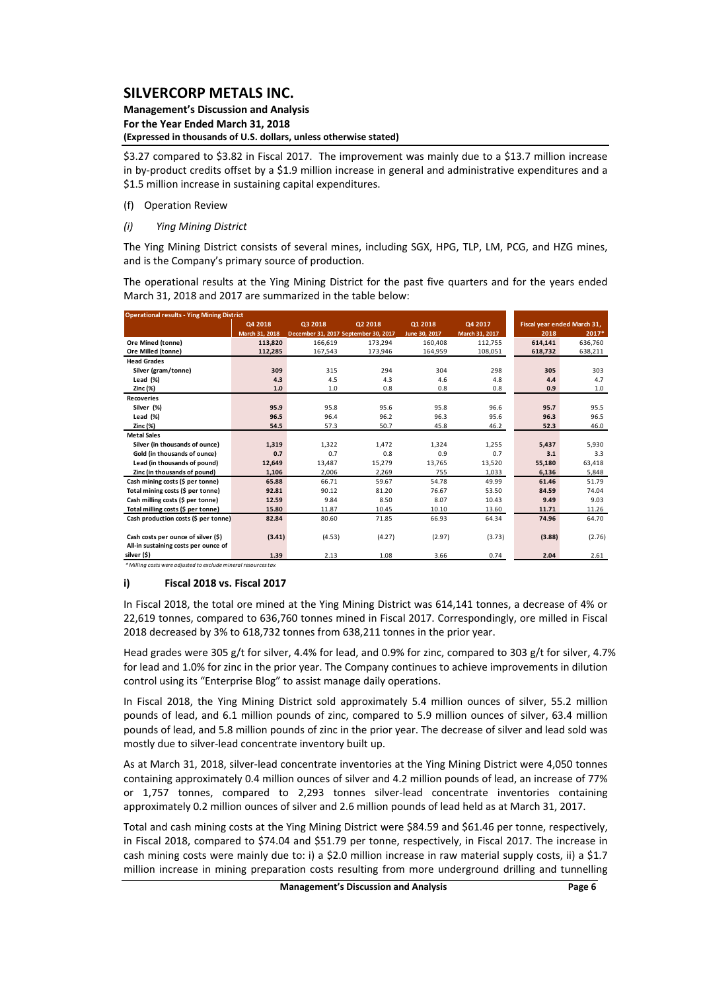#### **Management's Discussion and Analysis For the Year Ended March 31, 2018 (Expressed in thousands of U.S. dollars, unless otherwise stated)**

\$3.27 compared to \$3.82 in Fiscal 2017. The improvement was mainly due to a \$13.7 million increase in by-product credits offset by a \$1.9 million increase in general and administrative expenditures and a \$1.5 million increase in sustaining capital expenditures.

### (f) Operation Review

*(i) Ying Mining District* 

The Ying Mining District consists of several mines, including SGX, HPG, TLP, LM, PCG, and HZG mines, and is the Company's primary source of production.

The operational results at the Ying Mining District for the past five quarters and for the years ended March 31, 2018 and 2017 are summarized in the table below:

| <b>Operational results - Ying Mining District</b> |                |                                      |         |               |                |         |                             |  |  |  |  |
|---------------------------------------------------|----------------|--------------------------------------|---------|---------------|----------------|---------|-----------------------------|--|--|--|--|
|                                                   | Q4 2018        | Q3 2018                              | Q2 2018 | 01 2018       | Q4 2017        |         | Fiscal year ended March 31, |  |  |  |  |
|                                                   | March 31, 2018 | December 31, 2017 September 30, 2017 |         | June 30, 2017 | March 31, 2017 | 2018    | 2017*                       |  |  |  |  |
| Ore Mined (tonne)                                 | 113,820        | 166,619                              | 173.294 | 160.408       | 112,755        | 614,141 | 636,760                     |  |  |  |  |
| Ore Milled (tonne)                                | 112,285        | 167,543                              | 173,946 | 164,959       | 108,051        | 618,732 | 638,211                     |  |  |  |  |
| <b>Head Grades</b>                                |                |                                      |         |               |                |         |                             |  |  |  |  |
| Silver (gram/tonne)                               | 309            | 315                                  | 294     | 304           | 298            | 305     | 303                         |  |  |  |  |
| Lead $(%)$                                        | 4.3            | 4.5                                  | 4.3     | 4.6           | 4.8            | 4.4     | 4.7                         |  |  |  |  |
| Zinc (%)                                          | 1.0            | 1.0                                  | 0.8     | 0.8           | 0.8            | 0.9     | 1.0                         |  |  |  |  |
| <b>Recoveries</b>                                 |                |                                      |         |               |                |         |                             |  |  |  |  |
| Silver (%)                                        | 95.9           | 95.8                                 | 95.6    | 95.8          | 96.6           | 95.7    | 95.5                        |  |  |  |  |
| Lead (%)                                          | 96.5           | 96.4                                 | 96.2    | 96.3          | 95.6           | 96.3    | 96.5                        |  |  |  |  |
| Zinc (%)                                          | 54.5           | 57.3                                 | 50.7    | 45.8          | 46.2           | 52.3    | 46.0                        |  |  |  |  |
| <b>Metal Sales</b>                                |                |                                      |         |               |                |         |                             |  |  |  |  |
| Silver (in thousands of ounce)                    | 1,319          | 1,322                                | 1,472   | 1,324         | 1,255          | 5,437   | 5,930                       |  |  |  |  |
| Gold (in thousands of ounce)                      | 0.7            | 0.7                                  | 0.8     | 0.9           | 0.7            | 3.1     | 3.3                         |  |  |  |  |
| Lead (in thousands of pound)                      | 12,649         | 13.487                               | 15,279  | 13,765        | 13,520         | 55,180  | 63,418                      |  |  |  |  |
| Zinc (in thousands of pound)                      | 1,106          | 2,006                                | 2,269   | 755           | 1,033          | 6,136   | 5,848                       |  |  |  |  |
| Cash mining costs (\$ per tonne)                  | 65.88          | 66.71                                | 59.67   | 54.78         | 49.99          | 61.46   | 51.79                       |  |  |  |  |
| Total mining costs (\$ per tonne)                 | 92.81          | 90.12                                | 81.20   | 76.67         | 53.50          | 84.59   | 74.04                       |  |  |  |  |
| Cash milling costs (\$ per tonne)                 | 12.59          | 9.84                                 | 8.50    | 8.07          | 10.43          | 9.49    | 9.03                        |  |  |  |  |
| Total milling costs (\$ per tonne)                | 15.80          | 11.87                                | 10.45   | 10.10         | 13.60          | 11.71   | 11.26                       |  |  |  |  |
| Cash production costs (\$ per tonne)              | 82.84          | 80.60                                | 71.85   | 66.93         | 64.34          | 74.96   | 64.70                       |  |  |  |  |
|                                                   |                |                                      |         |               |                |         |                             |  |  |  |  |
| Cash costs per ounce of silver (\$)               | (3.41)         | (4.53)                               | (4.27)  | (2.97)        | (3.73)         | (3.88)  | (2.76)                      |  |  |  |  |
| All-in sustaining costs per ounce of              |                |                                      |         |               |                |         |                             |  |  |  |  |
| silver (\$)                                       | 1.39           | 2.13                                 | 1.08    | 3.66          | 0.74           | 2.04    | 2.61                        |  |  |  |  |

*\*Milling costs were adjusted to excludemineral resourcestax*

### **i) Fiscal 2018 vs. Fiscal 2017**

In Fiscal 2018, the total ore mined at the Ying Mining District was 614,141 tonnes, a decrease of 4% or 22,619 tonnes, compared to 636,760 tonnes mined in Fiscal 2017. Correspondingly, ore milled in Fiscal 2018 decreased by 3% to 618,732 tonnes from 638,211 tonnes in the prior year.

Head grades were 305 g/t for silver, 4.4% for lead, and 0.9% for zinc, compared to 303 g/t for silver, 4.7% for lead and 1.0% for zinc in the prior year. The Company continues to achieve improvements in dilution control using its "Enterprise Blog" to assist manage daily operations.

In Fiscal 2018, the Ying Mining District sold approximately 5.4 million ounces of silver, 55.2 million pounds of lead, and 6.1 million pounds of zinc, compared to 5.9 million ounces of silver, 63.4 million pounds of lead, and 5.8 million pounds of zinc in the prior year. The decrease of silver and lead sold was mostly due to silver‐lead concentrate inventory built up.

As at March 31, 2018, silver-lead concentrate inventories at the Ying Mining District were 4,050 tonnes containing approximately 0.4 million ounces of silver and 4.2 million pounds of lead, an increase of 77% or 1,757 tonnes, compared to 2,293 tonnes silver-lead concentrate inventories containing approximately 0.2 million ounces of silver and 2.6 million pounds of lead held as at March 31, 2017.

Total and cash mining costs at the Ying Mining District were \$84.59 and \$61.46 per tonne, respectively, in Fiscal 2018, compared to \$74.04 and \$51.79 per tonne, respectively, in Fiscal 2017. The increase in cash mining costs were mainly due to: i) a \$2.0 million increase in raw material supply costs, ii) a \$1.7 million increase in mining preparation costs resulting from more underground drilling and tunnelling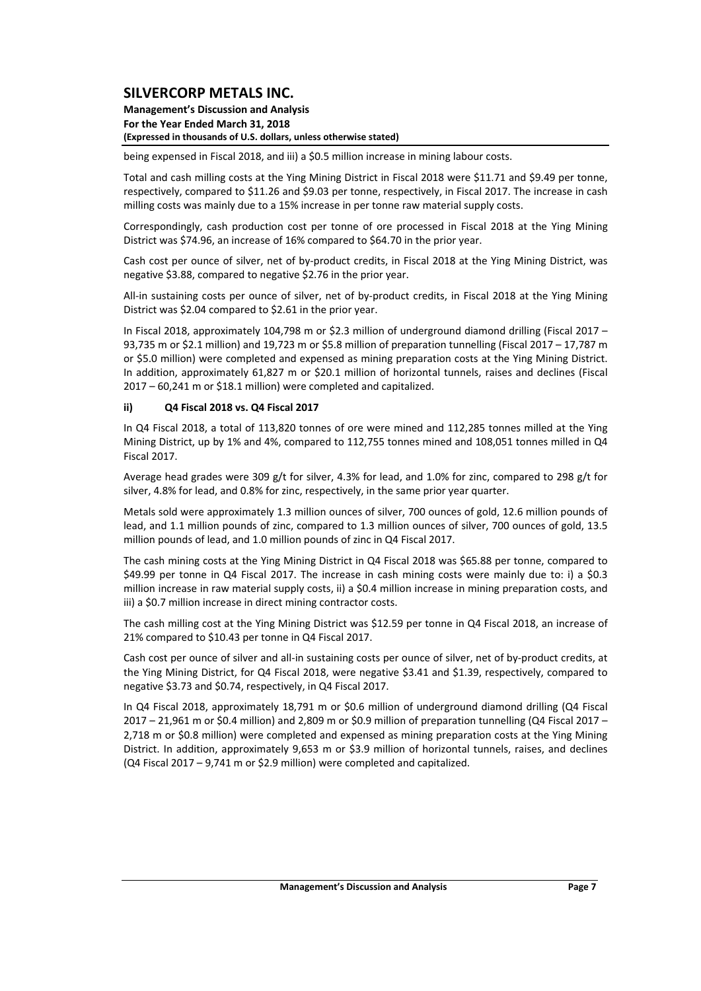#### **Management's Discussion and Analysis For the Year Ended March 31, 2018 (Expressed in thousands of U.S. dollars, unless otherwise stated)**

being expensed in Fiscal 2018, and iii) a \$0.5 million increase in mining labour costs.

Total and cash milling costs at the Ying Mining District in Fiscal 2018 were \$11.71 and \$9.49 per tonne, respectively, compared to \$11.26 and \$9.03 per tonne, respectively, in Fiscal 2017. The increase in cash milling costs was mainly due to a 15% increase in per tonne raw material supply costs.

Correspondingly, cash production cost per tonne of ore processed in Fiscal 2018 at the Ying Mining District was \$74.96, an increase of 16% compared to \$64.70 in the prior year.

Cash cost per ounce of silver, net of by‐product credits, in Fiscal 2018 at the Ying Mining District, was negative \$3.88, compared to negative \$2.76 in the prior year.

All-in sustaining costs per ounce of silver, net of by-product credits, in Fiscal 2018 at the Ying Mining District was \$2.04 compared to \$2.61 in the prior year.

In Fiscal 2018, approximately 104,798 m or \$2.3 million of underground diamond drilling (Fiscal 2017 – 93,735 m or \$2.1 million) and 19,723 m or \$5.8 million of preparation tunnelling (Fiscal 2017 – 17,787 m or \$5.0 million) were completed and expensed as mining preparation costs at the Ying Mining District. In addition, approximately 61,827 m or \$20.1 million of horizontal tunnels, raises and declines (Fiscal 2017 – 60,241 m or \$18.1 million) were completed and capitalized.

### **ii) Q4 Fiscal 2018 vs. Q4 Fiscal 2017**

In Q4 Fiscal 2018, a total of 113,820 tonnes of ore were mined and 112,285 tonnes milled at the Ying Mining District, up by 1% and 4%, compared to 112,755 tonnes mined and 108,051 tonnes milled in Q4 Fiscal 2017.

Average head grades were 309 g/t for silver, 4.3% for lead, and 1.0% for zinc, compared to 298 g/t for silver, 4.8% for lead, and 0.8% for zinc, respectively, in the same prior year quarter.

Metals sold were approximately 1.3 million ounces of silver, 700 ounces of gold, 12.6 million pounds of lead, and 1.1 million pounds of zinc, compared to 1.3 million ounces of silver, 700 ounces of gold, 13.5 million pounds of lead, and 1.0 million pounds of zinc in Q4 Fiscal 2017.

The cash mining costs at the Ying Mining District in Q4 Fiscal 2018 was \$65.88 per tonne, compared to \$49.99 per tonne in Q4 Fiscal 2017. The increase in cash mining costs were mainly due to: i) a \$0.3 million increase in raw material supply costs, ii) a \$0.4 million increase in mining preparation costs, and iii) a \$0.7 million increase in direct mining contractor costs.

The cash milling cost at the Ying Mining District was \$12.59 per tonne in Q4 Fiscal 2018, an increase of 21% compared to \$10.43 per tonne in Q4 Fiscal 2017.

Cash cost per ounce of silver and all-in sustaining costs per ounce of silver, net of by-product credits, at the Ying Mining District, for Q4 Fiscal 2018, were negative \$3.41 and \$1.39, respectively, compared to negative \$3.73 and \$0.74, respectively, in Q4 Fiscal 2017.

In Q4 Fiscal 2018, approximately 18,791 m or \$0.6 million of underground diamond drilling (Q4 Fiscal 2017 – 21,961 m or \$0.4 million) and 2,809 m or \$0.9 million of preparation tunnelling (Q4 Fiscal 2017 – 2,718 m or \$0.8 million) were completed and expensed as mining preparation costs at the Ying Mining District. In addition, approximately 9,653 m or \$3.9 million of horizontal tunnels, raises, and declines (Q4 Fiscal 2017 – 9,741 m or \$2.9 million) were completed and capitalized.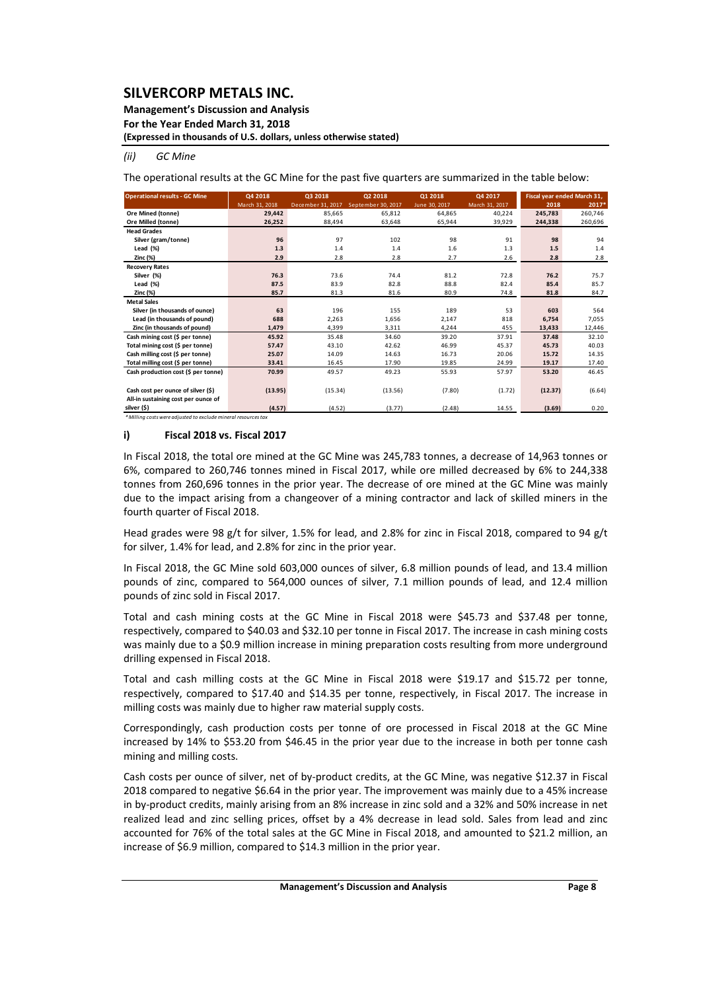**Management's Discussion and Analysis** 

**For the Year Ended March 31, 2018**

**(Expressed in thousands of U.S. dollars, unless otherwise stated)**

### *(ii) GC Mine*

The operational results at the GC Mine for the past five quarters are summarized in the table below:

| <b>Operational results - GC Mine</b>                           | Q4 2018        | Q3 2018           | Q2 2018            | 01 2018       | Q4 2017        |         | Fiscal year ended March 31, |
|----------------------------------------------------------------|----------------|-------------------|--------------------|---------------|----------------|---------|-----------------------------|
|                                                                | March 31, 2018 | December 31, 2017 | September 30, 2017 | June 30, 2017 | March 31, 2017 | 2018    | 2017*                       |
| Ore Mined (tonne)                                              | 29.442         | 85,665            | 65,812             | 64,865        | 40.224         | 245,783 | 260,746                     |
| Ore Milled (tonne)                                             | 26,252         | 88.494            | 63.648             | 65,944        | 39,929         | 244,338 | 260,696                     |
| <b>Head Grades</b>                                             |                |                   |                    |               |                |         |                             |
| Silver (gram/tonne)                                            | 96             | 97                | 102                | 98            | 91             | 98      | 94                          |
| Lead (%)                                                       | 1.3            | 1.4               | 1.4                | 1.6           | 1.3            | 1.5     | 1.4                         |
| Zinc (%)                                                       | 2.9            | 2.8               | 2.8                | 2.7           | 2.6            | 2.8     | 2.8                         |
| <b>Recovery Rates</b>                                          |                |                   |                    |               |                |         |                             |
| Silver (%)                                                     | 76.3           | 73.6              | 74.4               | 81.2          | 72.8           | 76.2    | 75.7                        |
| Lead $(\%)$                                                    | 87.5           | 83.9              | 82.8               | 88.8          | 82.4           | 85.4    | 85.7                        |
| Zinc (%)                                                       | 85.7           | 81.3              | 81.6               | 80.9          | 74.8           | 81.8    | 84.7                        |
| <b>Metal Sales</b>                                             |                |                   |                    |               |                |         |                             |
| Silver (in thousands of ounce)                                 | 63             | 196               | 155                | 189           | 53             | 603     | 564                         |
| Lead (in thousands of pound)                                   | 688            | 2,263             | 1,656              | 2,147         | 818            | 6,754   | 7,055                       |
| Zinc (in thousands of pound)                                   | 1,479          | 4,399             | 3,311              | 4,244         | 455            | 13,433  | 12,446                      |
| Cash mining cost (\$ per tonne)                                | 45.92          | 35.48             | 34.60              | 39.20         | 37.91          | 37.48   | 32.10                       |
| Total mining cost (\$ per tonne)                               | 57.47          | 43.10             | 42.62              | 46.99         | 45.37          | 45.73   | 40.03                       |
| Cash milling cost (\$ per tonne)                               | 25.07          | 14.09             | 14.63              | 16.73         | 20.06          | 15.72   | 14.35                       |
| Total milling cost (\$ per tonne)                              | 33.41          | 16.45             | 17.90              | 19.85         | 24.99          | 19.17   | 17.40                       |
| Cash production cost (\$ per tonne)                            | 70.99          | 49.57             | 49.23              | 55.93         | 57.97          | 53.20   | 46.45                       |
|                                                                |                |                   |                    |               |                |         |                             |
| Cash cost per ounce of silver (\$)                             | (13.95)        | (15.34)           | (13.56)            | (7.80)        | (1.72)         | (12.37) | (6.64)                      |
| All-in sustaining cost per ounce of                            |                |                   |                    |               |                |         |                             |
| silver (\$)                                                    | (4.57)         | (4.52)            | (3.77)             | (2.48)        | 14.55          | (3.69)  | 0.20                        |
| * Milling costs were adjusted to exclude mineral resources tax |                |                   |                    |               |                |         |                             |

### **i) Fiscal 2018 vs. Fiscal 2017**

In Fiscal 2018, the total ore mined at the GC Mine was 245,783 tonnes, a decrease of 14,963 tonnes or 6%, compared to 260,746 tonnes mined in Fiscal 2017, while ore milled decreased by 6% to 244,338 tonnes from 260,696 tonnes in the prior year. The decrease of ore mined at the GC Mine was mainly due to the impact arising from a changeover of a mining contractor and lack of skilled miners in the fourth quarter of Fiscal 2018.

Head grades were 98 g/t for silver, 1.5% for lead, and 2.8% for zinc in Fiscal 2018, compared to 94 g/t for silver, 1.4% for lead, and 2.8% for zinc in the prior year.

In Fiscal 2018, the GC Mine sold 603,000 ounces of silver, 6.8 million pounds of lead, and 13.4 million pounds of zinc, compared to 564,000 ounces of silver, 7.1 million pounds of lead, and 12.4 million pounds of zinc sold in Fiscal 2017.

Total and cash mining costs at the GC Mine in Fiscal 2018 were \$45.73 and \$37.48 per tonne, respectively, compared to \$40.03 and \$32.10 per tonne in Fiscal 2017. The increase in cash mining costs was mainly due to a \$0.9 million increase in mining preparation costs resulting from more underground drilling expensed in Fiscal 2018.

Total and cash milling costs at the GC Mine in Fiscal 2018 were \$19.17 and \$15.72 per tonne, respectively, compared to \$17.40 and \$14.35 per tonne, respectively, in Fiscal 2017. The increase in milling costs was mainly due to higher raw material supply costs.

Correspondingly, cash production costs per tonne of ore processed in Fiscal 2018 at the GC Mine increased by 14% to \$53.20 from \$46.45 in the prior year due to the increase in both per tonne cash mining and milling costs.

Cash costs per ounce of silver, net of by‐product credits, at the GC Mine, was negative \$12.37 in Fiscal 2018 compared to negative \$6.64 in the prior year. The improvement was mainly due to a 45% increase in by-product credits, mainly arising from an 8% increase in zinc sold and a 32% and 50% increase in net realized lead and zinc selling prices, offset by a 4% decrease in lead sold. Sales from lead and zinc accounted for 76% of the total sales at the GC Mine in Fiscal 2018, and amounted to \$21.2 million, an increase of \$6.9 million, compared to \$14.3 million in the prior year.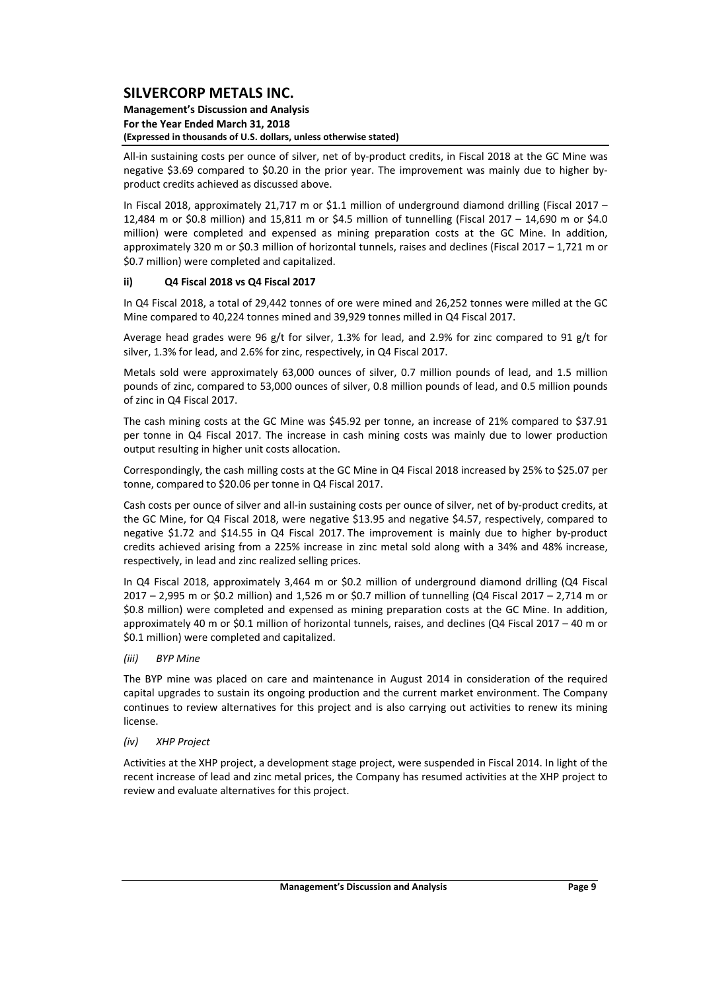#### **Management's Discussion and Analysis For the Year Ended March 31, 2018 (Expressed in thousands of U.S. dollars, unless otherwise stated)**

All-in sustaining costs per ounce of silver, net of by-product credits, in Fiscal 2018 at the GC Mine was negative \$3.69 compared to \$0.20 in the prior year. The improvement was mainly due to higher by‐ product credits achieved as discussed above.

In Fiscal 2018, approximately 21,717 m or \$1.1 million of underground diamond drilling (Fiscal 2017 – 12,484 m or \$0.8 million) and 15,811 m or \$4.5 million of tunnelling (Fiscal 2017 – 14,690 m or \$4.0 million) were completed and expensed as mining preparation costs at the GC Mine. In addition, approximately 320 m or \$0.3 million of horizontal tunnels, raises and declines (Fiscal 2017 – 1,721 m or \$0.7 million) were completed and capitalized.

## **ii) Q4 Fiscal 2018 vs Q4 Fiscal 2017**

In Q4 Fiscal 2018, a total of 29,442 tonnes of ore were mined and 26,252 tonnes were milled at the GC Mine compared to 40,224 tonnes mined and 39,929 tonnes milled in Q4 Fiscal 2017.

Average head grades were 96 g/t for silver, 1.3% for lead, and 2.9% for zinc compared to 91 g/t for silver, 1.3% for lead, and 2.6% for zinc, respectively, in Q4 Fiscal 2017.

Metals sold were approximately 63,000 ounces of silver, 0.7 million pounds of lead, and 1.5 million pounds of zinc, compared to 53,000 ounces of silver, 0.8 million pounds of lead, and 0.5 million pounds of zinc in Q4 Fiscal 2017.

The cash mining costs at the GC Mine was \$45.92 per tonne, an increase of 21% compared to \$37.91 per tonne in Q4 Fiscal 2017. The increase in cash mining costs was mainly due to lower production output resulting in higher unit costs allocation.

Correspondingly, the cash milling costs at the GC Mine in Q4 Fiscal 2018 increased by 25% to \$25.07 per tonne, compared to \$20.06 per tonne in Q4 Fiscal 2017.

Cash costs per ounce of silver and all‐in sustaining costs per ounce of silver, net of by‐product credits, at the GC Mine, for Q4 Fiscal 2018, were negative \$13.95 and negative \$4.57, respectively, compared to negative \$1.72 and \$14.55 in Q4 Fiscal 2017. The improvement is mainly due to higher by‐product credits achieved arising from a 225% increase in zinc metal sold along with a 34% and 48% increase, respectively, in lead and zinc realized selling prices.

In Q4 Fiscal 2018, approximately 3,464 m or \$0.2 million of underground diamond drilling (Q4 Fiscal 2017 – 2,995 m or \$0.2 million) and 1,526 m or \$0.7 million of tunnelling (Q4 Fiscal 2017 – 2,714 m or \$0.8 million) were completed and expensed as mining preparation costs at the GC Mine. In addition, approximately 40 m or \$0.1 million of horizontal tunnels, raises, and declines (Q4 Fiscal 2017 – 40 m or \$0.1 million) were completed and capitalized.

*(iii) BYP Mine*

The BYP mine was placed on care and maintenance in August 2014 in consideration of the required capital upgrades to sustain its ongoing production and the current market environment. The Company continues to review alternatives for this project and is also carrying out activities to renew its mining license.

### *(iv) XHP Project*

Activities at the XHP project, a development stage project, were suspended in Fiscal 2014. In light of the recent increase of lead and zinc metal prices, the Company has resumed activities at the XHP project to review and evaluate alternatives for this project.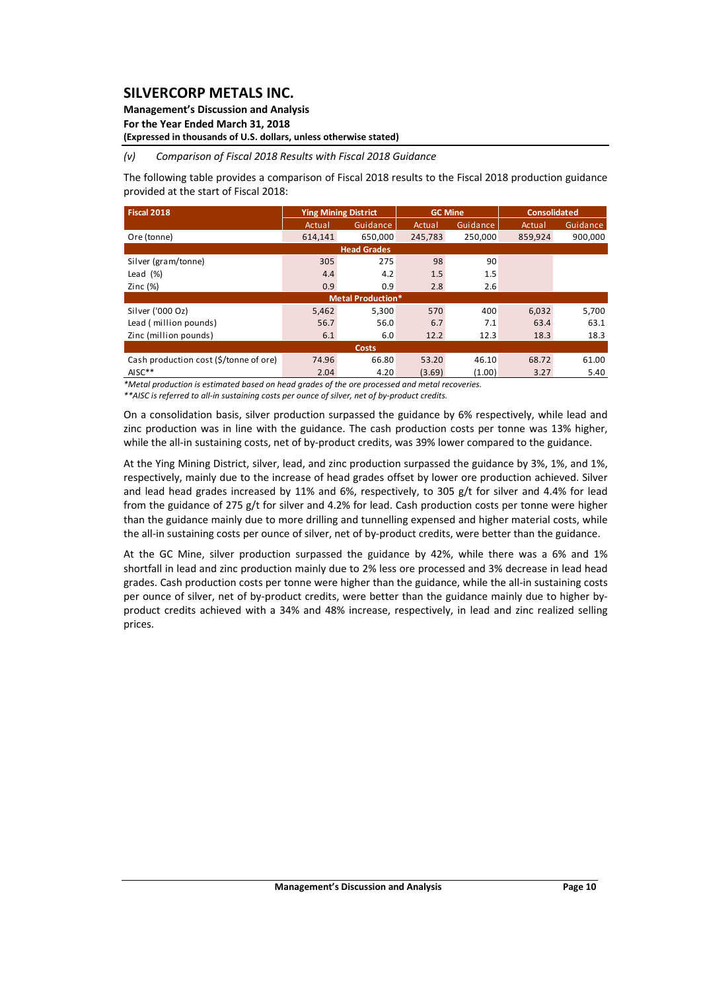### **Management's Discussion and Analysis**

**For the Year Ended March 31, 2018**

## **(Expressed in thousands of U.S. dollars, unless otherwise stated)**

### *(v) Comparison of Fiscal 2018 Results with Fiscal 2018 Guidance*

The following table provides a comparison of Fiscal 2018 results to the Fiscal 2018 production guidance provided at the start of Fiscal 2018:

| <b>Fiscal 2018</b>                     |         | <b>Ying Mining District</b> |         | <b>GC Mine</b> | <b>Consolidated</b> |                 |  |  |  |  |  |  |  |
|----------------------------------------|---------|-----------------------------|---------|----------------|---------------------|-----------------|--|--|--|--|--|--|--|
|                                        | Actual  | Guidance                    | Actual  | Guidance       | Actual              | <b>Guidance</b> |  |  |  |  |  |  |  |
| Ore (tonne)                            | 614.141 | 650.000                     | 245.783 | 250.000        | 859.924             | 900.000         |  |  |  |  |  |  |  |
| <b>Head Grades</b>                     |         |                             |         |                |                     |                 |  |  |  |  |  |  |  |
| Silver (gram/tonne)                    | 305     | 275                         | 98      | 90             |                     |                 |  |  |  |  |  |  |  |
| Lead $(\%)$                            | 4.4     | 4.2                         | 1.5     | 1.5            |                     |                 |  |  |  |  |  |  |  |
| Zinc $(%)$                             | 0.9     | 0.9                         | 2.8     | 2.6            |                     |                 |  |  |  |  |  |  |  |
|                                        |         | <b>Metal Production*</b>    |         |                |                     |                 |  |  |  |  |  |  |  |
| Silver ('000 Oz)                       | 5,462   | 5.300                       | 570     | 400            | 6.032               | 5,700           |  |  |  |  |  |  |  |
| Lead (million pounds)                  | 56.7    | 56.0                        | 6.7     | 7.1            | 63.4                | 63.1            |  |  |  |  |  |  |  |
| Zinc (million pounds)                  | 6.1     | 6.0                         | 12.2    | 12.3           | 18.3                | 18.3            |  |  |  |  |  |  |  |
|                                        |         | Costs                       |         |                |                     |                 |  |  |  |  |  |  |  |
| Cash production cost (\$/tonne of ore) | 74.96   | 66.80                       | 53.20   | 46.10          | 68.72               | 61.00           |  |  |  |  |  |  |  |
| $AISC**$                               | 2.04    | 4.20                        | (3.69)  | (1.00)         | 3.27                | 5.40            |  |  |  |  |  |  |  |

*\*Metal production is estimated based on head grades of the ore processed and metal recoveries.* 

\*\* AISC is referred to all-in sustaining costs per ounce of silver, net of by-product credits.

On a consolidation basis, silver production surpassed the guidance by 6% respectively, while lead and zinc production was in line with the guidance. The cash production costs per tonne was 13% higher, while the all-in sustaining costs, net of by-product credits, was 39% lower compared to the guidance.

At the Ying Mining District, silver, lead, and zinc production surpassed the guidance by 3%, 1%, and 1%, respectively, mainly due to the increase of head grades offset by lower ore production achieved. Silver and lead head grades increased by 11% and 6%, respectively, to 305 g/t for silver and 4.4% for lead from the guidance of 275 g/t for silver and 4.2% for lead. Cash production costs per tonne were higher than the guidance mainly due to more drilling and tunnelling expensed and higher material costs, while the all-in sustaining costs per ounce of silver, net of by-product credits, were better than the guidance.

At the GC Mine, silver production surpassed the guidance by 42%, while there was a 6% and 1% shortfall in lead and zinc production mainly due to 2% less ore processed and 3% decrease in lead head grades. Cash production costs per tonne were higher than the guidance, while the all‐in sustaining costs per ounce of silver, net of by-product credits, were better than the guidance mainly due to higher byproduct credits achieved with a 34% and 48% increase, respectively, in lead and zinc realized selling prices.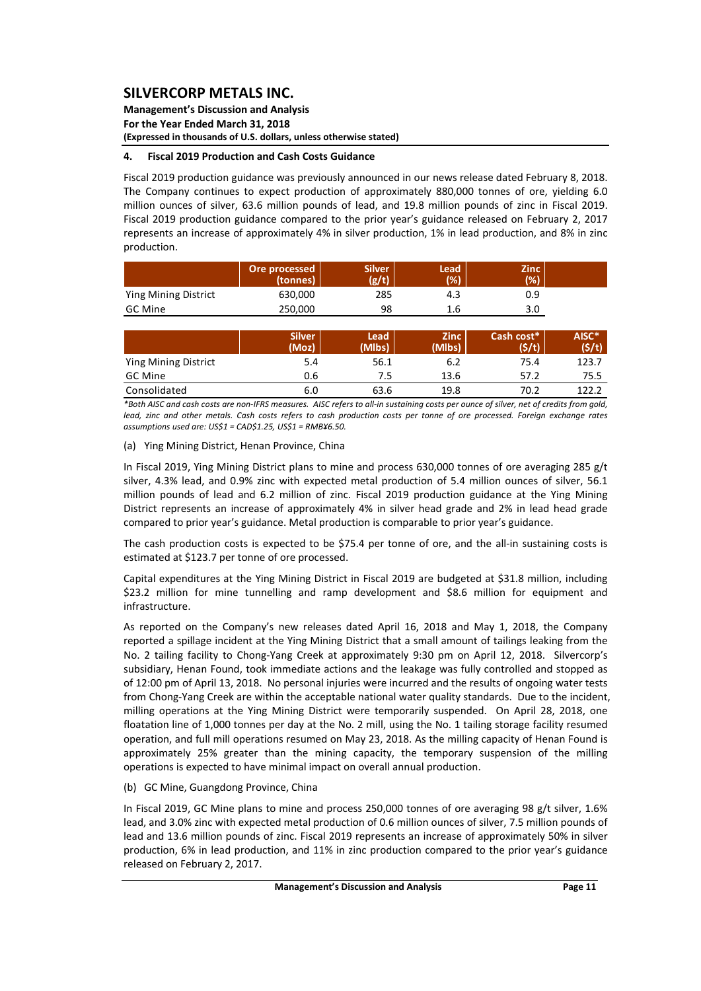**Management's Discussion and Analysis For the Year Ended March 31, 2018 (Expressed in thousands of U.S. dollars, unless otherwise stated)**

### **4. Fiscal 2019 Production and Cash Costs Guidance**

Fiscal 2019 production guidance was previously announced in our news release dated February 8, 2018. The Company continues to expect production of approximately 880,000 tonnes of ore, yielding 6.0 million ounces of silver, 63.6 million pounds of lead, and 19.8 million pounds of zinc in Fiscal 2019. Fiscal 2019 production guidance compared to the prior year's guidance released on February 2, 2017 represents an increase of approximately 4% in silver production, 1% in lead production, and 8% in zinc production.

|                      | Ore processed<br>(tonnes) | <b>Silver</b><br>(g/t) | Lead<br>(%) | <b>Zinc</b><br>(%) |  |
|----------------------|---------------------------|------------------------|-------------|--------------------|--|
| Ying Mining District | 630,000                   | 285                    | 4.3         | 0.9                |  |
| GC Mine              | 250.000                   | 98                     | 1.6         | 3.0                |  |

|                      | <b>Silver</b><br>(Moz) | Lead<br>(Mlbs) | <b>Zinc</b><br>(Mlbs) | Cash cost*<br>(\$/t) | AISC*<br>(5/t) |
|----------------------|------------------------|----------------|-----------------------|----------------------|----------------|
| Ying Mining District | 5.4                    | 56.1           | 6.2                   | 75.4                 | 123.7          |
| GC Mine              | 0.6                    | 7.5            | 13.6                  | 57.2                 | 75.5           |
| Consolidated         | 6.0                    | 63.6           | 19.8                  | 70.2                 | 122.2          |

\*Both AISC and cash costs are non-IFRS measures. AISC refers to all-in sustaining costs per ounce of silver, net of credits from gold. lead, zinc and other metals. Cash costs refers to cash production costs per tonne of ore processed. Foreign exchange rates *assumptions used are: US\$1 = CAD\$1.25, US\$1 = RMB¥6.50.* 

### (a) Ying Mining District, Henan Province, China

In Fiscal 2019, Ying Mining District plans to mine and process 630,000 tonnes of ore averaging 285 g/t silver, 4.3% lead, and 0.9% zinc with expected metal production of 5.4 million ounces of silver, 56.1 million pounds of lead and 6.2 million of zinc. Fiscal 2019 production guidance at the Ying Mining District represents an increase of approximately 4% in silver head grade and 2% in lead head grade compared to prior year's guidance. Metal production is comparable to prior year's guidance.

The cash production costs is expected to be \$75.4 per tonne of ore, and the all-in sustaining costs is estimated at \$123.7 per tonne of ore processed.

Capital expenditures at the Ying Mining District in Fiscal 2019 are budgeted at \$31.8 million, including \$23.2 million for mine tunnelling and ramp development and \$8.6 million for equipment and infrastructure.

As reported on the Company's new releases dated April 16, 2018 and May 1, 2018, the Company reported a spillage incident at the Ying Mining District that a small amount of tailings leaking from the No. 2 tailing facility to Chong‐Yang Creek at approximately 9:30 pm on April 12, 2018. Silvercorp's subsidiary, Henan Found, took immediate actions and the leakage was fully controlled and stopped as of 12:00 pm of April 13, 2018. No personal injuries were incurred and the results of ongoing water tests from Chong‐Yang Creek are within the acceptable national water quality standards. Due to the incident, milling operations at the Ying Mining District were temporarily suspended. On April 28, 2018, one floatation line of 1,000 tonnes per day at the No. 2 mill, using the No. 1 tailing storage facility resumed operation, and full mill operations resumed on May 23, 2018. As the milling capacity of Henan Found is approximately 25% greater than the mining capacity, the temporary suspension of the milling operations is expected to have minimal impact on overall annual production.

### (b) GC Mine, Guangdong Province, China

In Fiscal 2019, GC Mine plans to mine and process 250,000 tonnes of ore averaging 98 g/t silver, 1.6% lead, and 3.0% zinc with expected metal production of 0.6 million ounces of silver, 7.5 million pounds of lead and 13.6 million pounds of zinc. Fiscal 2019 represents an increase of approximately 50% in silver production, 6% in lead production, and 11% in zinc production compared to the prior year's guidance released on February 2, 2017.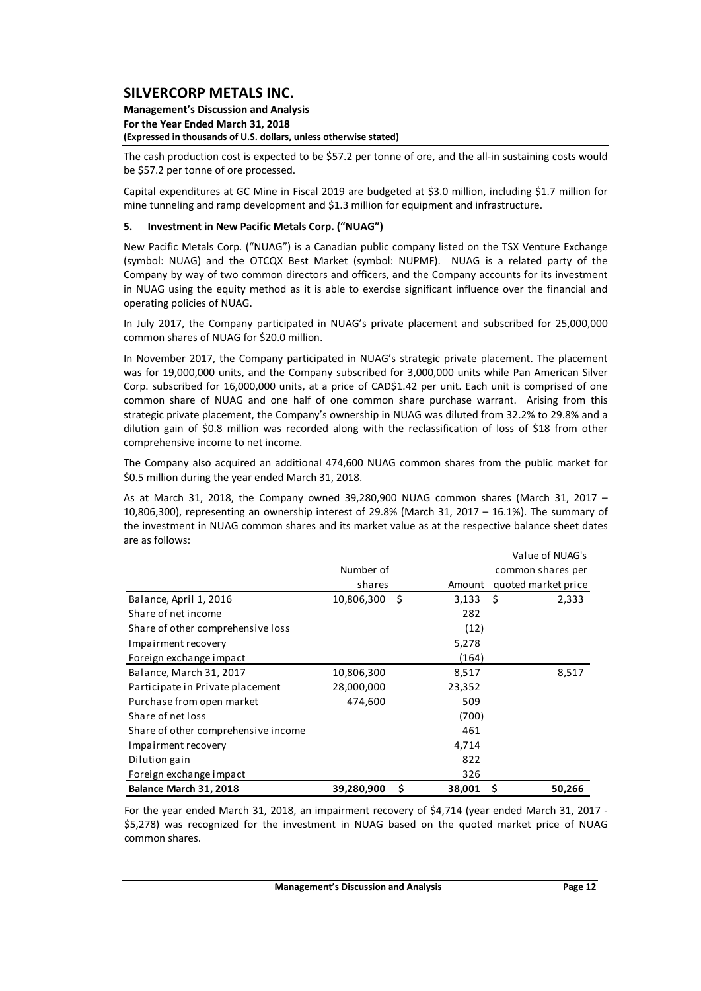#### **Management's Discussion and Analysis For the Year Ended March 31, 2018 (Expressed in thousands of U.S. dollars, unless otherwise stated)**

The cash production cost is expected to be \$57.2 per tonne of ore, and the all-in sustaining costs would be \$57.2 per tonne of ore processed.

Capital expenditures at GC Mine in Fiscal 2019 are budgeted at \$3.0 million, including \$1.7 million for mine tunneling and ramp development and \$1.3 million for equipment and infrastructure.

### **5. Investment in New Pacific Metals Corp. ("NUAG")**

New Pacific Metals Corp. ("NUAG") is a Canadian public company listed on the TSX Venture Exchange (symbol: NUAG) and the OTCQX Best Market (symbol: NUPMF). NUAG is a related party of the Company by way of two common directors and officers, and the Company accounts for its investment in NUAG using the equity method as it is able to exercise significant influence over the financial and operating policies of NUAG.

In July 2017, the Company participated in NUAG's private placement and subscribed for 25,000,000 common shares of NUAG for \$20.0 million.

In November 2017, the Company participated in NUAG's strategic private placement. The placement was for 19,000,000 units, and the Company subscribed for 3,000,000 units while Pan American Silver Corp. subscribed for 16,000,000 units, at a price of CAD\$1.42 per unit. Each unit is comprised of one common share of NUAG and one half of one common share purchase warrant. Arising from this strategic private placement, the Company's ownership in NUAG was diluted from 32.2% to 29.8% and a dilution gain of \$0.8 million was recorded along with the reclassification of loss of \$18 from other comprehensive income to net income.

The Company also acquired an additional 474,600 NUAG common shares from the public market for \$0.5 million during the year ended March 31, 2018.

As at March 31, 2018, the Company owned 39,280,900 NUAG common shares (March 31, 2017 – 10,806,300), representing an ownership interest of 29.8% (March 31, 2017 – 16.1%). The summary of the investment in NUAG common shares and its market value as at the respective balance sheet dates are as follows:

|                                     | Value of NUAG's |     |        |                     |  |  |  |  |  |  |  |  |
|-------------------------------------|-----------------|-----|--------|---------------------|--|--|--|--|--|--|--|--|
|                                     | Number of       |     |        | common shares per   |  |  |  |  |  |  |  |  |
|                                     | shares          |     | Amount | quoted market price |  |  |  |  |  |  |  |  |
| Balance, April 1, 2016              | 10,806,300      | -\$ | 3,133  | -\$<br>2,333        |  |  |  |  |  |  |  |  |
| Share of net income                 |                 |     | 282    |                     |  |  |  |  |  |  |  |  |
| Share of other comprehensive loss   |                 |     | (12)   |                     |  |  |  |  |  |  |  |  |
| Impairment recovery                 |                 |     | 5,278  |                     |  |  |  |  |  |  |  |  |
| Foreign exchange impact             |                 |     | (164)  |                     |  |  |  |  |  |  |  |  |
| Balance, March 31, 2017             | 10,806,300      |     | 8,517  | 8,517               |  |  |  |  |  |  |  |  |
| Participate in Private placement    | 28,000,000      |     | 23,352 |                     |  |  |  |  |  |  |  |  |
| Purchase from open market           | 474,600         |     | 509    |                     |  |  |  |  |  |  |  |  |
| Share of net loss                   |                 |     | (700)  |                     |  |  |  |  |  |  |  |  |
| Share of other comprehensive income |                 |     | 461    |                     |  |  |  |  |  |  |  |  |
| Impairment recovery                 |                 |     | 4,714  |                     |  |  |  |  |  |  |  |  |
| Dilution gain                       |                 |     | 822    |                     |  |  |  |  |  |  |  |  |
| Foreign exchange impact             |                 |     | 326    |                     |  |  |  |  |  |  |  |  |
| Balance March 31, 2018              | 39,280,900      | \$. | 38,001 | 50,266<br>S         |  |  |  |  |  |  |  |  |

For the year ended March 31, 2018, an impairment recovery of \$4,714 (year ended March 31, 2017 -\$5,278) was recognized for the investment in NUAG based on the quoted market price of NUAG common shares.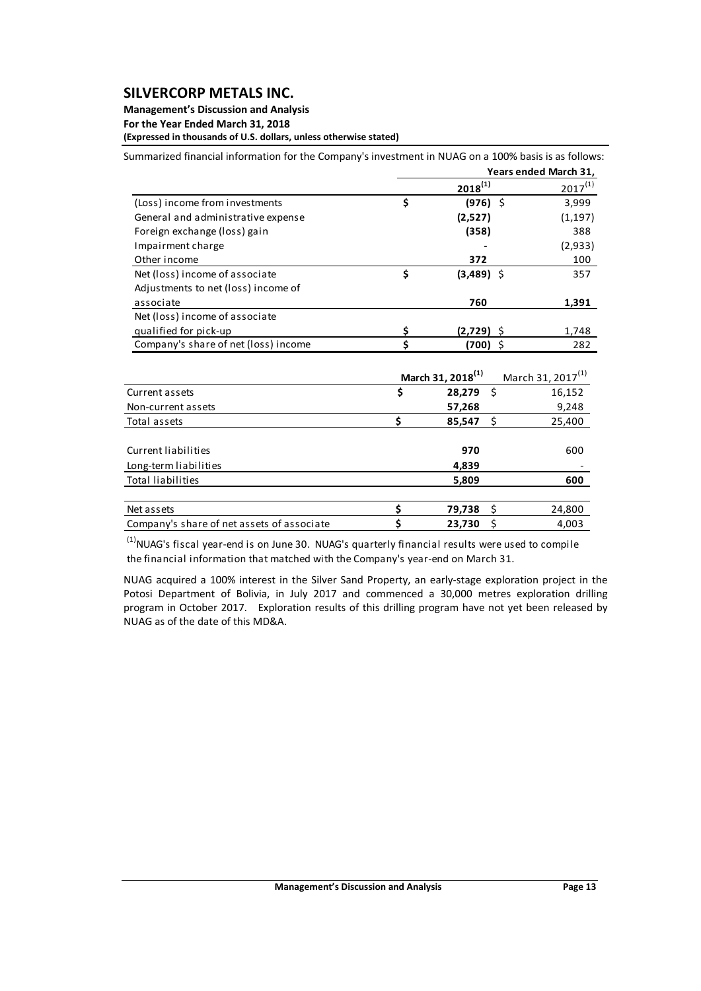## **Management's Discussion and Analysis**

**For the Year Ended March 31, 2018**

**(Expressed in thousands of U.S. dollars, unless otherwise stated)**

Summarized financial information for the Company's investment in NUAG on a 100% basis is as follows:

|                                            |    |                               | Years ended March 31,         |
|--------------------------------------------|----|-------------------------------|-------------------------------|
|                                            |    | $2018^{(1)}$                  | $2017^{(1)}$                  |
| (Loss) income from investments             | \$ | Ŝ.<br>(976)                   | 3,999                         |
| General and administrative expense         |    | (2,527)                       | (1, 197)                      |
| Foreign exchange (loss) gain               |    | (358)                         | 388                           |
| Impairment charge                          |    |                               | (2,933)                       |
| Other income                               |    | 372                           | 100                           |
| Net (loss) income of associate             | \$ | $(3,489)$ \$                  | 357                           |
| Adjustments to net (loss) income of        |    |                               |                               |
| associate                                  |    | 760                           | 1,391                         |
| Net (loss) income of associate             |    |                               |                               |
| qualified for pick-up                      | \$ | (2,729)                       | 1,748                         |
| Company's share of net (loss) income       | \$ | Ŝ.<br>(700)                   | 282                           |
|                                            |    | March 31, 2018 <sup>(1)</sup> | March 31, 2017 <sup>(1)</sup> |
| Current assets                             | \$ | \$<br>28,279                  | 16,152                        |
| Non-current assets                         |    | 57,268                        | 9,248                         |
| Total assets                               | \$ | - \$<br>85,547                | 25,400                        |
| Current liabilities                        |    | 970                           | 600                           |
| Long-term liabilities                      |    | 4,839                         |                               |
| <b>Total liabilities</b>                   |    | 5,809                         | 600                           |
| Net assets                                 | \$ | \$<br>79,738                  | 24,800                        |
| Company's share of net assets of associate | Ś  | \$<br>23,730                  | 4,003                         |

 $<sup>(1)</sup>$ NUAG's fiscal year-end is on June 30. NUAG's quarterly financial results were used to compile</sup> the financial information that matched with the Company's year‐end on March 31.

NUAG acquired a 100% interest in the Silver Sand Property, an early‐stage exploration project in the Potosi Department of Bolivia, in July 2017 and commenced a 30,000 metres exploration drilling program in October 2017. Exploration results of this drilling program have not yet been released by NUAG as of the date of this MD&A.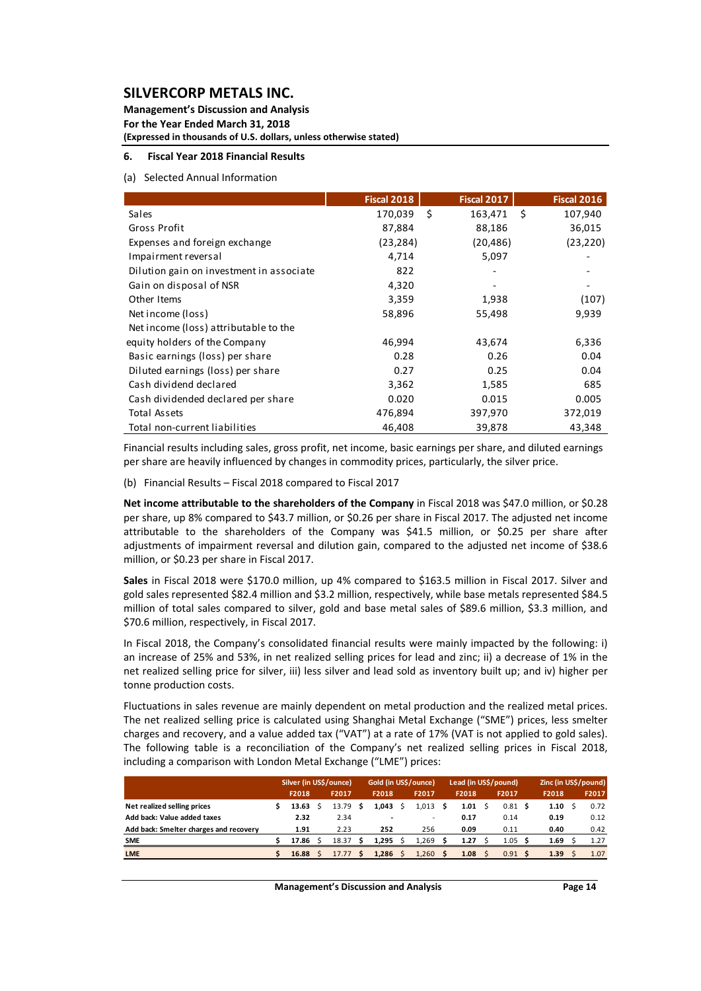**Management's Discussion and Analysis For the Year Ended March 31, 2018 (Expressed in thousands of U.S. dollars, unless otherwise stated)**

### **6. Fiscal Year 2018 Financial Results**

#### (a) Selected Annual Information

|                                          | <b>Fiscal 2018</b> | <b>Fiscal 2017</b> |      | <b>Fiscal 2016</b> |
|------------------------------------------|--------------------|--------------------|------|--------------------|
| Sales                                    | 170,039            | \$<br>163,471      | - \$ | 107,940            |
| Gross Profit                             | 87,884             | 88,186             |      | 36,015             |
| Expenses and foreign exchange            | (23,284)           | (20, 486)          |      | (23, 220)          |
| Impairment reversal                      | 4,714              | 5,097              |      |                    |
| Dilution gain on investment in associate | 822                |                    |      |                    |
| Gain on disposal of NSR                  | 4,320              |                    |      |                    |
| Other Items                              | 3,359              | 1,938              |      | (107)              |
| Net income (loss)                        | 58,896             | 55,498             |      | 9,939              |
| Net income (loss) attributable to the    |                    |                    |      |                    |
| equity holders of the Company            | 46,994             | 43,674             |      | 6,336              |
| Basic earnings (loss) per share          | 0.28               | 0.26               |      | 0.04               |
| Diluted earnings (loss) per share        | 0.27               | 0.25               |      | 0.04               |
| Cash dividend declared                   | 3,362              | 1,585              |      | 685                |
| Cash dividended declared per share       | 0.020              | 0.015              |      | 0.005              |
| Total Assets                             | 476,894            | 397,970            |      | 372,019            |
| Total non-current liabilities            | 46,408             | 39,878             |      | 43,348             |

Financial results including sales, gross profit, net income, basic earnings per share, and diluted earnings per share are heavily influenced by changes in commodity prices, particularly, the silver price.

(b) Financial Results – Fiscal 2018 compared to Fiscal 2017

**Net income attributable to the shareholders of the Company** in Fiscal 2018 was \$47.0 million, or \$0.28 per share, up 8% compared to \$43.7 million, or \$0.26 per share in Fiscal 2017. The adjusted net income attributable to the shareholders of the Company was \$41.5 million, or \$0.25 per share after adjustments of impairment reversal and dilution gain, compared to the adjusted net income of \$38.6 million, or \$0.23 per share in Fiscal 2017.

**Sales** in Fiscal 2018 were \$170.0 million, up 4% compared to \$163.5 million in Fiscal 2017. Silver and gold sales represented \$82.4 million and \$3.2 million, respectively, while base metals represented \$84.5 million of total sales compared to silver, gold and base metal sales of \$89.6 million, \$3.3 million, and \$70.6 million, respectively, in Fiscal 2017.

In Fiscal 2018, the Company's consolidated financial results were mainly impacted by the following: i) an increase of 25% and 53%, in net realized selling prices for lead and zinc; ii) a decrease of 1% in the net realized selling price for silver, iii) less silver and lead sold as inventory built up; and iv) higher per tonne production costs.

Fluctuations in sales revenue are mainly dependent on metal production and the realized metal prices. The net realized selling price is calculated using Shanghai Metal Exchange ("SME") prices, less smelter charges and recovery, and a value added tax ("VAT") at a rate of 17% (VAT is not applied to gold sales). The following table is a reconciliation of the Company's net realized selling prices in Fiscal 2018, including a comparison with London Metal Exchange ("LME") prices:

|                                        | Silver (in US\$/ounce) |  |       | Gold (in US\$/ounce) |       |  | Lead (in US\$/pound) |  |                |  | Zinc (in US\$/pound) |  |       |  |       |
|----------------------------------------|------------------------|--|-------|----------------------|-------|--|----------------------|--|----------------|--|----------------------|--|-------|--|-------|
|                                        | F2018                  |  | F2017 |                      | F2018 |  | F2017                |  | F2018          |  | F2017                |  | F2018 |  | F2017 |
| Net realized selling prices            | 13.63                  |  | 13.79 |                      | 1.043 |  | 1.013                |  | $1.01 \quad$ S |  | 0.81S                |  | 1.10  |  | 0.72  |
| Add back: Value added taxes            | 2.32                   |  | 2.34  |                      | -     |  | ۰                    |  | 0.17           |  | 0.14                 |  | 0.19  |  | 0.12  |
| Add back: Smelter charges and recovery | 1.91                   |  | 2.23  |                      | 252   |  | 256                  |  | 0.09           |  | 0.11                 |  | 0.40  |  | 0.42  |
| <b>SME</b>                             | 17.86                  |  | 18.37 |                      | 1.295 |  | 1,269                |  | 1.27           |  | 1.05                 |  | 1.69  |  | 1.27  |
| <b>LME</b>                             | 16.88                  |  | 17.77 |                      | 1.286 |  | 1.260                |  | 1.08           |  | 0.91S                |  | 1.39  |  | 1.07  |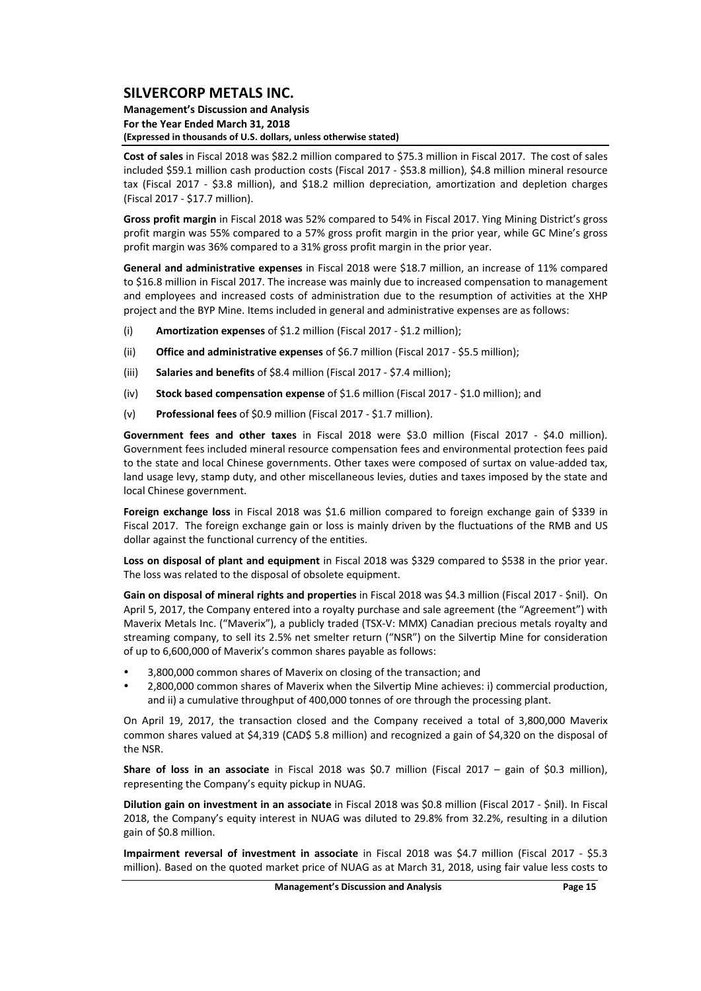#### **Management's Discussion and Analysis For the Year Ended March 31, 2018 (Expressed in thousands of U.S. dollars, unless otherwise stated)**

**Cost of sales** in Fiscal 2018 was \$82.2 million compared to \$75.3 million in Fiscal 2017. The cost of sales included \$59.1 million cash production costs (Fiscal 2017 ‐ \$53.8 million), \$4.8 million mineral resource tax (Fiscal 2017 - \$3.8 million), and \$18.2 million depreciation, amortization and depletion charges (Fiscal 2017 ‐ \$17.7 million).

**Gross profit margin** in Fiscal 2018 was 52% compared to 54% in Fiscal 2017. Ying Mining District's gross profit margin was 55% compared to a 57% gross profit margin in the prior year, while GC Mine's gross profit margin was 36% compared to a 31% gross profit margin in the prior year.

**General and administrative expenses** in Fiscal 2018 were \$18.7 million, an increase of 11% compared to \$16.8 million in Fiscal 2017. The increase was mainly due to increased compensation to management and employees and increased costs of administration due to the resumption of activities at the XHP project and the BYP Mine. Items included in general and administrative expenses are as follows:

- (i) **Amortization expenses** of \$1.2 million (Fiscal 2017 ‐ \$1.2 million);
- (ii) **Office and administrative expenses** of \$6.7 million (Fiscal 2017 ‐ \$5.5 million);
- (iii) **Salaries and benefits** of \$8.4 million (Fiscal 2017 ‐ \$7.4 million);
- (iv) **Stock based compensation expense** of \$1.6 million (Fiscal 2017 ‐ \$1.0 million); and
- (v) **Professional fees** of \$0.9 million (Fiscal 2017 ‐ \$1.7 million).

**Government fees and other taxes** in Fiscal 2018 were \$3.0 million (Fiscal 2017 ‐ \$4.0 million). Government fees included mineral resource compensation fees and environmental protection fees paid to the state and local Chinese governments. Other taxes were composed of surtax on value‐added tax, land usage levy, stamp duty, and other miscellaneous levies, duties and taxes imposed by the state and local Chinese government.

**Foreign exchange loss** in Fiscal 2018 was \$1.6 million compared to foreign exchange gain of \$339 in Fiscal 2017. The foreign exchange gain or loss is mainly driven by the fluctuations of the RMB and US dollar against the functional currency of the entities.

**Loss on disposal of plant and equipment** in Fiscal 2018 was \$329 compared to \$538 in the prior year. The loss was related to the disposal of obsolete equipment.

**Gain on disposal of mineral rights and properties** in Fiscal 2018 was \$4.3 million (Fiscal 2017 ‐ \$nil). On April 5, 2017, the Company entered into a royalty purchase and sale agreement (the "Agreement") with Maverix Metals Inc. ("Maverix"), a publicly traded (TSX‐V: MMX) Canadian precious metals royalty and streaming company, to sell its 2.5% net smelter return ("NSR") on the Silvertip Mine for consideration of up to 6,600,000 of Maverix's common shares payable as follows:

- 3,800,000 common shares of Maverix on closing of the transaction; and
- 2,800,000 common shares of Maverix when the Silvertip Mine achieves: i) commercial production, and ii) a cumulative throughput of 400,000 tonnes of ore through the processing plant.

On April 19, 2017, the transaction closed and the Company received a total of 3,800,000 Maverix common shares valued at \$4,319 (CAD\$ 5.8 million) and recognized a gain of \$4,320 on the disposal of the NSR.

**Share of loss in an associate** in Fiscal 2018 was \$0.7 million (Fiscal 2017 – gain of \$0.3 million), representing the Company's equity pickup in NUAG.

**Dilution gain on investment in an associate** in Fiscal 2018 was \$0.8 million (Fiscal 2017 ‐ \$nil). In Fiscal 2018, the Company's equity interest in NUAG was diluted to 29.8% from 32.2%, resulting in a dilution gain of \$0.8 million.

**Impairment reversal of investment in associate** in Fiscal 2018 was \$4.7 million (Fiscal 2017 ‐ \$5.3 million). Based on the quoted market price of NUAG as at March 31, 2018, using fair value less costs to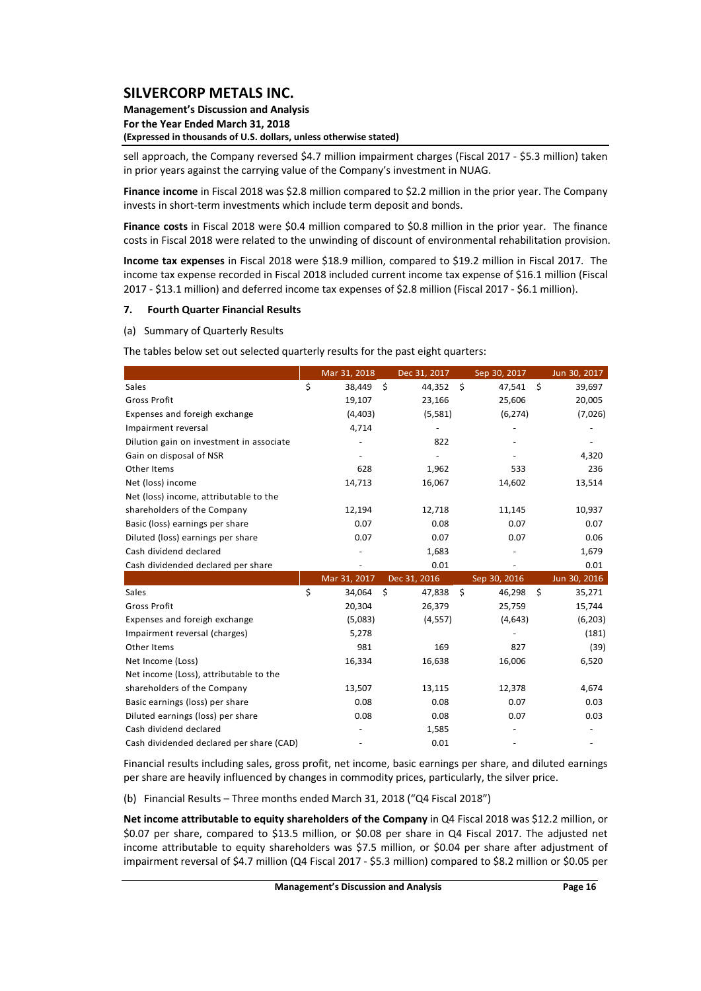#### **Management's Discussion and Analysis For the Year Ended March 31, 2018 (Expressed in thousands of U.S. dollars, unless otherwise stated)**

sell approach, the Company reversed \$4.7 million impairment charges (Fiscal 2017 ‐ \$5.3 million) taken in prior years against the carrying value of the Company's investment in NUAG.

**Finance income** in Fiscal 2018 was \$2.8 million compared to \$2.2 million in the prior year. The Company invests in short‐term investments which include term deposit and bonds.

**Finance costs** in Fiscal 2018 were \$0.4 million compared to \$0.8 million in the prior year. The finance costs in Fiscal 2018 were related to the unwinding of discount of environmental rehabilitation provision.

**Income tax expenses** in Fiscal 2018 were \$18.9 million, compared to \$19.2 million in Fiscal 2017. The income tax expense recorded in Fiscal 2018 included current income tax expense of \$16.1 million (Fiscal 2017 ‐ \$13.1 million) and deferred income tax expenses of \$2.8 million (Fiscal 2017 ‐ \$6.1 million).

#### **7. Fourth Quarter Financial Results**

(a) Summary of Quarterly Results

The tables below set out selected quarterly results for the past eight quarters:

|                                          | Mar 31, 2018 |    | Dec 31, 2017 | Sep 30, 2017 | Jun 30, 2017 |
|------------------------------------------|--------------|----|--------------|--------------|--------------|
| Sales                                    | \$<br>38,449 | Ś. | 44,352       | \$<br>47,541 | \$<br>39,697 |
| <b>Gross Profit</b>                      | 19,107       |    | 23,166       | 25,606       | 20,005       |
| Expenses and foreigh exchange            | (4, 403)     |    | (5,581)      | (6, 274)     | (7,026)      |
| Impairment reversal                      | 4,714        |    |              |              |              |
| Dilution gain on investment in associate |              |    | 822          |              |              |
| Gain on disposal of NSR                  |              |    |              |              | 4,320        |
| Other Items                              | 628          |    | 1,962        | 533          | 236          |
| Net (loss) income                        | 14,713       |    | 16,067       | 14,602       | 13,514       |
| Net (loss) income, attributable to the   |              |    |              |              |              |
| shareholders of the Company              | 12,194       |    | 12,718       | 11,145       | 10,937       |
| Basic (loss) earnings per share          | 0.07         |    | 0.08         | 0.07         | 0.07         |
| Diluted (loss) earnings per share        | 0.07         |    | 0.07         | 0.07         | 0.06         |
| Cash dividend declared                   |              |    | 1,683        |              | 1,679        |
|                                          |              |    |              |              |              |
| Cash dividended declared per share       |              |    | 0.01         |              | 0.01         |
|                                          | Mar 31, 2017 |    | Dec 31, 2016 | Sep 30, 2016 | Jun 30, 2016 |
| Sales                                    | \$<br>34,064 | \$ | 47,838       | \$<br>46,298 | \$<br>35,271 |
| <b>Gross Profit</b>                      | 20,304       |    | 26,379       | 25,759       | 15,744       |
| Expenses and foreigh exchange            | (5,083)      |    | (4, 557)     | (4,643)      | (6, 203)     |
| Impairment reversal (charges)            | 5,278        |    |              |              | (181)        |
| Other Items                              | 981          |    | 169          | 827          | (39)         |
| Net Income (Loss)                        | 16,334       |    | 16,638       | 16,006       | 6,520        |
| Net income (Loss), attributable to the   |              |    |              |              |              |
| shareholders of the Company              | 13,507       |    | 13,115       | 12,378       | 4,674        |
| Basic earnings (loss) per share          | 0.08         |    | 0.08         | 0.07         | 0.03         |
| Diluted earnings (loss) per share        | 0.08         |    | 0.08         | 0.07         | 0.03         |
| Cash dividend declared                   |              |    | 1,585        |              |              |

Financial results including sales, gross profit, net income, basic earnings per share, and diluted earnings per share are heavily influenced by changes in commodity prices, particularly, the silver price.

(b) Financial Results – Three months ended March 31, 2018 ("Q4 Fiscal 2018")

**Net income attributable to equity shareholders of the Company** in Q4 Fiscal 2018 was \$12.2 million, or \$0.07 per share, compared to \$13.5 million, or \$0.08 per share in Q4 Fiscal 2017. The adjusted net income attributable to equity shareholders was \$7.5 million, or \$0.04 per share after adjustment of impairment reversal of \$4.7 million (Q4 Fiscal 2017 ‐ \$5.3 million) compared to \$8.2 million or \$0.05 per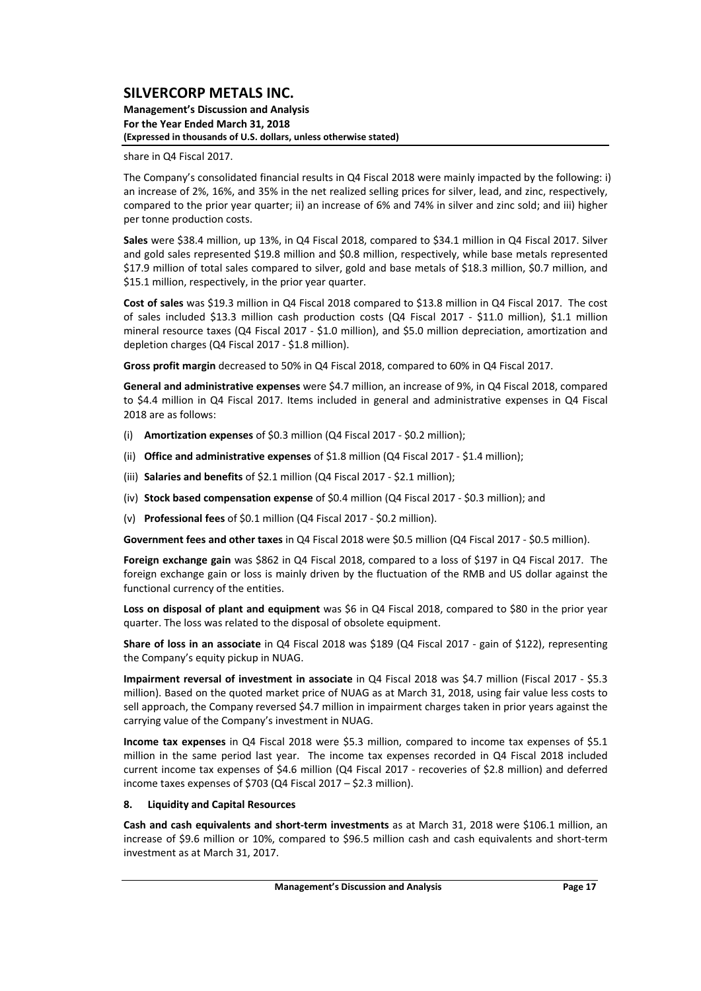**Management's Discussion and Analysis For the Year Ended March 31, 2018 (Expressed in thousands of U.S. dollars, unless otherwise stated)**

share in Q4 Fiscal 2017.

The Company's consolidated financial results in Q4 Fiscal 2018 were mainly impacted by the following: i) an increase of 2%, 16%, and 35% in the net realized selling prices for silver, lead, and zinc, respectively, compared to the prior year quarter; ii) an increase of 6% and 74% in silver and zinc sold; and iii) higher per tonne production costs.

**Sales** were \$38.4 million, up 13%, in Q4 Fiscal 2018, compared to \$34.1 million in Q4 Fiscal 2017. Silver and gold sales represented \$19.8 million and \$0.8 million, respectively, while base metals represented \$17.9 million of total sales compared to silver, gold and base metals of \$18.3 million, \$0.7 million, and \$15.1 million, respectively, in the prior year quarter.

**Cost of sales** was \$19.3 million in Q4 Fiscal 2018 compared to \$13.8 million in Q4 Fiscal 2017. The cost of sales included \$13.3 million cash production costs (Q4 Fiscal 2017 - \$11.0 million), \$1.1 million mineral resource taxes (Q4 Fiscal 2017 ‐ \$1.0 million), and \$5.0 million depreciation, amortization and depletion charges (Q4 Fiscal 2017 ‐ \$1.8 million).

**Gross profit margin** decreased to 50% in Q4 Fiscal 2018, compared to 60% in Q4 Fiscal 2017.

**General and administrative expenses** were \$4.7 million, an increase of 9%, in Q4 Fiscal 2018, compared to \$4.4 million in Q4 Fiscal 2017. Items included in general and administrative expenses in Q4 Fiscal 2018 are as follows:

- (i) **Amortization expenses** of \$0.3 million (Q4 Fiscal 2017 ‐ \$0.2 million);
- (ii) **Office and administrative expenses** of \$1.8 million (Q4 Fiscal 2017 ‐ \$1.4 million);
- (iii) **Salaries and benefits** of \$2.1 million (Q4 Fiscal 2017 ‐ \$2.1 million);
- (iv) **Stock based compensation expense** of \$0.4 million (Q4 Fiscal 2017 ‐ \$0.3 million); and
- (v) **Professional fees** of \$0.1 million (Q4 Fiscal 2017 ‐ \$0.2 million).

**Government fees and other taxes** in Q4 Fiscal 2018 were \$0.5 million (Q4 Fiscal 2017 ‐ \$0.5 million).

**Foreign exchange gain** was \$862 in Q4 Fiscal 2018, compared to a loss of \$197 in Q4 Fiscal 2017. The foreign exchange gain or loss is mainly driven by the fluctuation of the RMB and US dollar against the functional currency of the entities.

**Loss on disposal of plant and equipment** was \$6 in Q4 Fiscal 2018, compared to \$80 in the prior year quarter. The loss was related to the disposal of obsolete equipment.

**Share of loss in an associate** in Q4 Fiscal 2018 was \$189 (Q4 Fiscal 2017 ‐ gain of \$122), representing the Company's equity pickup in NUAG.

**Impairment reversal of investment in associate** in Q4 Fiscal 2018 was \$4.7 million (Fiscal 2017 ‐ \$5.3 million). Based on the quoted market price of NUAG as at March 31, 2018, using fair value less costs to sell approach, the Company reversed \$4.7 million in impairment charges taken in prior years against the carrying value of the Company's investment in NUAG.

**Income tax expenses** in Q4 Fiscal 2018 were \$5.3 million, compared to income tax expenses of \$5.1 million in the same period last year. The income tax expenses recorded in Q4 Fiscal 2018 included current income tax expenses of \$4.6 million (Q4 Fiscal 2017 ‐ recoveries of \$2.8 million) and deferred income taxes expenses of \$703 (Q4 Fiscal 2017 – \$2.3 million).

### **8. Liquidity and Capital Resources**

**Cash and cash equivalents and short‐term investments** as at March 31, 2018 were \$106.1 million, an increase of \$9.6 million or 10%, compared to \$96.5 million cash and cash equivalents and short‐term investment as at March 31, 2017.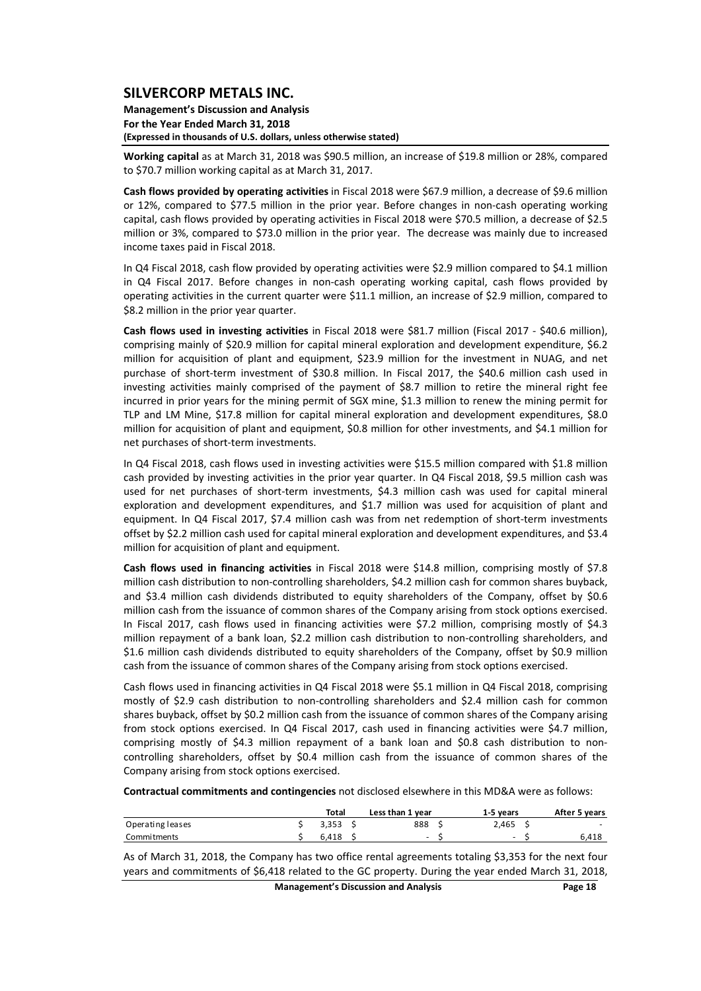**Management's Discussion and Analysis For the Year Ended March 31, 2018 (Expressed in thousands of U.S. dollars, unless otherwise stated)**

**Working capital** as at March 31, 2018 was \$90.5 million, an increase of \$19.8 million or 28%, compared to \$70.7 million working capital as at March 31, 2017.

**Cash flows provided by operating activities** in Fiscal 2018 were \$67.9 million, a decrease of \$9.6 million or 12%, compared to \$77.5 million in the prior year. Before changes in non-cash operating working capital, cash flows provided by operating activities in Fiscal 2018 were \$70.5 million, a decrease of \$2.5 million or 3%, compared to \$73.0 million in the prior year. The decrease was mainly due to increased income taxes paid in Fiscal 2018.

In Q4 Fiscal 2018, cash flow provided by operating activities were \$2.9 million compared to \$4.1 million in Q4 Fiscal 2017. Before changes in non-cash operating working capital, cash flows provided by operating activities in the current quarter were \$11.1 million, an increase of \$2.9 million, compared to \$8.2 million in the prior year quarter.

**Cash flows used in investing activities** in Fiscal 2018 were \$81.7 million (Fiscal 2017 ‐ \$40.6 million), comprising mainly of \$20.9 million for capital mineral exploration and development expenditure, \$6.2 million for acquisition of plant and equipment, \$23.9 million for the investment in NUAG, and net purchase of short‐term investment of \$30.8 million. In Fiscal 2017, the \$40.6 million cash used in investing activities mainly comprised of the payment of \$8.7 million to retire the mineral right fee incurred in prior years for the mining permit of SGX mine, \$1.3 million to renew the mining permit for TLP and LM Mine, \$17.8 million for capital mineral exploration and development expenditures, \$8.0 million for acquisition of plant and equipment, \$0.8 million for other investments, and \$4.1 million for net purchases of short‐term investments.

In Q4 Fiscal 2018, cash flows used in investing activities were \$15.5 million compared with \$1.8 million cash provided by investing activities in the prior year quarter. In Q4 Fiscal 2018, \$9.5 million cash was used for net purchases of short-term investments, \$4.3 million cash was used for capital mineral exploration and development expenditures, and \$1.7 million was used for acquisition of plant and equipment. In Q4 Fiscal 2017, \$7.4 million cash was from net redemption of short-term investments offset by \$2.2 million cash used for capital mineral exploration and development expenditures, and \$3.4 million for acquisition of plant and equipment.

**Cash flows used in financing activities** in Fiscal 2018 were \$14.8 million, comprising mostly of \$7.8 million cash distribution to non-controlling shareholders, \$4.2 million cash for common shares buyback, and \$3.4 million cash dividends distributed to equity shareholders of the Company, offset by \$0.6 million cash from the issuance of common shares of the Company arising from stock options exercised. In Fiscal 2017, cash flows used in financing activities were \$7.2 million, comprising mostly of \$4.3 million repayment of a bank loan, \$2.2 million cash distribution to non‐controlling shareholders, and \$1.6 million cash dividends distributed to equity shareholders of the Company, offset by \$0.9 million cash from the issuance of common shares of the Company arising from stock options exercised.

Cash flows used in financing activities in Q4 Fiscal 2018 were \$5.1 million in Q4 Fiscal 2018, comprising mostly of \$2.9 cash distribution to non-controlling shareholders and \$2.4 million cash for common shares buyback, offset by \$0.2 million cash from the issuance of common shares of the Company arising from stock options exercised. In Q4 Fiscal 2017, cash used in financing activities were \$4.7 million, comprising mostly of \$4.3 million repayment of a bank loan and \$0.8 cash distribution to non‐ controlling shareholders, offset by \$0.4 million cash from the issuance of common shares of the Company arising from stock options exercised.

**Contractual commitments and contingencies** not disclosed elsewhere in this MD&A were as follows:

|                  | Total | Less than 1 year | 1-5 vears | After 5 years            |
|------------------|-------|------------------|-----------|--------------------------|
| Operating leases | 3.353 | 888              | 2.465     | $\overline{\phantom{0}}$ |
| Commitments      | 6.418 | -                | -         | 6.418                    |

As of March 31, 2018, the Company has two office rental agreements totaling \$3,353 for the next four years and commitments of \$6,418 related to the GC property. During the year ended March 31, 2018,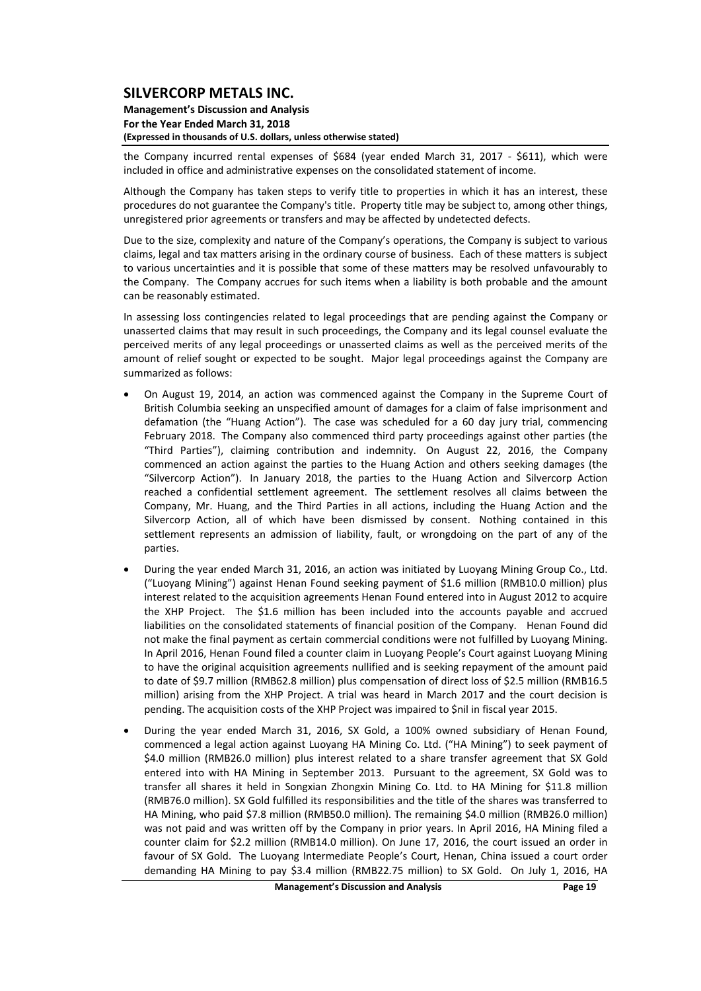#### **Management's Discussion and Analysis For the Year Ended March 31, 2018 (Expressed in thousands of U.S. dollars, unless otherwise stated)**

the Company incurred rental expenses of \$684 (year ended March 31, 2017 - \$611), which were included in office and administrative expenses on the consolidated statement of income.

Although the Company has taken steps to verify title to properties in which it has an interest, these procedures do not guarantee the Company's title. Property title may be subject to, among other things, unregistered prior agreements or transfers and may be affected by undetected defects.

Due to the size, complexity and nature of the Company's operations, the Company is subject to various claims, legal and tax matters arising in the ordinary course of business. Each of these matters is subject to various uncertainties and it is possible that some of these matters may be resolved unfavourably to the Company. The Company accrues for such items when a liability is both probable and the amount can be reasonably estimated.

In assessing loss contingencies related to legal proceedings that are pending against the Company or unasserted claims that may result in such proceedings, the Company and its legal counsel evaluate the perceived merits of any legal proceedings or unasserted claims as well as the perceived merits of the amount of relief sought or expected to be sought. Major legal proceedings against the Company are summarized as follows:

- On August 19, 2014, an action was commenced against the Company in the Supreme Court of British Columbia seeking an unspecified amount of damages for a claim of false imprisonment and defamation (the "Huang Action"). The case was scheduled for a 60 day jury trial, commencing February 2018. The Company also commenced third party proceedings against other parties (the "Third Parties"), claiming contribution and indemnity. On August 22, 2016, the Company commenced an action against the parties to the Huang Action and others seeking damages (the "Silvercorp Action"). In January 2018, the parties to the Huang Action and Silvercorp Action reached a confidential settlement agreement. The settlement resolves all claims between the Company, Mr. Huang, and the Third Parties in all actions, including the Huang Action and the Silvercorp Action, all of which have been dismissed by consent. Nothing contained in this settlement represents an admission of liability, fault, or wrongdoing on the part of any of the parties.
- During the year ended March 31, 2016, an action was initiated by Luoyang Mining Group Co., Ltd. ("Luoyang Mining") against Henan Found seeking payment of \$1.6 million (RMB10.0 million) plus interest related to the acquisition agreements Henan Found entered into in August 2012 to acquire the XHP Project. The \$1.6 million has been included into the accounts payable and accrued liabilities on the consolidated statements of financial position of the Company. Henan Found did not make the final payment as certain commercial conditions were not fulfilled by Luoyang Mining. In April 2016, Henan Found filed a counter claim in Luoyang People's Court against Luoyang Mining to have the original acquisition agreements nullified and is seeking repayment of the amount paid to date of \$9.7 million (RMB62.8 million) plus compensation of direct loss of \$2.5 million (RMB16.5 million) arising from the XHP Project. A trial was heard in March 2017 and the court decision is pending. The acquisition costs of the XHP Project was impaired to \$nil in fiscal year 2015.
- During the year ended March 31, 2016, SX Gold, a 100% owned subsidiary of Henan Found, commenced a legal action against Luoyang HA Mining Co. Ltd. ("HA Mining") to seek payment of \$4.0 million (RMB26.0 million) plus interest related to a share transfer agreement that SX Gold entered into with HA Mining in September 2013. Pursuant to the agreement, SX Gold was to transfer all shares it held in Songxian Zhongxin Mining Co. Ltd. to HA Mining for \$11.8 million (RMB76.0 million). SX Gold fulfilled its responsibilities and the title of the shares was transferred to HA Mining, who paid \$7.8 million (RMB50.0 million). The remaining \$4.0 million (RMB26.0 million) was not paid and was written off by the Company in prior years. In April 2016, HA Mining filed a counter claim for \$2.2 million (RMB14.0 million). On June 17, 2016, the court issued an order in favour of SX Gold. The Luoyang Intermediate People's Court, Henan, China issued a court order demanding HA Mining to pay \$3.4 million (RMB22.75 million) to SX Gold. On July 1, 2016, HA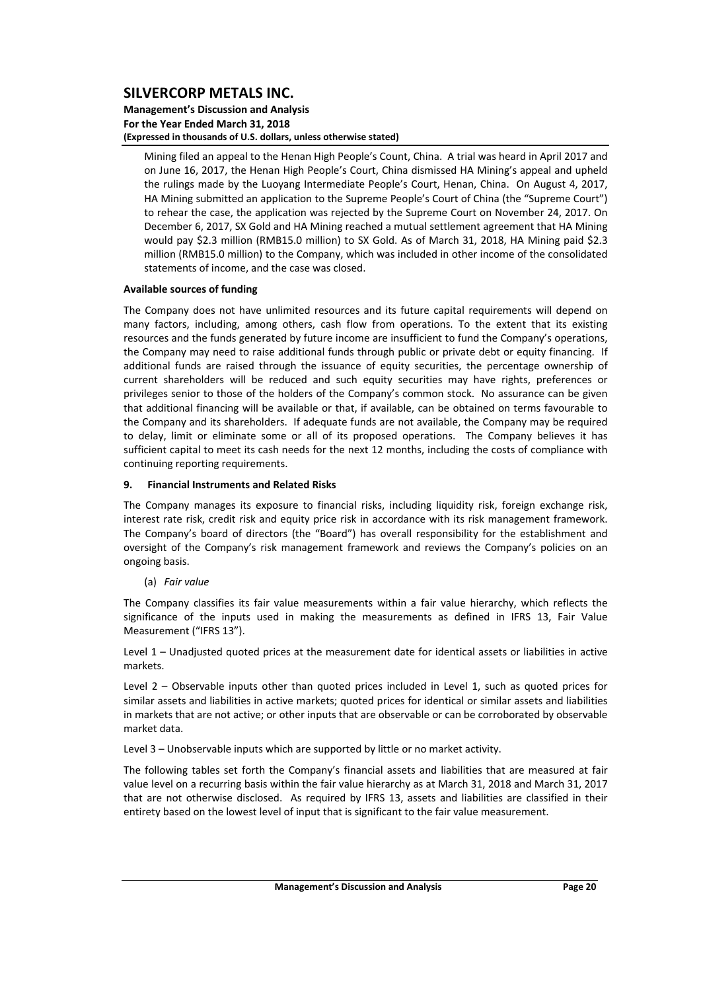#### **Management's Discussion and Analysis For the Year Ended March 31, 2018 (Expressed in thousands of U.S. dollars, unless otherwise stated)**

Mining filed an appeal to the Henan High People's Count, China. A trial was heard in April 2017 and on June 16, 2017, the Henan High People's Court, China dismissed HA Mining's appeal and upheld the rulings made by the Luoyang Intermediate People's Court, Henan, China. On August 4, 2017, HA Mining submitted an application to the Supreme People's Court of China (the "Supreme Court") to rehear the case, the application was rejected by the Supreme Court on November 24, 2017. On December 6, 2017, SX Gold and HA Mining reached a mutual settlement agreement that HA Mining would pay \$2.3 million (RMB15.0 million) to SX Gold. As of March 31, 2018, HA Mining paid \$2.3 million (RMB15.0 million) to the Company, which was included in other income of the consolidated statements of income, and the case was closed.

### **Available sources of funding**

The Company does not have unlimited resources and its future capital requirements will depend on many factors, including, among others, cash flow from operations. To the extent that its existing resources and the funds generated by future income are insufficient to fund the Company's operations, the Company may need to raise additional funds through public or private debt or equity financing. If additional funds are raised through the issuance of equity securities, the percentage ownership of current shareholders will be reduced and such equity securities may have rights, preferences or privileges senior to those of the holders of the Company's common stock. No assurance can be given that additional financing will be available or that, if available, can be obtained on terms favourable to the Company and its shareholders. If adequate funds are not available, the Company may be required to delay, limit or eliminate some or all of its proposed operations. The Company believes it has sufficient capital to meet its cash needs for the next 12 months, including the costs of compliance with continuing reporting requirements.

### **9. Financial Instruments and Related Risks**

The Company manages its exposure to financial risks, including liquidity risk, foreign exchange risk, interest rate risk, credit risk and equity price risk in accordance with its risk management framework. The Company's board of directors (the "Board") has overall responsibility for the establishment and oversight of the Company's risk management framework and reviews the Company's policies on an ongoing basis.

(a) *Fair value*

The Company classifies its fair value measurements within a fair value hierarchy, which reflects the significance of the inputs used in making the measurements as defined in IFRS 13, Fair Value Measurement ("IFRS 13").

Level 1 – Unadjusted quoted prices at the measurement date for identical assets or liabilities in active markets.

Level 2 – Observable inputs other than quoted prices included in Level 1, such as quoted prices for similar assets and liabilities in active markets; quoted prices for identical or similar assets and liabilities in markets that are not active; or other inputs that are observable or can be corroborated by observable market data.

Level 3 – Unobservable inputs which are supported by little or no market activity.

The following tables set forth the Company's financial assets and liabilities that are measured at fair value level on a recurring basis within the fair value hierarchy as at March 31, 2018 and March 31, 2017 that are not otherwise disclosed. As required by IFRS 13, assets and liabilities are classified in their entirety based on the lowest level of input that is significant to the fair value measurement.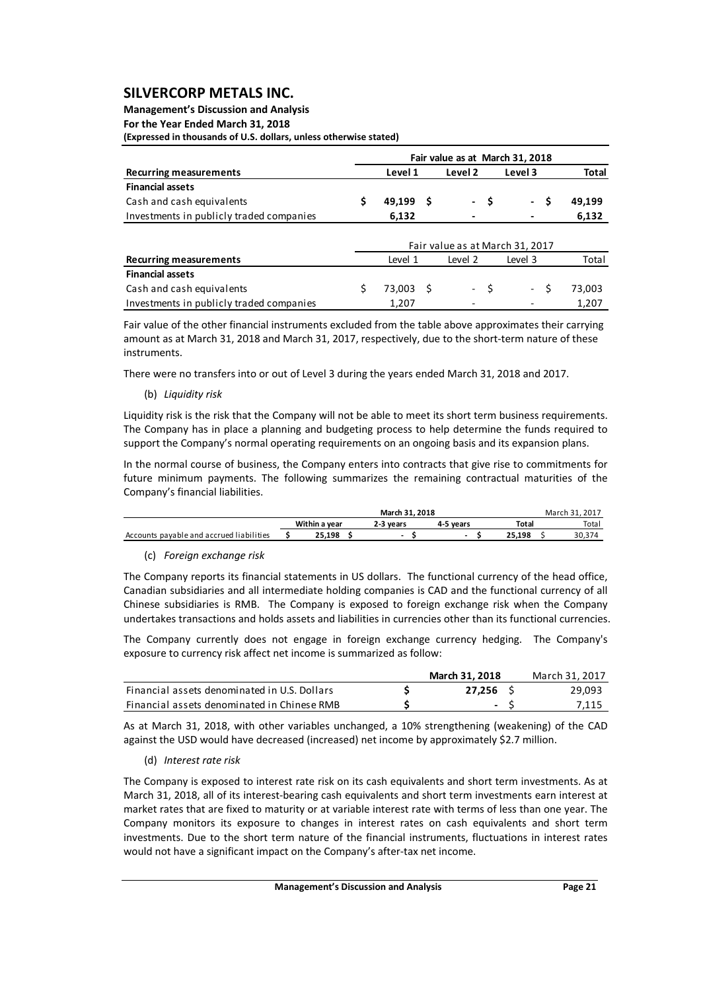**Management's Discussion and Analysis For the Year Ended March 31, 2018**

**(Expressed in thousands of U.S. dollars, unless otherwise stated)**

|                                          | Fair value as at March 31, 2018 |           |     |         |      |                                 |        |  |  |  |  |
|------------------------------------------|---------------------------------|-----------|-----|---------|------|---------------------------------|--------|--|--|--|--|
| <b>Recurring measurements</b>            |                                 | Level 1   |     | Level 2 |      | Level 3                         | Total  |  |  |  |  |
| <b>Financial assets</b>                  |                                 |           |     |         |      |                                 |        |  |  |  |  |
| Cash and cash equivalents                |                                 | 49,199    | - S |         | - \$ | \$.<br>$\sim$                   | 49,199 |  |  |  |  |
| Investments in publicly traded companies |                                 | 6,132     |     |         |      |                                 | 6,132  |  |  |  |  |
|                                          |                                 |           |     |         |      |                                 |        |  |  |  |  |
|                                          |                                 |           |     |         |      | Fair value as at March 31, 2017 |        |  |  |  |  |
| <b>Recurring measurements</b>            |                                 | Level 1   |     | Level 2 |      | Level 3                         | Total  |  |  |  |  |
| <b>Financial assets</b>                  |                                 |           |     |         |      |                                 |        |  |  |  |  |
| Cash and cash equivalents                | Ś                               | 73,003 \$ |     |         | - \$ | Ŝ.<br>$\sim$                    | 73,003 |  |  |  |  |
| Investments in publicly traded companies |                                 | 1,207     |     |         |      |                                 | 1,207  |  |  |  |  |

Fair value of the other financial instruments excluded from the table above approximates their carrying amount as at March 31, 2018 and March 31, 2017, respectively, due to the short-term nature of these instruments.

There were no transfers into or out of Level 3 during the years ended March 31, 2018 and 2017.

### (b) *Liquidity risk*

Liquidity risk is the risk that the Company will not be able to meet its short term business requirements. The Company has in place a planning and budgeting process to help determine the funds required to support the Company's normal operating requirements on an ongoing basis and its expansion plans.

In the normal course of business, the Company enters into contracts that give rise to commitments for future minimum payments. The following summarizes the remaining contractual maturities of the Company's financial liabilities.

|                                          |               | March 31, 2017 |           |        |  |       |
|------------------------------------------|---------------|----------------|-----------|--------|--|-------|
|                                          | Within a vear | 2-3 vears      | 4-5 vears | Total  |  | Total |
| Accounts payable and accrued liabilities | 25.198        |                | -         | 25.198 |  | 30.37 |

### (c) *Foreign exchange risk*

The Company reports its financial statements in US dollars. The functional currency of the head office, Canadian subsidiaries and all intermediate holding companies is CAD and the functional currency of all Chinese subsidiaries is RMB. The Company is exposed to foreign exchange risk when the Company undertakes transactions and holds assets and liabilities in currencies other than its functional currencies.

The Company currently does not engage in foreign exchange currency hedging. The Company's exposure to currency risk affect net income is summarized as follow:

|                                              | March 31, 2018           | March 31, 2017 |
|----------------------------------------------|--------------------------|----------------|
| Financial assets denominated in U.S. Dollars | 27.256                   | 29.093         |
| Financial assets denominated in Chinese RMB  | $\overline{\phantom{a}}$ | 7.115          |

As at March 31, 2018, with other variables unchanged, a 10% strengthening (weakening) of the CAD against the USD would have decreased (increased) net income by approximately \$2.7 million.

### (d) *Interest rate risk*

The Company is exposed to interest rate risk on its cash equivalents and short term investments. As at March 31, 2018, all of its interest-bearing cash equivalents and short term investments earn interest at market rates that are fixed to maturity or at variable interest rate with terms of less than one year. The Company monitors its exposure to changes in interest rates on cash equivalents and short term investments. Due to the short term nature of the financial instruments, fluctuations in interest rates would not have a significant impact on the Company's after-tax net income.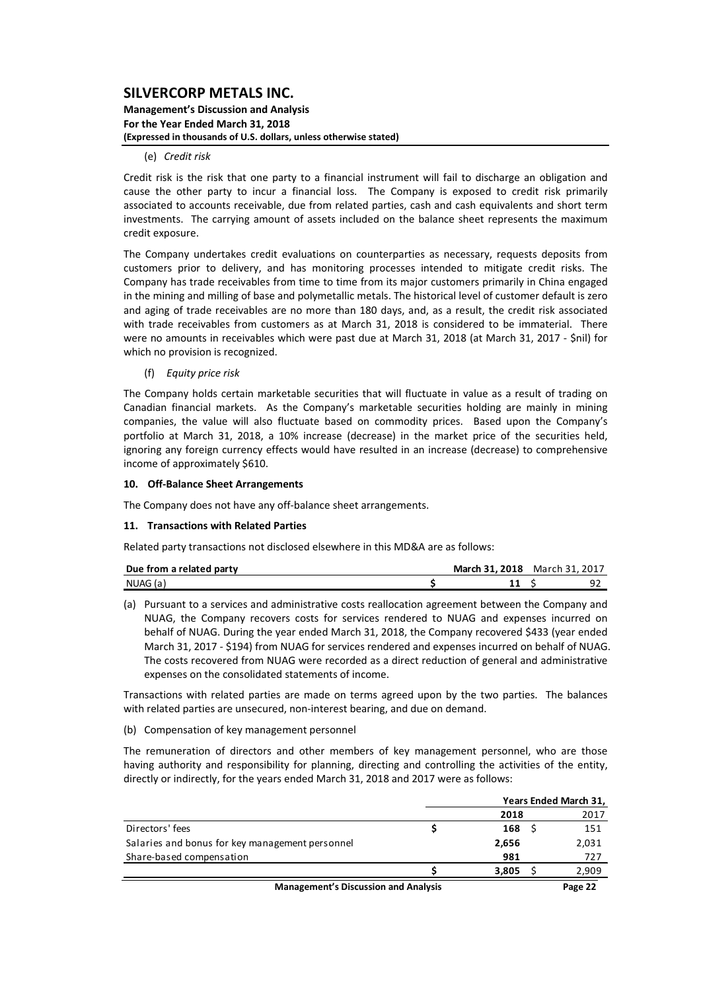**Management's Discussion and Analysis For the Year Ended March 31, 2018 (Expressed in thousands of U.S. dollars, unless otherwise stated)**

### (e) *Credit risk*

Credit risk is the risk that one party to a financial instrument will fail to discharge an obligation and cause the other party to incur a financial loss. The Company is exposed to credit risk primarily associated to accounts receivable, due from related parties, cash and cash equivalents and short term investments. The carrying amount of assets included on the balance sheet represents the maximum credit exposure.

The Company undertakes credit evaluations on counterparties as necessary, requests deposits from customers prior to delivery, and has monitoring processes intended to mitigate credit risks. The Company has trade receivables from time to time from its major customers primarily in China engaged in the mining and milling of base and polymetallic metals. The historical level of customer default is zero and aging of trade receivables are no more than 180 days, and, as a result, the credit risk associated with trade receivables from customers as at March 31, 2018 is considered to be immaterial. There were no amounts in receivables which were past due at March 31, 2018 (at March 31, 2017 ‐ \$nil) for which no provision is recognized.

#### (f) *Equity price risk*

The Company holds certain marketable securities that will fluctuate in value as a result of trading on Canadian financial markets. As the Company's marketable securities holding are mainly in mining companies, the value will also fluctuate based on commodity prices. Based upon the Company's portfolio at March 31, 2018, a 10% increase (decrease) in the market price of the securities held, ignoring any foreign currency effects would have resulted in an increase (decrease) to comprehensive income of approximately \$610.

#### **10. Off‐Balance Sheet Arrangements**

The Company does not have any off-balance sheet arrangements.

#### **11. Transactions with Related Parties**

Related party transactions not disclosed elsewhere in this MD&A are as follows:

| Due from a related party | March 31, 2018 | March 31, 2017 |     |
|--------------------------|----------------|----------------|-----|
| NUAG (a)                 |                |                | ے ر |

(a) Pursuant to a services and administrative costs reallocation agreement between the Company and NUAG, the Company recovers costs for services rendered to NUAG and expenses incurred on behalf of NUAG. During the year ended March 31, 2018, the Company recovered \$433 (year ended March 31, 2017 ‐ \$194) from NUAG for services rendered and expenses incurred on behalf of NUAG. The costs recovered from NUAG were recorded as a direct reduction of general and administrative expenses on the consolidated statements of income.

Transactions with related parties are made on terms agreed upon by the two parties. The balances with related parties are unsecured, non-interest bearing, and due on demand.

(b) Compensation of key management personnel

The remuneration of directors and other members of key management personnel, who are those having authority and responsibility for planning, directing and controlling the activities of the entity, directly or indirectly, for the years ended March 31, 2018 and 2017 were as follows:

|                                                 |  | Years Ended March 31, |  |       |  |  |
|-------------------------------------------------|--|-----------------------|--|-------|--|--|
|                                                 |  | 2018                  |  | 2017  |  |  |
| Directors' fees                                 |  | 168                   |  | 151   |  |  |
| Salaries and bonus for key management personnel |  | 2,656                 |  | 2,031 |  |  |
| Share-based compensation                        |  | 981                   |  | 727   |  |  |
|                                                 |  | 3,805                 |  | 2,909 |  |  |
| <b>Management's Discussion and Analysis</b>     |  |                       |  |       |  |  |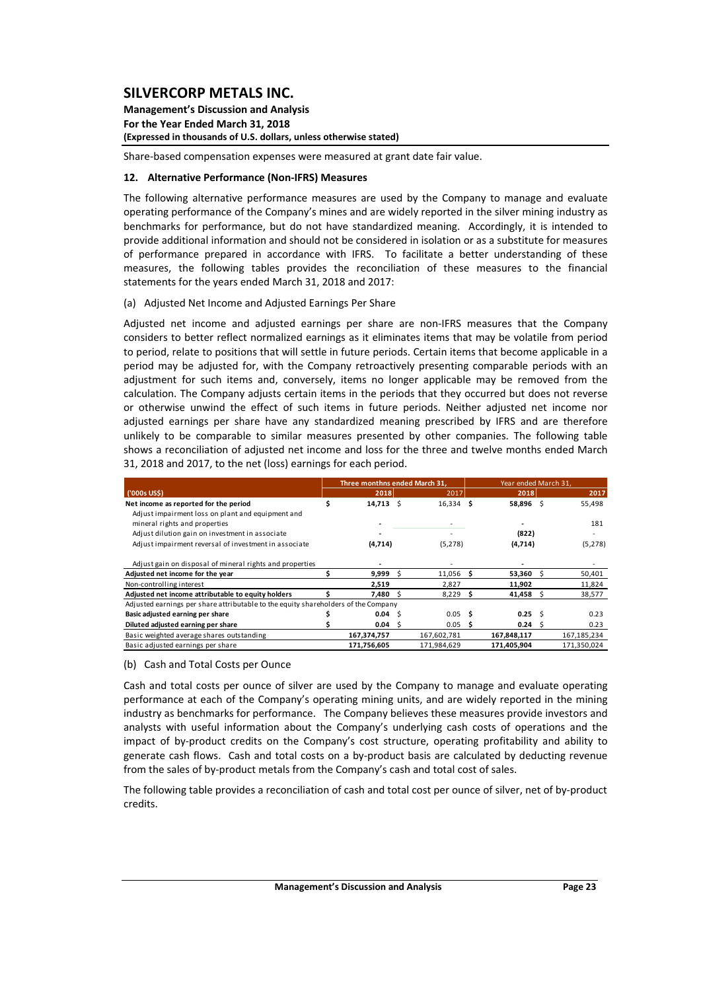**Management's Discussion and Analysis For the Year Ended March 31, 2018 (Expressed in thousands of U.S. dollars, unless otherwise stated)**

Share‐based compensation expenses were measured at grant date fair value.

### **12. Alternative Performance (Non‐IFRS) Measures**

The following alternative performance measures are used by the Company to manage and evaluate operating performance of the Company's mines and are widely reported in the silver mining industry as benchmarks for performance, but do not have standardized meaning. Accordingly, it is intended to provide additional information and should not be considered in isolation or as a substitute for measures of performance prepared in accordance with IFRS. To facilitate a better understanding of these measures, the following tables provides the reconciliation of these measures to the financial statements for the years ended March 31, 2018 and 2017:

### (a) Adjusted Net Income and Adjusted Earnings Per Share

Adjusted net income and adjusted earnings per share are non-IFRS measures that the Company considers to better reflect normalized earnings as it eliminates items that may be volatile from period to period, relate to positions that will settle in future periods. Certain items that become applicable in a period may be adjusted for, with the Company retroactively presenting comparable periods with an adjustment for such items and, conversely, items no longer applicable may be removed from the calculation. The Company adjusts certain items in the periods that they occurred but does not reverse or otherwise unwind the effect of such items in future periods. Neither adjusted net income nor adjusted earnings per share have any standardized meaning prescribed by IFRS and are therefore unlikely to be comparable to similar measures presented by other companies. The following table shows a reconciliation of adjusted net income and loss for the three and twelve months ended March 31, 2018 and 2017, to the net (loss) earnings for each period.

|                                                                                    |   | Three monthns ended March 31. |     |             |      | Year ended March 31. |     |               |
|------------------------------------------------------------------------------------|---|-------------------------------|-----|-------------|------|----------------------|-----|---------------|
| ('000s US\$)                                                                       |   | 2018                          |     | 2017        |      | 2018                 |     | 2017          |
| Net income as reported for the period                                              | s | $14,713$ \$                   |     | $16,334$ \$ |      | 58,896 \$            |     | 55,498        |
| Adjust impairment loss on plant and equipment and                                  |   |                               |     |             |      |                      |     |               |
| mineral rights and properties                                                      |   |                               |     |             |      |                      |     | 181           |
| Adjust dilution gain on investment in associate                                    |   |                               |     |             |      | (822)                |     |               |
| Adjust impairment reversal of investment in associate                              |   | (4,714)                       |     | (5,278)     |      | (4,714)              |     | (5, 278)      |
| Adjust gain on disposal of mineral rights and properties                           |   |                               |     |             |      |                      |     |               |
| Adjusted net income for the year                                                   |   | 9,999                         | - Ś | $11,056$ \$ |      | 53,360               | S   | 50,401        |
| Non-controlling interest                                                           |   | 2,519                         |     | 2,827       |      | 11,902               |     | 11,824        |
| Adjusted net income attributable to equity holders                                 |   | 7,480                         | - S | 8,229       | -S   | 41,458               | -S  | 38,577        |
| Adjusted earnings per share attributable to the equity shareholders of the Company |   |                               |     |             |      |                      |     |               |
| Basic adjusted earning per share                                                   |   | 0.04                          | - Ś | 0.05        | - \$ | 0.25                 | - S | 0.23          |
| Diluted adjusted earning per share                                                 |   | 0.04                          | - S | 0.05        | -S   | 0.24                 | S   | 0.23          |
| Basic weighted average shares outstanding                                          |   | 167,374,757                   |     | 167,602,781 |      | 167,848,117          |     | 167, 185, 234 |
| Basic adjusted earnings per share                                                  |   | 171,756,605                   |     | 171,984,629 |      | 171,405,904          |     | 171.350.024   |

### (b) Cash and Total Costs per Ounce

Cash and total costs per ounce of silver are used by the Company to manage and evaluate operating performance at each of the Company's operating mining units, and are widely reported in the mining industry as benchmarks for performance. The Company believes these measures provide investors and analysts with useful information about the Company's underlying cash costs of operations and the impact of by‐product credits on the Company's cost structure, operating profitability and ability to generate cash flows. Cash and total costs on a by‐product basis are calculated by deducting revenue from the sales of by‐product metals from the Company's cash and total cost of sales.

The following table provides a reconciliation of cash and total cost per ounce of silver, net of by‐product credits.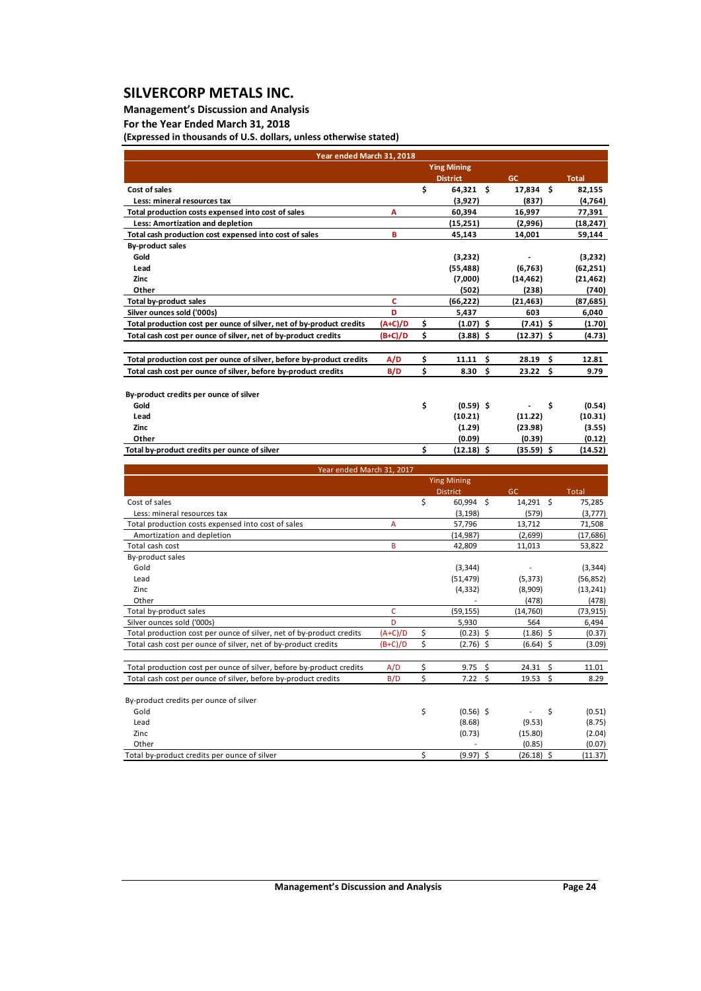## **Management's Discussion and Analysis**

**For the Year Ended March 31, 2018**

**(Expressed in thousands of U.S. dollars, unless otherwise stated)**

| Year ended March 31, 2018                                            |                |    |                    |              |              |
|----------------------------------------------------------------------|----------------|----|--------------------|--------------|--------------|
|                                                                      |                |    | <b>Ying Mining</b> |              |              |
|                                                                      |                |    | <b>District</b>    | <b>GC</b>    | <b>Total</b> |
| Cost of sales                                                        |                | \$ | $64,321$ \$        | 17,834 \$    | 82,155       |
| Less: mineral resources tax                                          |                |    | (3,927)            | (837)        | (4, 764)     |
| Total production costs expensed into cost of sales                   | A              |    | 60,394             | 16,997       | 77,391       |
| Less: Amortization and depletion                                     |                |    | (15,251)           | (2,996)      | (18, 247)    |
| Total cash production cost expensed into cost of sales               | B              |    | 45,143             | 14,001       | 59,144       |
| <b>By-product sales</b>                                              |                |    |                    |              |              |
| Gold                                                                 |                |    | (3,232)            |              | (3,232)      |
| Lead                                                                 |                |    | (55, 488)          | (6, 763)     | (62, 251)    |
| Zinc                                                                 |                |    | (7,000)            | (14, 462)    | (21, 462)    |
| Other                                                                |                |    | (502)              | (238)        | (740)        |
| <b>Total by-product sales</b>                                        | C              |    | (66, 222)          | (21, 463)    | (87,685)     |
| Silver ounces sold ('000s)                                           | D              |    | 5,437              | 603          | 6,040        |
| Total production cost per ounce of silver, net of by-product credits | (A+C)/D        | \$ | (1.07)<br>\$       | $(7.41)$ \$  | (1.70)       |
| Total cash cost per ounce of silver, net of by-product credits       | (B+C)/D        | \$ | (3.88)<br>\$       | (12.37) \$   | (4.73)       |
| Total production cost per ounce of silver, before by-product credits | A/D            | \$ | 11.11<br>\$        | 28.19<br>\$  | 12.81        |
|                                                                      |                | \$ | \$<br>8.30         | 23.22<br>\$  |              |
| Total cash cost per ounce of silver, before by-product credits       | B/D            |    |                    |              | 9.79         |
|                                                                      |                |    |                    |              |              |
| By-product credits per ounce of silver<br>Gold                       |                | \$ |                    |              |              |
|                                                                      |                |    | $(0.59)$ \$        | \$           | (0.54)       |
| Lead                                                                 |                |    | (10.21)            | (11.22)      | (10.31)      |
| Zinc                                                                 |                |    | (1.29)             | (23.98)      | (3.55)       |
| Other                                                                |                |    | (0.09)             | (0.39)       | (0.12)       |
| Total by-product credits per ounce of silver                         |                | \$ | $(12.18)$ \$       | $(35.59)$ \$ | (14.52)      |
| Year ended March 31, 2017                                            |                |    |                    |              |              |
|                                                                      |                |    | <b>Ying Mining</b> |              |              |
|                                                                      |                |    | <b>District</b>    | <b>GC</b>    | Total        |
| Cost of sales                                                        |                | \$ | 60,994 \$          | 14,291 \$    | 75,285       |
| Less: mineral resources tax                                          |                |    | (3, 198)           | (579)        | (3,777)      |
| Total production costs expensed into cost of sales                   | $\overline{A}$ |    | 57,796             | 13,712       | 71,508       |
| Amortization and depletion                                           |                |    | (14, 987)          | (2,699)      | (17, 686)    |
| Total cash cost                                                      | B              |    | 42,809             | 11,013       | 53,822       |
| By-product sales                                                     |                |    |                    |              |              |
| Gold                                                                 |                |    | (3, 344)           |              | (3, 344)     |
| Lead                                                                 |                |    | (51, 479)          | (5, 373)     | (56, 852)    |
| Zinc                                                                 |                |    | (4, 332)           | (8,909)      | (13, 241)    |
| Other                                                                |                |    |                    | (478)        | (478)        |
| Total by-product sales                                               | c              |    | (59, 155)          | (14, 760)    | (73, 915)    |
| Silver ounces sold ('000s)                                           | D              |    | 5.930              | 564          | 6,494        |
| Total production cost per ounce of silver, net of by-product credits | $(A+C)/D$      | \$ | (0.23)<br>\$       | $(1.86)$ \$  | (0.37)       |
| Total cash cost per ounce of silver, net of by-product credits       | $(B+C)/D$      | \$ | $(2.76)$ \$        | (6.64)<br>\$ | (3.09)       |
| Total production cost per ounce of silver, before by-product credits |                |    |                    |              |              |
|                                                                      | A/D            | \$ | 9.75<br>\$         | 24.31<br>\$  | 11.01        |
| Total cash cost per ounce of silver, before by-product credits       | B/D            | Ś  | \$<br>7.22         | \$<br>19.53  | 8.29         |
|                                                                      |                |    |                    |              |              |
| By-product credits per ounce of silver<br>Gold                       |                | \$ | $(0.56)$ \$        | \$           | (0.51)       |

| uuu                                          | י וטכיטו | .       | ا د ۱۰  |
|----------------------------------------------|----------|---------|---------|
| Lead                                         | (8.68)   | (9.53)  | (8.75)  |
| Zinc                                         | (0.73)   | (15.80) | (2.04)  |
| Other                                        |          | (0.85)  | (0.07)  |
| Total by-product credits per ounce of silver | (9.97)   | (26.18) | (11.37) |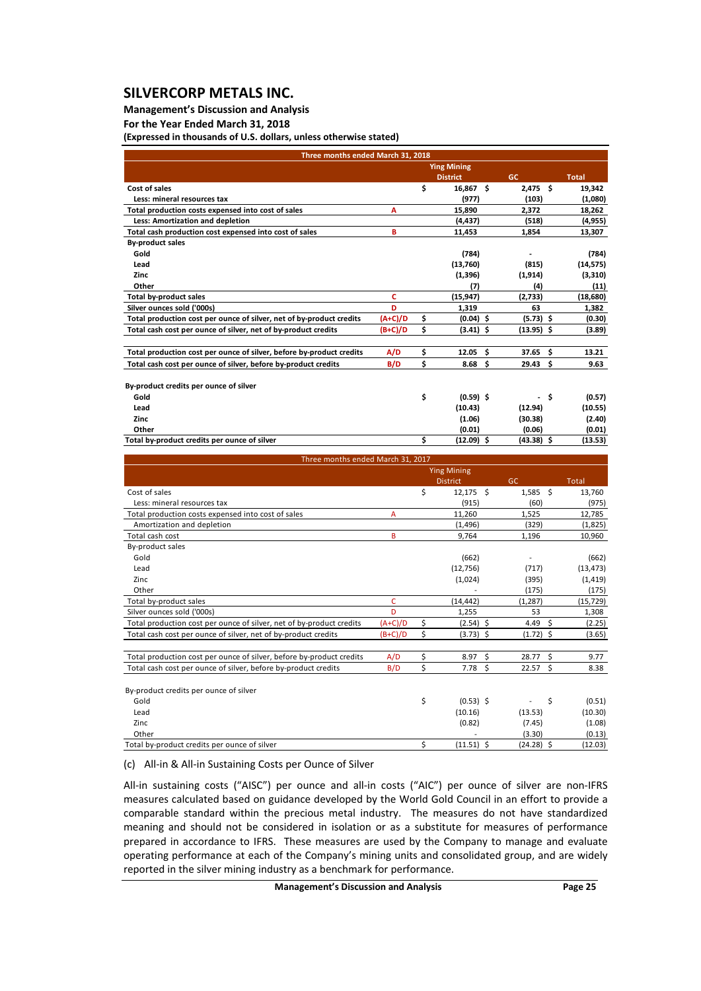### **Management's Discussion and Analysis**

**For the Year Ended March 31, 2018**

**(Expressed in thousands of U.S. dollars, unless otherwise stated)**

| Three months ended March 31, 2018                                    |           |    |                    |    |                    |     |              |  |  |  |  |
|----------------------------------------------------------------------|-----------|----|--------------------|----|--------------------|-----|--------------|--|--|--|--|
|                                                                      |           |    | <b>Ying Mining</b> |    |                    |     |              |  |  |  |  |
|                                                                      |           |    | <b>District</b>    |    | GC.                |     | <b>Total</b> |  |  |  |  |
| Cost of sales                                                        |           | \$ | 16,867 \$          |    | $2,475$ \$         |     | 19,342       |  |  |  |  |
| Less: mineral resources tax                                          |           |    | (977)              |    | (103)              |     | (1,080)      |  |  |  |  |
| Total production costs expensed into cost of sales                   | А         |    | 15,890             |    | 2,372              |     | 18,262       |  |  |  |  |
| Less: Amortization and depletion                                     |           |    | (4, 437)           |    | (518)              |     | (4, 955)     |  |  |  |  |
| Total cash production cost expensed into cost of sales               | в         |    | 11,453             |    | 1,854              |     | 13,307       |  |  |  |  |
| <b>By-product sales</b>                                              |           |    |                    |    |                    |     |              |  |  |  |  |
| Gold                                                                 |           |    | (784)              |    |                    |     | (784)        |  |  |  |  |
| Lead                                                                 |           |    | (13,760)           |    | (815)              |     | (14, 575)    |  |  |  |  |
| Zinc                                                                 |           |    | (1,396)            |    | (1,914)            |     | (3,310)      |  |  |  |  |
| Other                                                                |           |    | (7)                |    | (4)                |     | (11)         |  |  |  |  |
| <b>Total by-product sales</b>                                        | c         |    | (15, 947)          |    | (2,733)            |     | (18,680)     |  |  |  |  |
| Silver ounces sold ('000s)                                           | D         |    | 1,319              |    | 63                 |     | 1,382        |  |  |  |  |
| Total production cost per ounce of silver, net of by-product credits | $(A+C)/D$ | \$ | $(0.04)$ \$        |    | $(5.73)$ \$        |     | (0.30)       |  |  |  |  |
| Total cash cost per ounce of silver, net of by-product credits       | $(B+C)/D$ | \$ | $(3.41)$ \$        |    | $(13.95)$ \$       |     | (3.89)       |  |  |  |  |
|                                                                      |           |    |                    |    |                    |     |              |  |  |  |  |
| Total production cost per ounce of silver, before by-product credits | A/D       | \$ | 12.05              | Ŝ. | 37.65 <sub>5</sub> |     | 13.21        |  |  |  |  |
| Total cash cost per ounce of silver, before by-product credits       | B/D       | \$ | 8.68               | \$ | 29.43 <sub>5</sub> |     | 9.63         |  |  |  |  |
|                                                                      |           |    |                    |    |                    |     |              |  |  |  |  |
| By-product credits per ounce of silver                               |           |    |                    |    |                    |     |              |  |  |  |  |
| Gold                                                                 |           | \$ | $(0.59)$ \$        |    |                    | -\$ | (0.57)       |  |  |  |  |
| Lead                                                                 |           |    | (10.43)            |    | (12.94)            |     | (10.55)      |  |  |  |  |
| Zinc                                                                 |           |    | (1.06)             |    | (30.38)            |     | (2.40)       |  |  |  |  |
| Other                                                                |           |    | (0.01)             |    | (0.06)             |     | (0.01)       |  |  |  |  |
| Total by-product credits per ounce of silver                         |           | \$ | $(12.09)$ \$       |    | $(43.38)$ \$       |     | (13.53)      |  |  |  |  |

| Three months ended March 31, 2017                                    |           |    |                    |              |             |              |  |  |  |  |  |
|----------------------------------------------------------------------|-----------|----|--------------------|--------------|-------------|--------------|--|--|--|--|--|
|                                                                      |           |    | <b>Ying Mining</b> |              |             |              |  |  |  |  |  |
|                                                                      |           |    | <b>District</b>    | GC           |             | <b>Total</b> |  |  |  |  |  |
| Cost of sales                                                        |           | \$ | $12,175$ \$        |              | $1,585$ \$  | 13,760       |  |  |  |  |  |
| Less: mineral resources tax                                          |           |    | (915)              | (60)         |             | (975)        |  |  |  |  |  |
| Total production costs expensed into cost of sales                   | A         |    | 11,260             | 1,525        |             | 12,785       |  |  |  |  |  |
| Amortization and depletion                                           |           |    | (1, 496)           | (329)        |             | (1,825)      |  |  |  |  |  |
| Total cash cost                                                      | B         |    | 9,764              | 1,196        |             | 10,960       |  |  |  |  |  |
| <b>By-product sales</b>                                              |           |    |                    |              |             |              |  |  |  |  |  |
| Gold                                                                 |           |    | (662)              |              |             | (662)        |  |  |  |  |  |
| Lead                                                                 |           |    | (12,756)           | (717)        |             | (13, 473)    |  |  |  |  |  |
| Zinc                                                                 |           |    | (1,024)            | (395)        |             | (1, 419)     |  |  |  |  |  |
| Other                                                                |           |    |                    | (175)        |             | (175)        |  |  |  |  |  |
| Total by-product sales                                               | c         |    | (14,442)           | (1, 287)     |             | (15, 729)    |  |  |  |  |  |
| Silver ounces sold ('000s)                                           | D         |    | 1,255              |              | 53          | 1,308        |  |  |  |  |  |
| Total production cost per ounce of silver, net of by-product credits | $(A+C)/D$ | \$ | $(2.54)$ \$        | 4.49         | Ŝ.          | (2.25)       |  |  |  |  |  |
| Total cash cost per ounce of silver, net of by-product credits       | $(B+C)/D$ | \$ | $(3.73)$ \$        |              | $(1.72)$ \$ | (3.65)       |  |  |  |  |  |
| Total production cost per ounce of silver, before by-product credits | A/D       | \$ | 8.97               | \$<br>28.77  | - \$        | 9.77         |  |  |  |  |  |
| Total cash cost per ounce of silver, before by-product credits       | B/D       | \$ | 7.78               | \$<br>22.57  | \$          | 8.38         |  |  |  |  |  |
| By-product credits per ounce of silver                               |           |    |                    |              |             |              |  |  |  |  |  |
| Gold                                                                 |           | \$ | $(0.53)$ \$        | ۰            | \$          | (0.51)       |  |  |  |  |  |
| Lead                                                                 |           |    | (10.16)            | (13.53)      |             | (10.30)      |  |  |  |  |  |
| Zinc                                                                 |           |    | (0.82)             | (7.45)       |             | (1.08)       |  |  |  |  |  |
| Other                                                                |           |    |                    | (3.30)       |             | (0.13)       |  |  |  |  |  |
| Total by-product credits per ounce of silver                         |           | \$ | $(11.51)$ \$       | $(24.28)$ \$ |             | (12.03)      |  |  |  |  |  |

### (c) All‐in & All‐in Sustaining Costs per Ounce of Silver

All-in sustaining costs ("AISC") per ounce and all-in costs ("AIC") per ounce of silver are non-IFRS measures calculated based on guidance developed by the World Gold Council in an effort to provide a comparable standard within the precious metal industry. The measures do not have standardized meaning and should not be considered in isolation or as a substitute for measures of performance prepared in accordance to IFRS. These measures are used by the Company to manage and evaluate operating performance at each of the Company's mining units and consolidated group, and are widely reported in the silver mining industry as a benchmark for performance.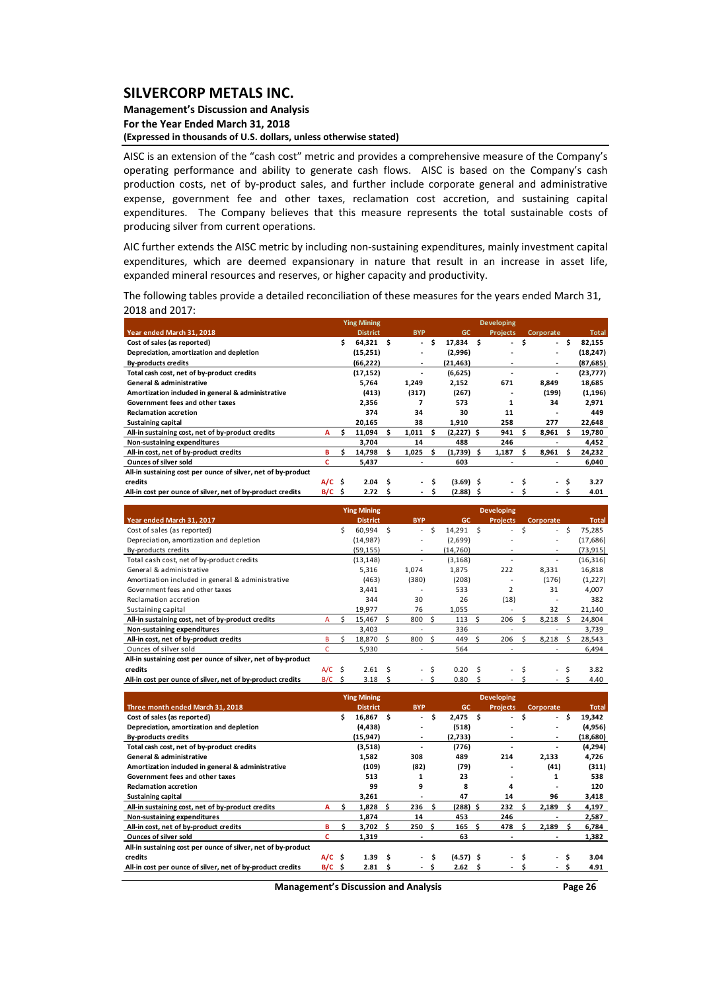#### **Management's Discussion and Analysis For the Year Ended March 31, 2018 (Expressed in thousands of U.S. dollars, unless otherwise stated)**

AISC is an extension of the "cash cost" metric and provides a comprehensive measure of the Company's operating performance and ability to generate cash flows. AISC is based on the Company's cash production costs, net of by-product sales, and further include corporate general and administrative expense, government fee and other taxes, reclamation cost accretion, and sustaining capital expenditures. The Company believes that this measure represents the total sustainable costs of producing silver from current operations.

AIC further extends the AISC metric by including non‐sustaining expenditures, mainly investment capital expenditures, which are deemed expansionary in nature that result in an increase in asset life, expanded mineral resources and reserves, or higher capacity and productivity.

The following tables provide a detailed reconciliation of these measures for the years ended March 31, 2018 and 2017:

|                                                               |             |    | <b>Ying Mining</b> |   |            |    |              |   | <b>Developing</b> |     |           |     |              |
|---------------------------------------------------------------|-------------|----|--------------------|---|------------|----|--------------|---|-------------------|-----|-----------|-----|--------------|
| Year ended March 31, 2018                                     |             |    | <b>District</b>    |   | <b>BYP</b> |    | <b>GC</b>    |   | <b>Projects</b>   |     | Corporate |     | <b>Total</b> |
| Cost of sales (as reported)                                   |             | Ś. | $64,321$ \$        |   | ÷.         | Ś. | $17,834$ \$  |   | ۰.                | \$. | $\sim$    | \$. | 82,155       |
| Depreciation, amortization and depletion                      |             |    | (15,251)           |   |            |    | (2,996)      |   |                   |     | ٠         |     | (18, 247)    |
| <b>By-products credits</b>                                    |             |    | (66,222)           |   | ٠          |    | (21,463)     |   |                   |     | ٠         |     | (87, 685)    |
| Total cash cost, net of by-product credits                    |             |    | (17, 152)          |   |            |    | (6,625)      |   |                   |     |           |     | (23, 777)    |
| <b>General &amp; administrative</b>                           |             |    | 5,764              |   | 1,249      |    | 2,152        |   | 671               |     | 8,849     |     | 18,685       |
| Amortization included in general & administrative             |             |    | (413)              |   | (317)      |    | (267)        |   |                   |     | (199)     |     | (1, 196)     |
| Government fees and other taxes                               |             |    | 2,356              |   |            |    | 573          |   | 1                 |     | 34        |     | 2,971        |
| <b>Reclamation accretion</b>                                  |             |    | 374                |   | 34         |    | 30           |   | 11                |     |           |     | 449          |
| <b>Sustaining capital</b>                                     |             |    | 20,165             |   | 38         |    | 1,910        |   | 258               |     | 277       |     | 22,648       |
| All-in sustaining cost, net of by-product credits             | A           |    | 11,094             |   | 1,011      |    | $(2,227)$ \$ |   | 941               |     | 8,961     |     | 19,780       |
| <b>Non-sustaining expenditures</b>                            |             |    | 3.704              |   | 14         |    | 488          |   | 246               |     |           |     | 4,452        |
| All-in cost, net of by-product credits                        | в           | s  | 14,798             | s | 1,025      | Ŝ  | (1,739)      | s | 1,187             |     | 8,961     | s   | 24,232       |
| <b>Ounces of silver sold</b>                                  |             |    | 5,437              |   |            |    | 603          |   |                   |     |           |     | 6,040        |
| All-in sustaining cost per ounce of silver, net of by-product |             |    |                    |   |            |    |              |   |                   |     |           |     |              |
| credits                                                       | $A/C$ \$    |    | 2.04               | Ŝ | ۰.         |    | $(3.69)$ \$  |   | ۰.                |     | $\sim$    | \$  | 3.27         |
| All-in cost per ounce of silver, net of by-product credits    | $B/C \cong$ |    | 2.72               | s | ٠          | s  | $(2.88)$ \$  |   |                   |     |           | S   | 4.01         |

|                                                               |          |    | <b>Ying Mining</b> |    |                          |    |           |   | <b>Developing</b>        |    |           |    |              |
|---------------------------------------------------------------|----------|----|--------------------|----|--------------------------|----|-----------|---|--------------------------|----|-----------|----|--------------|
| Year ended March 31, 2017                                     |          |    | <b>District</b>    |    | <b>BYP</b>               |    | <b>GC</b> |   | <b>Projects</b>          |    | Corporate |    | <b>Total</b> |
| Cost of sales (as reported)                                   |          | Ś. | 60,994             | Ś  | $\equiv$                 | Ŝ. | 14,291 \$ |   | $\overline{\phantom{0}}$ | Ŝ. | $\sim$    | Ŝ. | 75,285       |
| Depreciation, amortization and depletion                      |          |    | (14, 987)          |    |                          |    | (2,699)   |   |                          |    | ۰         |    | (17,686)     |
| By-products credits                                           |          |    | (59, 155)          |    | $\overline{\phantom{a}}$ |    | (14,760)  |   |                          |    | ۰         |    | (73, 915)    |
| Total cash cost, net of by-product credits                    |          |    | (13, 148)          |    |                          |    | (3, 168)  |   |                          |    |           |    | (16, 316)    |
| General & administrative                                      |          |    | 5,316              |    | 1,074                    |    | 1,875     |   | 222                      |    | 8,331     |    | 16,818       |
| Amortization included in general & administrative             |          |    | (463)              |    | (380)                    |    | (208)     |   |                          |    | (176)     |    | (1,227)      |
| Government fees and other taxes                               |          |    | 3,441              |    |                          |    | 533       |   | 2                        |    | 31        |    | 4,007        |
| Reclamation accretion                                         |          |    | 344                |    | 30                       |    | 26        |   | (18)                     |    |           |    | 382          |
| Sustaining capital                                            |          |    | 19,977             |    | 76                       |    | 1,055     |   |                          |    | 32        |    | 21,140       |
| All-in sustaining cost, net of by-product credits             | A        | Ś. | 15,467             | S. | 800                      | Ŝ. | 113       | Ŝ | 206                      |    | 8.218     | S  | 24,804       |
| Non-sustaining expenditures                                   |          |    | 3.403              |    |                          |    | 336       |   |                          |    |           |    | 3,739        |
| All-in cost, net of by-product credits                        | в        |    | 18,870             | -S | 800                      |    | 449       |   | 206                      |    | 8,218     | S  | 28,543       |
| Ounces of silver sold                                         | c        |    | 5,930              |    |                          |    | 564       |   |                          |    |           |    | 6,494        |
| All-in sustaining cost per ounce of silver, net of by-product |          |    |                    |    |                          |    |           |   |                          |    |           |    |              |
| credits                                                       | $A/C$ \$ |    | 2.61               | Ś  | $\sim$                   | Ŝ  | 0.20      |   | $\overline{\phantom{a}}$ |    | $\sim$    | Ś  | 3.82         |
| All-in cost per ounce of silver, net of by-product credits    | $B/C$ \$ |    | 3.18               | Ś  | $\overline{a}$           |    | 0.80      |   |                          |    |           |    | 4.40         |

|                                                               |          |   | <b>Ying Mining</b> |   |                  |    |             |   | <b>Developing</b> |      |           |      |              |
|---------------------------------------------------------------|----------|---|--------------------|---|------------------|----|-------------|---|-------------------|------|-----------|------|--------------|
| Three month ended March 31, 2018                              |          |   | <b>District</b>    |   | <b>BYP</b>       |    | GC          |   | <b>Projects</b>   |      | Corporate |      | <b>Total</b> |
| Cost of sales (as reported)                                   |          | Ś | 16,867             | S | $\sim$           | Ŝ. | $2,475$ \$  |   | $\sim$            | - \$ |           | - \$ | 19,342       |
| Depreciation, amortization and depletion                      |          |   | (4, 438)           |   |                  |    | (518)       |   | ۰                 |      | ٠         |      | (4,956)      |
| <b>By-products credits</b>                                    |          |   | (15, 947)          |   | ۰                |    | (2,733)     |   | ۰                 |      | ٠         |      | (18, 680)    |
| Total cash cost, net of by-product credits                    |          |   | (3,518)            |   |                  |    | (776)       |   |                   |      |           |      | (4,294)      |
| <b>General &amp; administrative</b>                           |          |   | 1,582              |   | 308              |    | 489         |   | 214               |      | 2,133     |      | 4,726        |
| Amortization included in general & administrative             |          |   | (109)              |   | (82)             |    | (79)        |   |                   |      | (41)      |      | (311)        |
| Government fees and other taxes                               |          |   | 513                |   | 1                |    | 23          |   |                   |      | 1         |      | 538          |
| <b>Reclamation accretion</b>                                  |          |   | 99                 |   | 9                |    | 8           |   | 4                 |      |           |      | 120          |
| Sustaining capital                                            |          |   | 3,261              |   | $\overline{a}$   |    | 47          |   | 14                |      | 96        |      | 3,418        |
| All-in sustaining cost, net of by-product credits             | A        |   | 1,828              | S | 236              |    | $(288)$ \$  |   | 232               |      | 2,189     |      | 4,197        |
| Non-sustaining expenditures                                   |          |   | 1,874              |   | 14               |    | 453         |   | 246               |      |           |      | 2,587        |
| All-in cost, net of by-product credits                        | в        |   | $3,702 \quad $$    |   | 250 <sub>5</sub> |    | 165         | Ŝ | 478               | s.   | 2,189     | s    | 6,784        |
| <b>Ounces of silver sold</b>                                  | c        |   | 1,319              |   | $\overline{a}$   |    | 63          |   | ۰                 |      |           |      | 1,382        |
| All-in sustaining cost per ounce of silver, net of by-product |          |   |                    |   |                  |    |             |   |                   |      |           |      |              |
| credits                                                       | $A/C$ \$ |   | 1.39               | S | $\sim$           | Ŝ  | $(4.57)$ \$ |   | ۰.                | \$.  | ۰.        | S    | 3.04         |
| All-in cost per ounce of silver, net of by-product credits    | $B/C$ \$ |   | 2.81               |   | ۰                |    | 2.62        |   |                   |      |           |      | 4.91         |

**Management's Discussion and Analysis Page 26**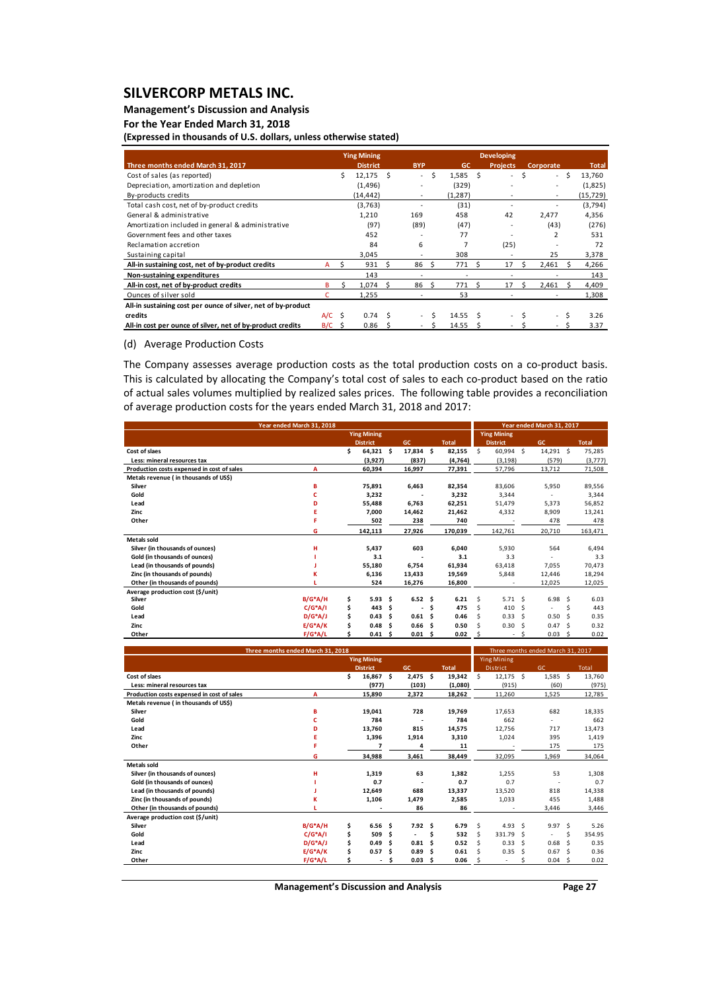## **Management's Discussion and Analysis**

**For the Year Ended March 31, 2018**

**(Expressed in thousands of U.S. dollars, unless otherwise stated)**

|                                                               |          |      | <b>Ying Mining</b> |    |                          |     |         |     | <b>Developing</b>        |    |                  |    |              |
|---------------------------------------------------------------|----------|------|--------------------|----|--------------------------|-----|---------|-----|--------------------------|----|------------------|----|--------------|
| Three months ended March 31, 2017                             |          |      | <b>District</b>    |    | <b>BYP</b>               |     | GC      |     | <b>Projects</b>          |    | <b>Corporate</b> |    | <b>Total</b> |
| Cost of sales (as reported)                                   |          | Ś.   | 12,175             | Ŝ. | $\equiv$                 | Ś.  | 1,585   | - Ś | $\overline{\phantom{0}}$ | Ś  | $\sim$           | Ŝ. | 13,760       |
| Depreciation, amortization and depletion                      |          |      | (1, 496)           |    |                          |     | (329)   |     |                          |    | ٠                |    | (1,825)      |
| By-products credits                                           |          |      | (14, 442)          |    |                          |     | (1,287) |     |                          |    |                  |    | (15, 729)    |
| Total cash cost, net of by-product credits                    |          |      | (3,763)            |    |                          |     | (31)    |     |                          |    |                  |    | (3,794)      |
| General & administrative                                      |          |      | 1,210              |    | 169                      |     | 458     |     | 42                       |    | 2,477            |    | 4,356        |
| Amortization included in general & administrative             |          |      | (97)               |    | (89)                     |     | (47)    |     |                          |    | (43)             |    | (276)        |
| Government fees and other taxes                               |          |      | 452                |    |                          |     | 77      |     |                          |    |                  |    | 531          |
| Reclamation accretion                                         |          |      | 84                 |    | 6                        |     |         |     | (25)                     |    |                  |    | 72           |
| Sustaining capital                                            |          |      | 3,045              |    |                          |     | 308     |     |                          |    | 25               |    | 3,378        |
| All-in sustaining cost, net of by-product credits             | A        |      | 931                |    | 86                       |     | 771     | S   | 17                       | S. | 2,461            |    | 4,266        |
| Non-sustaining expenditures                                   |          |      | 143                |    |                          |     | ٠       |     |                          |    |                  |    | 143          |
| All-in cost, net of by-product credits                        | B        |      | 1,074              | Ŝ. | 86                       | ι<π | 771     | Ŝ.  | 17                       | ς  | 2,461            |    | 4,409        |
| Ounces of silver sold                                         |          |      | 1,255              |    |                          |     | 53      |     |                          |    |                  |    | 1,308        |
| All-in sustaining cost per ounce of silver, net of by-product |          |      |                    |    |                          |     |         |     |                          |    |                  |    |              |
| credits                                                       | $A/C$ \$ |      | 0.74               | S  | $\overline{\phantom{a}}$ |     | 14.55   |     | ٠                        |    | $\sim$           |    | 3.26         |
| All-in cost per ounce of silver, net of by-product credits    | B/C      | - \$ | 0.86               |    |                          |     | 14.55   |     |                          |    |                  | Ś  | 3.37         |

### (d) Average Production Costs

The Company assesses average production costs as the total production costs on a co-product basis. This is calculated by allocating the Company's total cost of sales to each co-product based on the ratio of actual sales volumes multiplied by realized sales prices. The following table provides a reconciliation of average production costs for the years ended March 31, 2018 and 2017:

| Year ended March 31, 2018                  |            |    |                    |     |                   |      | Year ended March 31, 2017 |    |                    |      |                |               |              |
|--------------------------------------------|------------|----|--------------------|-----|-------------------|------|---------------------------|----|--------------------|------|----------------|---------------|--------------|
|                                            |            |    | <b>Ying Mining</b> |     |                   |      |                           |    | <b>Ying Mining</b> |      |                |               |              |
|                                            |            |    | <b>District</b>    |     | GC                |      | <b>Total</b>              |    | <b>District</b>    |      | GC             |               | <b>Total</b> |
| Cost of slaes                              |            | \$ | 64,321             | \$  | 17,834 \$         |      | 82,155                    | Ŝ. | 60,994 \$          |      | 14,291 \$      |               | 75,285       |
| Less: mineral resources tax                |            |    | (3,927)            |     | (837)             |      | (4, 764)                  |    | (3, 198)           |      | (579)          |               | (3,777)      |
| Production costs expensed in cost of sales | А          |    | 60,394             |     | 16,997            |      | 77,391                    |    | 57,796             |      | 13,712         |               | 71,508       |
| Metals revenue ( in thousands of US\$)     |            |    |                    |     |                   |      |                           |    |                    |      |                |               |              |
| Silver                                     | в          |    | 75,891             |     | 6,463             |      | 82,354                    |    | 83,606             |      | 5,950          |               | 89,556       |
| Gold                                       | c          |    | 3,232              |     |                   |      | 3,232                     |    | 3,344              |      |                |               | 3,344        |
| Lead                                       | D          |    | 55,488             |     | 6,763             |      | 62,251                    |    | 51,479             |      | 5,373          |               | 56,852       |
| Zinc                                       | Е          |    | 7,000              |     | 14,462            |      | 21,462                    |    | 4,332              |      | 8,909          |               | 13,241       |
| Other                                      |            |    | 502                |     | 238               |      | 740                       |    |                    |      | 478            |               | 478          |
|                                            | G          |    | 142,113            |     | 27,926            |      | 170,039                   |    | 142,761            |      | 20,710         |               | 163,471      |
| <b>Metals sold</b>                         |            |    |                    |     |                   |      |                           |    |                    |      |                |               |              |
| Silver (in thousands of ounces)            | н          |    | 5,437              |     | 603               |      | 6,040                     |    | 5,930              |      | 564            |               | 6,494        |
| Gold (in thousands of ounces)              |            |    | 3.1                |     |                   |      | 3.1                       |    | 3.3                |      |                |               | 3.3          |
| Lead (in thousands of pounds)              |            |    | 55,180             |     | 6,754             |      | 61,934                    |    | 63,418             |      | 7,055          |               | 70,473       |
| Zinc (in thousands of pounds)              | к          |    | 6,136              |     | 13,433            |      | 19,569                    |    | 5,848              |      | 12,446         |               | 18,294       |
| Other (in thousands of pounds)             |            |    | 524                |     | 16,276            |      | 16,800                    |    |                    |      | 12,025         |               | 12,025       |
| Average production cost (\$/unit)          |            |    |                    |     |                   |      |                           |    |                    |      |                |               |              |
| Silver                                     | $B/G^*A/H$ | \$ | 5.93               | \$. | $6.52 \quad$ \$   |      | 6.21                      | Š. | $5.71 \quad$ \$    |      | 6.98           | -S            | 6.03         |
| Gold                                       | $C/G^*A/I$ | \$ | 443                | Ŝ.  | Ĭ.                | Ŝ    | 475                       | \$ | 410                | - \$ | $\overline{a}$ | Ś             | 443          |
| Lead                                       | $D/G^*A/J$ | \$ | 0.43               | Ŝ   | 0.61 <sub>5</sub> |      | 0.46                      | Š. | 0.33               | - \$ | 0.50           | -Ś            | 0.35         |
| Zinc                                       | $E/G^*A/K$ | Ś  | 0.48               | Ś   | 0.66              | - \$ | 0.50                      | Š. | 0.30               | - \$ | 0.47           | <sup>\$</sup> | 0.32         |
| Other                                      | $F/G^*A/L$ |    | 0.41               | -\$ | $0.01 \quad $$    |      | 0.02                      | \$ | $\overline{a}$     | -Ś   | 0.03           | - \$          | 0.02         |

| Three months ended March 31, 2018          |                                              |    |        |     |                          |      | Three months ended March 31, 2017 |                 |                    |      |                |       |        |
|--------------------------------------------|----------------------------------------------|----|--------|-----|--------------------------|------|-----------------------------------|-----------------|--------------------|------|----------------|-------|--------|
|                                            | <b>Ying Mining</b>                           |    |        |     |                          |      |                                   |                 | <b>Ying Mining</b> |      |                |       |        |
|                                            | GC<br><b>Total</b><br><b>District</b>        |    |        |     |                          |      |                                   | <b>District</b> |                    | GC   |                | Total |        |
| Cost of slaes                              |                                              | Ś. | 16,867 | \$. | 2,475                    | - \$ | 19,342                            | Ŝ.              | $12,175$ \$        |      | $1,585$ \$     |       | 13,760 |
| Less: mineral resources tax                |                                              |    | (977)  |     | (103)                    |      | (1,080)                           |                 | (915)              |      | (60)           |       | (975)  |
| Production costs expensed in cost of sales | A                                            |    | 15,890 |     | 2,372                    |      | 18,262                            |                 | 11,260             |      | 1,525          |       | 12,785 |
| Metals revenue (in thousands of US\$)      |                                              |    |        |     |                          |      |                                   |                 |                    |      |                |       |        |
| Silver                                     | B                                            |    | 19,041 |     | 728                      |      | 19.769                            |                 | 17,653             |      | 682            |       | 18,335 |
| Gold                                       | c                                            |    | 784    |     |                          |      | 784                               |                 | 662                |      | ٠              |       | 662    |
| Lead                                       | D                                            |    | 13,760 |     | 815                      |      | 14.575                            |                 | 12,756             |      | 717            |       | 13,473 |
| Zinc                                       |                                              |    | 1,396  |     | 1,914                    |      | 3,310                             |                 | 1,024              |      | 395            |       | 1,419  |
| Other                                      | $\overline{\mathbf{z}}$<br>4                 |    |        |     |                          | 11   |                                   |                 |                    | 175  |                | 175   |        |
|                                            | G                                            |    | 34,988 |     | 3,461                    |      | 38,449                            |                 | 32,095             |      | 1,969          |       | 34,064 |
| Metals sold                                |                                              |    |        |     |                          |      |                                   |                 |                    |      |                |       |        |
| Silver (in thousands of ounces)            | н                                            |    | 1,319  |     | 63                       |      | 1,382                             |                 | 1,255              |      | 53             |       | 1,308  |
| Gold (in thousands of ounces)              |                                              |    | 0.7    |     |                          |      | 0.7                               |                 | 0.7                |      |                |       | 0.7    |
| Lead (in thousands of pounds)              |                                              |    | 12,649 |     | 688                      |      | 13,337                            |                 | 13,520             |      | 818            |       | 14,338 |
| Zinc (in thousands of pounds)              |                                              |    | 1,106  |     | 1,479                    |      | 2,585                             |                 | 1,033              |      | 455            |       | 1,488  |
| Other (in thousands of pounds)             |                                              |    |        |     | 86                       |      | 86                                |                 |                    |      | 3,446          |       | 3,446  |
| Average production cost (\$/unit)          |                                              |    |        |     |                          |      |                                   |                 |                    |      |                |       |        |
| Silver                                     | $B/G^*A/H$                                   | \$ | 6.56   | \$. | $7.92 \quad$ \$          |      | 6.79                              | Ŝ.              | 4.93 \$            |      | 9.97S          |       | 5.26   |
| Gold                                       | $C/G^*A/I$                                   | \$ | 509    | \$  | $\overline{\phantom{a}}$ | Ŝ    | 532                               | Ŝ.              | 331.79             | - \$ | $\overline{a}$ | \$    | 354.95 |
| Lead                                       | $D/G^*A/J$<br>Ś.<br>0.81<br>0.49<br>- Ś<br>Ŝ |    |        |     | 0.52                     | Š.   | 0.33                              | - \$            | 0.68               | - Ś  | 0.35           |       |        |
| Zinc                                       | $E/G^*A/K$<br>\$<br>0.57<br>0.89<br>Ŝ<br>- Ś |    |        |     |                          | 0.61 |                                   | 0.35            | - \$               | 0.67 | .S             | 0.36  |        |
| Other                                      | $F/G^*A/L$<br>0.03<br>0.06<br>Ś.<br>-Ś<br>Ŝ  |    |        |     |                          |      |                                   | $\overline{a}$  |                    | 0.04 | -Ś             | 0.02  |        |

**Management's Discussion and Analysis Page 27**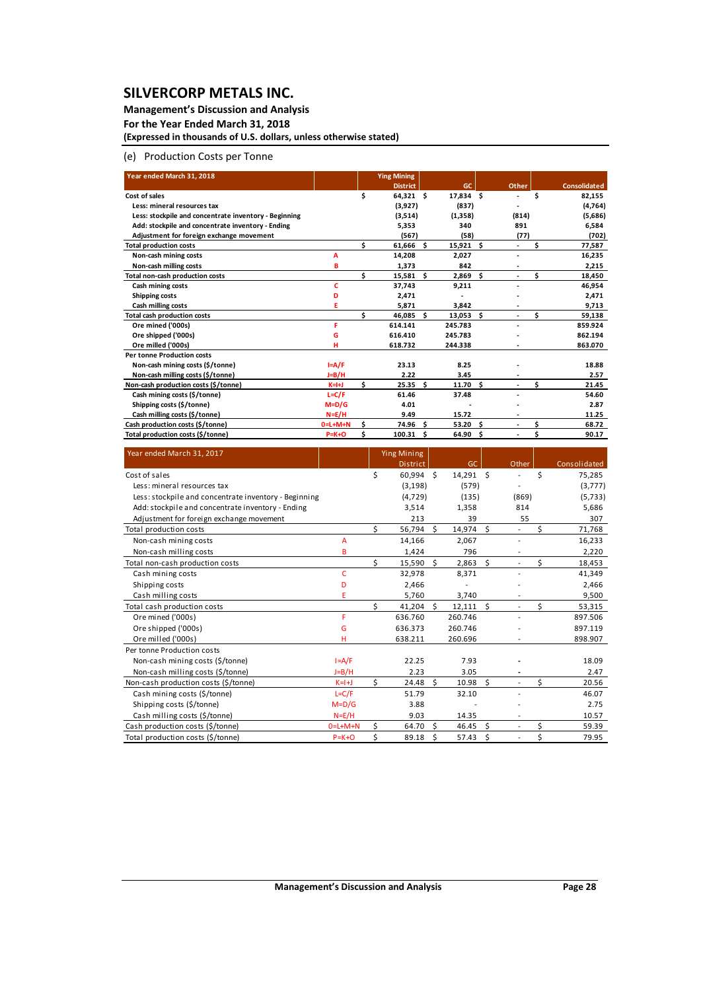### **Management's Discussion and Analysis**

**For the Year Ended March 31, 2018 (Expressed in thousands of U.S. dollars, unless otherwise stated)**

### (e) Production Costs per Tonne

| Year ended March 31, 2018                             |                 |     | <b>Ying Mining</b> |      |           |     |       |    |                     |
|-------------------------------------------------------|-----------------|-----|--------------------|------|-----------|-----|-------|----|---------------------|
|                                                       |                 |     | <b>District</b>    |      | <b>GC</b> |     | Other |    | <b>Consolidated</b> |
| Cost of sales                                         |                 | \$  | $64,321$ \$        |      | 17,834 \$ |     |       | Ś  | 82,155              |
| Less: mineral resources tax                           |                 |     | (3,927)            |      | (837)     |     |       |    | (4,764)             |
| Less: stockpile and concentrate inventory - Beginning |                 |     | (3,514)            |      | (1,358)   |     | (814) |    | (5,686)             |
| Add: stockpile and concentrate inventory - Ending     |                 |     | 5,353              |      | 340       |     | 891   |    | 6,584               |
| Adjustment for foreign exchange movement              |                 |     | (567)              |      | (58)      |     | (77)  |    | (702)               |
| <b>Total production costs</b>                         |                 | \$. | 61,666 \$          |      | 15,921    | \$. | ٠     |    | 77,587              |
| Non-cash mining costs                                 | A               |     | 14,208             |      | 2,027     |     |       |    | 16,235              |
| Non-cash milling costs                                | B               |     | 1,373              |      | 842       |     |       |    | 2,215               |
| Total non-cash production costs                       |                 | Ś.  | 15,581 \$          |      | 2,869     | Ś   |       | \$ | 18,450              |
| Cash mining costs                                     | c               |     | 37,743             |      | 9,211     |     |       |    | 46,954              |
| <b>Shipping costs</b>                                 | D               |     | 2,471              |      |           |     |       |    | 2,471               |
| <b>Cash milling costs</b>                             | Ε               |     | 5,871              |      | 3,842     |     |       |    | 9,713               |
| <b>Total cash production costs</b>                    |                 | ¢   | 46,085             | - Ś  | 13,053    | Ś   |       | \$ | 59,138              |
| Ore mined ('000s)                                     | F               |     | 614.141            |      | 245.783   |     |       |    | 859.924             |
| Ore shipped ('000s)                                   | G               |     | 616.410            |      | 245.783   |     |       |    | 862.194             |
| Ore milled ('000s)                                    |                 |     | 618.732            |      | 244.338   |     |       |    | 863.070             |
| <b>Per tonne Production costs</b>                     |                 |     |                    |      |           |     |       |    |                     |
| Non-cash mining costs (\$/tonne)                      | $I = A/F$       |     | 23.13              |      | 8.25      |     |       |    | 18.88               |
| Non-cash milling costs (\$/tonne)                     | J=B/H           |     | 2.22               |      | 3.45      |     |       |    | 2.57                |
| Non-cash production costs (\$/tonne)                  | $K=H+J$         | \$  | 25.35              | - Ś  | 11.70     | Ś.  |       | Ś  | 21.45               |
| Cash mining costs (\$/tonne)                          | $L = C/F$       |     | 61.46              |      | 37.48     |     |       |    | 54.60               |
| Shipping costs (\$/tonne)                             | $M=D/G$         |     | 4.01               |      |           |     |       |    | 2.87                |
| Cash milling costs (\$/tonne)                         | $N = E/H$       |     | 9.49               |      | 15.72     |     |       |    | 11.25               |
| Cash production costs (\$/tonne)                      | $0 = L + M + N$ | Ś   | 74.96              | - \$ | 53.20     | Ś   |       | \$ | 68.72               |
| Total production costs (\$/tonne)                     | $P=K+O$         | \$  | 100.31             | Ś.   | 64.90     | \$  | ٠     | \$ | 90.17               |

| Year ended March 31, 2017                             |                 |    | <b>Ying Mining</b> |    |           |    |                          |    |              |
|-------------------------------------------------------|-----------------|----|--------------------|----|-----------|----|--------------------------|----|--------------|
|                                                       |                 |    | <b>District</b>    |    | GC.       |    | Other                    |    | Consolidated |
| Cost of sales                                         |                 | \$ | 60.994 \$          |    | 14,291 \$ |    |                          | Ś  | 75,285       |
| Less: mineral resources tax                           |                 |    | (3, 198)           |    | (579)     |    |                          |    | (3,777)      |
| Less: stockpile and concentrate inventory - Beginning |                 |    | (4, 729)           |    | (135)     |    | (869)                    |    | (5,733)      |
| Add: stockpile and concentrate inventory - Ending     |                 |    | 3,514              |    | 1,358     |    | 814                      |    | 5,686        |
| Adjustment for foreign exchange movement              |                 |    | 213                |    | 39        |    | 55                       |    | 307          |
| Total production costs                                |                 | ς. | 56,794             | Ś. | 14,974    | \$ |                          | Ś  | 71,768       |
| Non-cash mining costs                                 | А               |    | 14,166             |    | 2,067     |    |                          |    | 16,233       |
| Non-cash milling costs                                | B               |    | 1,424              |    | 796       |    |                          |    | 2,220        |
| Total non-cash production costs                       |                 | \$ | 15,590             | Ŝ. | 2,863     | \$ |                          | \$ | 18,453       |
| Cash mining costs                                     | c               |    | 32,978             |    | 8,371     |    |                          |    | 41,349       |
| Shipping costs                                        | D               |    | 2,466              |    |           |    |                          |    | 2,466        |
| Cash milling costs                                    | E               |    | 5,760              |    | 3,740     |    |                          |    | 9,500        |
| Total cash production costs                           |                 | Ś  | 41,204             | Ŝ. | 12,111    | Ś  |                          | \$ | 53,315       |
| Ore mined ('000s)                                     | F               |    | 636.760            |    | 260.746   |    |                          |    | 897.506      |
| Ore shipped ('000s)                                   | G               |    | 636.373            |    | 260.746   |    |                          |    | 897.119      |
| Ore milled ('000s)                                    | н               |    | 638.211            |    | 260.696   |    |                          |    | 898.907      |
| Per tonne Production costs                            |                 |    |                    |    |           |    |                          |    |              |
| Non-cash mining costs (\$/tonne)                      | $I = A/F$       |    | 22.25              |    | 7.93      |    |                          |    | 18.09        |
| Non-cash milling costs (\$/tonne)                     | $J=B/H$         |    | 2.23               |    | 3.05      |    |                          |    | 2.47         |
| Non-cash production costs (\$/tonne)                  | $K=1+J$         | Ś. | 24.48              | Ś. | 10.98     | Ś. |                          | \$ | 20.56        |
| Cash mining costs (\$/tonne)                          | $L = C/F$       |    | 51.79              |    | 32.10     |    |                          |    | 46.07        |
| Shipping costs (\$/tonne)                             | $M=D/G$         |    | 3.88               |    |           |    |                          |    | 2.75         |
| Cash milling costs (\$/tonne)                         | $N=E/H$         |    | 9.03               |    | 14.35     |    |                          |    | 10.57        |
| Cash production costs (\$/tonne)                      | $0 = L + M + N$ | \$ | 64.70              | Ŝ. | 46.45     | \$ | $\overline{\phantom{a}}$ | \$ | 59.39        |
| Total production costs (\$/tonne)                     | $P=K+O$         | \$ | 89.18              | \$ | 57.43     | \$ |                          | \$ | 79.95        |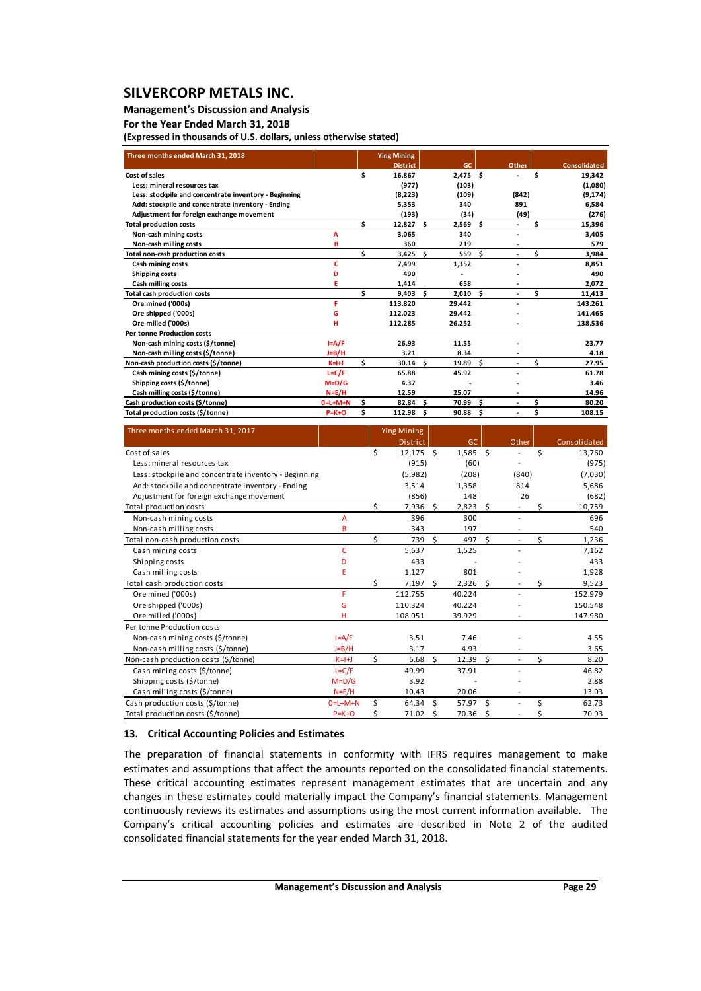### **Management's Discussion and Analysis**

### **For the Year Ended March 31, 2018**

**(Expressed in thousands of U.S. dollars, unless otherwise stated)**

| Three months ended March 31, 2018                     |                 |    | <b>Ying Mining</b> |     |            |     |       |    |                     |
|-------------------------------------------------------|-----------------|----|--------------------|-----|------------|-----|-------|----|---------------------|
|                                                       |                 |    | <b>District</b>    |     | GC         |     | Other |    | <b>Consolidated</b> |
| Cost of sales                                         |                 | Ś  | 16,867             |     | $2,475$ \$ |     |       | Ś  | 19,342              |
| Less: mineral resources tax                           |                 |    | (977)              |     | (103)      |     |       |    | (1,080)             |
| Less: stockpile and concentrate inventory - Beginning |                 |    | (8,223)            |     | (109)      |     | (842) |    | (9, 174)            |
| Add: stockpile and concentrate inventory - Ending     |                 |    | 5.353              |     | 340        |     | 891   |    | 6,584               |
| Adjustment for foreign exchange movement              |                 |    | (193)              |     | (34)       |     | (49)  |    | (276)               |
| <b>Total production costs</b>                         |                 | Ś  | $12,827$ \$        |     | 2,569      | \$  |       | Ś  | 15,396              |
| Non-cash mining costs                                 | A               |    | 3.065              |     | 340        |     |       |    | 3,405               |
| Non-cash milling costs                                | B               |    | 360                |     | 219        |     |       |    | 579                 |
| Total non-cash production costs                       |                 | Ś  | $3,425$ \$         |     | 559        | \$. | ÷.    | \$ | 3,984               |
| Cash mining costs                                     | c               |    | 7.499              |     | 1,352      |     |       |    | 8.851               |
| Shipping costs                                        | D               |    | 490                |     |            |     |       |    | 490                 |
| Cash milling costs                                    |                 |    | 1,414              |     | 658        |     |       |    | 2,072               |
| <b>Total cash production costs</b>                    |                 | Ś. | 9.403              | - Ś | 2,010      | Ś.  |       | Ś. | 11,413              |
| Ore mined ('000s)                                     | F               |    | 113.820            |     | 29.442     |     |       |    | 143.261             |
| Ore shipped ('000s)                                   | G               |    | 112.023            |     | 29.442     |     |       |    | 141.465             |
| Ore milled ('000s)                                    |                 |    | 112.285            |     | 26.252     |     |       |    | 138.536             |
| <b>Per tonne Production costs</b>                     |                 |    |                    |     |            |     |       |    |                     |
| Non-cash mining costs (\$/tonne)                      | $I = A/F$       |    | 26.93              |     | 11.55      |     |       |    | 23.77               |
| Non-cash milling costs (\$/tonne)                     | J=B/H           |    | 3.21               |     | 8.34       |     |       |    | 4.18                |
| Non-cash production costs (\$/tonne)                  | $K=H+J$         | Ś. | $30.14$ \$         |     | 19.89      | Ś.  |       | Ś. | 27.95               |
| Cash mining costs (\$/tonne)                          | $L = C/F$       |    | 65.88              |     | 45.92      |     |       |    | 61.78               |
| Shipping costs (\$/tonne)                             | $M=D/G$         |    | 4.37               |     |            |     |       |    | 3.46                |
| Cash milling costs (\$/tonne)                         | $N = E/H$       |    | 12.59              |     | 25.07      |     |       |    | 14.96               |
| Cash production costs (\$/tonne)                      | $0 = L + M + N$ | Ś  | 82.84              | - Ś | 70.99      | Ś.  |       | Ś  | 80.20               |
| Total production costs (\$/tonne)                     | $P=K+O$         | Ś  | 112.98             | - Ś | 90.88      | Ś   |       | Ś  | 108.15              |

| Three months ended March 31, 2017                     |                 |    | <b>Ying Mining</b> |    |        |      |       |    |              |
|-------------------------------------------------------|-----------------|----|--------------------|----|--------|------|-------|----|--------------|
|                                                       |                 |    | <b>District</b>    |    | GC     |      | Other |    | Consolidated |
| Cost of sales                                         |                 | \$ | $12,175$ \$        |    | 1,585  | - \$ |       | \$ | 13,760       |
| Less: mineral resources tax                           |                 |    | (915)              |    | (60)   |      |       |    | (975)        |
| Less: stockpile and concentrate inventory - Beginning |                 |    | (5,982)            |    | (208)  |      | (840) |    | (7,030)      |
| Add: stockpile and concentrate inventory - Ending     |                 |    | 3,514              |    | 1,358  |      | 814   |    | 5,686        |
| Adjustment for foreign exchange movement              |                 |    | (856)              |    | 148    |      | 26    |    | (682)        |
| Total production costs                                |                 | ς  | 7,936              | Ś  | 2,823  | Ś.   |       | Ś. | 10,759       |
| Non-cash mining costs                                 | А               |    | 396                |    | 300    |      |       |    | 696          |
| Non-cash milling costs                                | B               |    | 343                |    | 197    |      |       |    | 540          |
| Total non-cash production costs                       |                 | \$ | 739                | Ŝ. | 497    | Ŝ.   |       | \$ | 1,236        |
| Cash mining costs                                     | c               |    | 5,637              |    | 1,525  |      |       |    | 7,162        |
| Shipping costs                                        | D               |    | 433                |    |        |      |       |    | 433          |
| Cash milling costs                                    | E               |    | 1,127              |    | 801    |      |       |    | 1,928        |
| Total cash production costs                           |                 | Ś  | 7,197              | Ś. | 2,326  | Ś.   | ٠     | \$ | 9,523        |
| Ore mined ('000s)                                     | F               |    | 112.755            |    | 40.224 |      |       |    | 152.979      |
| Ore shipped ('000s)                                   | G               |    | 110.324            |    | 40.224 |      |       |    | 150.548      |
| Ore milled ('000s)                                    | н               |    | 108.051            |    | 39.929 |      |       |    | 147.980      |
| Per tonne Production costs                            |                 |    |                    |    |        |      |       |    |              |
| Non-cash mining costs (\$/tonne)                      | $I = A/F$       |    | 3.51               |    | 7.46   |      |       |    | 4.55         |
| Non-cash milling costs (\$/tonne)                     | $J=B/H$         |    | 3.17               |    | 4.93   |      |       |    | 3.65         |
| Non-cash production costs (\$/tonne)                  | $K=1+J$         | Ś. | 6.68               | Ś. | 12.39  | Ś.   |       | \$ | 8.20         |
| Cash mining costs (\$/tonne)                          | $L = C/F$       |    | 49.99              |    | 37.91  |      |       |    | 46.82        |
| Shipping costs (\$/tonne)                             | $M=D/G$         |    | 3.92               |    |        |      |       |    | 2.88         |
| Cash milling costs (\$/tonne)                         | $N=E/H$         |    | 10.43              |    | 20.06  |      |       |    | 13.03        |
| Cash production costs (\$/tonne)                      | $0 = L + M + N$ | Ś  | 64.34              | Ś. | 57.97  | Ś    |       | \$ | 62.73        |
| Total production costs (\$/tonne)                     | $P = K + O$     | Ś  | 71.02              | Ś  | 70.36  | \$   |       | \$ | 70.93        |

### **13. Critical Accounting Policies and Estimates**

The preparation of financial statements in conformity with IFRS requires management to make estimates and assumptions that affect the amounts reported on the consolidated financial statements. These critical accounting estimates represent management estimates that are uncertain and any changes in these estimates could materially impact the Company's financial statements. Management continuously reviews its estimates and assumptions using the most current information available. The Company's critical accounting policies and estimates are described in Note 2 of the audited consolidated financial statements for the year ended March 31, 2018.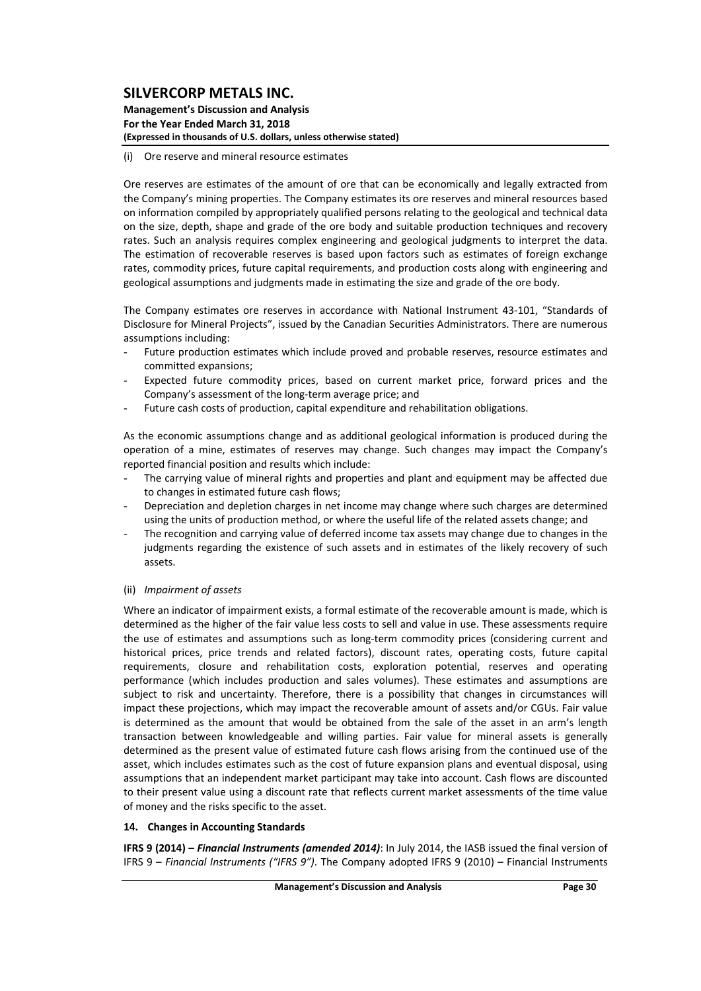#### **Management's Discussion and Analysis For the Year Ended March 31, 2018 (Expressed in thousands of U.S. dollars, unless otherwise stated)**

### (i) Ore reserve and mineral resource estimates

Ore reserves are estimates of the amount of ore that can be economically and legally extracted from the Company's mining properties. The Company estimates its ore reserves and mineral resources based on information compiled by appropriately qualified persons relating to the geological and technical data on the size, depth, shape and grade of the ore body and suitable production techniques and recovery rates. Such an analysis requires complex engineering and geological judgments to interpret the data. The estimation of recoverable reserves is based upon factors such as estimates of foreign exchange rates, commodity prices, future capital requirements, and production costs along with engineering and geological assumptions and judgments made in estimating the size and grade of the ore body.

The Company estimates ore reserves in accordance with National Instrument 43‐101, "Standards of Disclosure for Mineral Projects", issued by the Canadian Securities Administrators. There are numerous assumptions including:

- Future production estimates which include proved and probable reserves, resource estimates and committed expansions;
- Expected future commodity prices, based on current market price, forward prices and the Company's assessment of the long‐term average price; and
- Future cash costs of production, capital expenditure and rehabilitation obligations.

As the economic assumptions change and as additional geological information is produced during the operation of a mine, estimates of reserves may change. Such changes may impact the Company's reported financial position and results which include:

- The carrying value of mineral rights and properties and plant and equipment may be affected due to changes in estimated future cash flows;
- Depreciation and depletion charges in net income may change where such charges are determined using the units of production method, or where the useful life of the related assets change; and
- The recognition and carrying value of deferred income tax assets may change due to changes in the judgments regarding the existence of such assets and in estimates of the likely recovery of such assets.

### (ii) *Impairment of assets*

Where an indicator of impairment exists, a formal estimate of the recoverable amount is made, which is determined as the higher of the fair value less costs to sell and value in use. These assessments require the use of estimates and assumptions such as long-term commodity prices (considering current and historical prices, price trends and related factors), discount rates, operating costs, future capital requirements, closure and rehabilitation costs, exploration potential, reserves and operating performance (which includes production and sales volumes). These estimates and assumptions are subject to risk and uncertainty. Therefore, there is a possibility that changes in circumstances will impact these projections, which may impact the recoverable amount of assets and/or CGUs. Fair value is determined as the amount that would be obtained from the sale of the asset in an arm's length transaction between knowledgeable and willing parties. Fair value for mineral assets is generally determined as the present value of estimated future cash flows arising from the continued use of the asset, which includes estimates such as the cost of future expansion plans and eventual disposal, using assumptions that an independent market participant may take into account. Cash flows are discounted to their present value using a discount rate that reflects current market assessments of the time value of money and the risks specific to the asset.

### **14. Changes in Accounting Standards**

**IFRS 9 (2014) –** *Financial Instruments (amended 2014)*: In July 2014, the IASB issued the final version of IFRS 9 – *Financial Instruments ("IFRS 9")*. The Company adopted IFRS 9 (2010) – Financial Instruments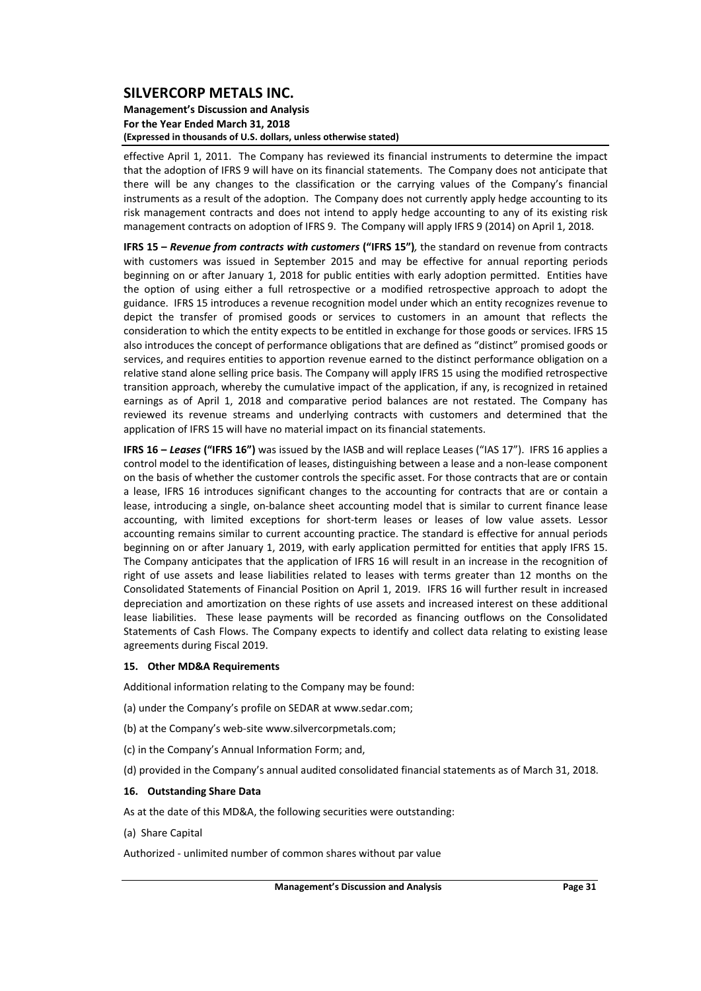#### **Management's Discussion and Analysis For the Year Ended March 31, 2018 (Expressed in thousands of U.S. dollars, unless otherwise stated)**

effective April 1, 2011. The Company has reviewed its financial instruments to determine the impact that the adoption of IFRS 9 will have on its financial statements. The Company does not anticipate that there will be any changes to the classification or the carrying values of the Company's financial instruments as a result of the adoption. The Company does not currently apply hedge accounting to its risk management contracts and does not intend to apply hedge accounting to any of its existing risk management contracts on adoption of IFRS 9. The Company will apply IFRS 9 (2014) on April 1, 2018.

**IFRS 15 –** *Revenue from contracts with customers* **("IFRS 15")***,* the standard on revenue from contracts with customers was issued in September 2015 and may be effective for annual reporting periods beginning on or after January 1, 2018 for public entities with early adoption permitted. Entities have the option of using either a full retrospective or a modified retrospective approach to adopt the guidance. IFRS 15 introduces a revenue recognition model under which an entity recognizes revenue to depict the transfer of promised goods or services to customers in an amount that reflects the consideration to which the entity expects to be entitled in exchange for those goods or services. IFRS 15 also introduces the concept of performance obligations that are defined as "distinct" promised goods or services, and requires entities to apportion revenue earned to the distinct performance obligation on a relative stand alone selling price basis. The Company will apply IFRS 15 using the modified retrospective transition approach, whereby the cumulative impact of the application, if any, is recognized in retained earnings as of April 1, 2018 and comparative period balances are not restated. The Company has reviewed its revenue streams and underlying contracts with customers and determined that the application of IFRS 15 will have no material impact on its financial statements.

**IFRS 16 –** *Leases* **("IFRS 16")** was issued by the IASB and will replace Leases ("IAS 17"). IFRS 16 applies a control model to the identification of leases, distinguishing between a lease and a non‐lease component on the basis of whether the customer controls the specific asset. For those contracts that are or contain a lease, IFRS 16 introduces significant changes to the accounting for contracts that are or contain a lease, introducing a single, on‐balance sheet accounting model that is similar to current finance lease accounting, with limited exceptions for short-term leases or leases of low value assets. Lessor accounting remains similar to current accounting practice. The standard is effective for annual periods beginning on or after January 1, 2019, with early application permitted for entities that apply IFRS 15. The Company anticipates that the application of IFRS 16 will result in an increase in the recognition of right of use assets and lease liabilities related to leases with terms greater than 12 months on the Consolidated Statements of Financial Position on April 1, 2019. IFRS 16 will further result in increased depreciation and amortization on these rights of use assets and increased interest on these additional lease liabilities. These lease payments will be recorded as financing outflows on the Consolidated Statements of Cash Flows. The Company expects to identify and collect data relating to existing lease agreements during Fiscal 2019.

### **15. Other MD&A Requirements**

Additional information relating to the Company may be found:

- (a) under the Company's profile on SEDAR at www.sedar.com;
- (b) at the Company's web‐site www.silvercorpmetals.com;
- (c) in the Company's Annual Information Form; and,
- (d) provided in the Company's annual audited consolidated financial statements as of March 31, 2018.

#### **16. Outstanding Share Data**

As at the date of this MD&A, the following securities were outstanding:

(a) Share Capital

Authorized ‐ unlimited number of common shares without par value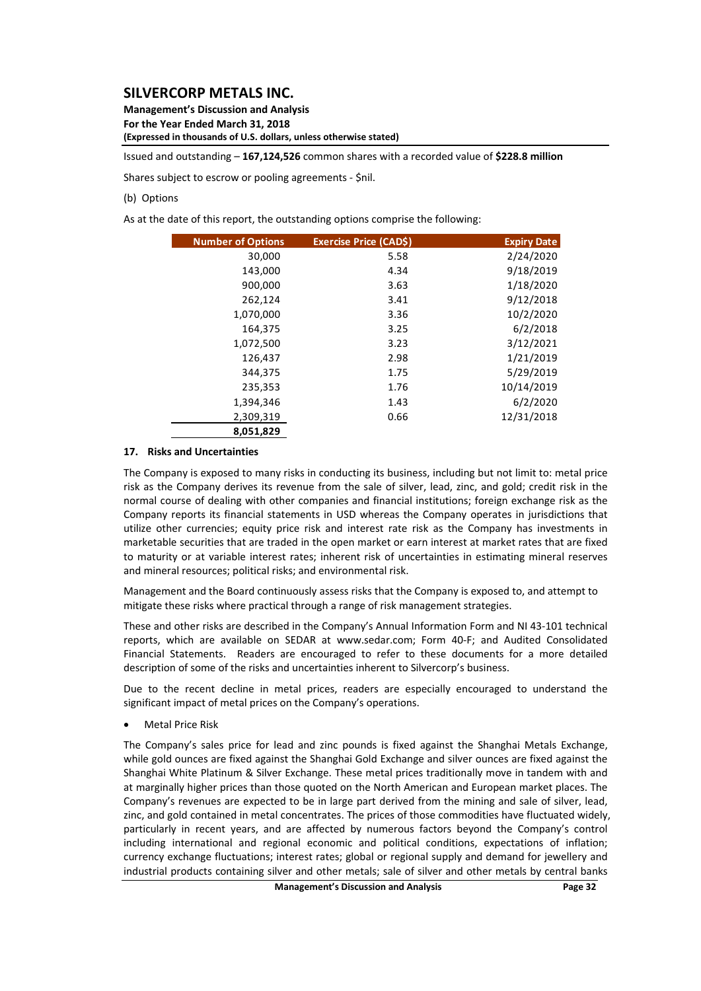**Management's Discussion and Analysis For the Year Ended March 31, 2018 (Expressed in thousands of U.S. dollars, unless otherwise stated)**

Issued and outstanding – **167,124,526** common shares with a recorded value of **\$228.8 million**

Shares subject to escrow or pooling agreements ‐ \$nil.

### (b) Options

As at the date of this report, the outstanding options comprise the following:

| <b>Number of Options</b> | <b>Exercise Price (CADS)</b> | <b>Expiry Date</b> |
|--------------------------|------------------------------|--------------------|
| 30,000                   | 5.58                         | 2/24/2020          |
| 143,000                  | 4.34                         | 9/18/2019          |
| 900,000                  | 3.63                         | 1/18/2020          |
| 262,124                  | 3.41                         | 9/12/2018          |
| 1,070,000                | 3.36                         | 10/2/2020          |
| 164,375                  | 3.25                         | 6/2/2018           |
| 1,072,500                | 3.23                         | 3/12/2021          |
| 126,437                  | 2.98                         | 1/21/2019          |
| 344,375                  | 1.75                         | 5/29/2019          |
| 235,353                  | 1.76                         | 10/14/2019         |
| 1,394,346                | 1.43                         | 6/2/2020           |
| 2,309,319                | 0.66                         | 12/31/2018         |
| 8,051,829                |                              |                    |

#### **17. Risks and Uncertainties**

The Company is exposed to many risks in conducting its business, including but not limit to: metal price risk as the Company derives its revenue from the sale of silver, lead, zinc, and gold; credit risk in the normal course of dealing with other companies and financial institutions; foreign exchange risk as the Company reports its financial statements in USD whereas the Company operates in jurisdictions that utilize other currencies; equity price risk and interest rate risk as the Company has investments in marketable securities that are traded in the open market or earn interest at market rates that are fixed to maturity or at variable interest rates; inherent risk of uncertainties in estimating mineral reserves and mineral resources; political risks; and environmental risk.

Management and the Board continuously assess risks that the Company is exposed to, and attempt to mitigate these risks where practical through a range of risk management strategies.

These and other risks are described in the Company's Annual Information Form and NI 43‐101 technical reports, which are available on SEDAR at www.sedar.com; Form 40‐F; and Audited Consolidated Financial Statements. Readers are encouraged to refer to these documents for a more detailed description of some of the risks and uncertainties inherent to Silvercorp's business.

Due to the recent decline in metal prices, readers are especially encouraged to understand the significant impact of metal prices on the Company's operations.

Metal Price Risk

The Company's sales price for lead and zinc pounds is fixed against the Shanghai Metals Exchange, while gold ounces are fixed against the Shanghai Gold Exchange and silver ounces are fixed against the Shanghai White Platinum & Silver Exchange. These metal prices traditionally move in tandem with and at marginally higher prices than those quoted on the North American and European market places. The Company's revenues are expected to be in large part derived from the mining and sale of silver, lead, zinc, and gold contained in metal concentrates. The prices of those commodities have fluctuated widely, particularly in recent years, and are affected by numerous factors beyond the Company's control including international and regional economic and political conditions, expectations of inflation; currency exchange fluctuations; interest rates; global or regional supply and demand for jewellery and industrial products containing silver and other metals; sale of silver and other metals by central banks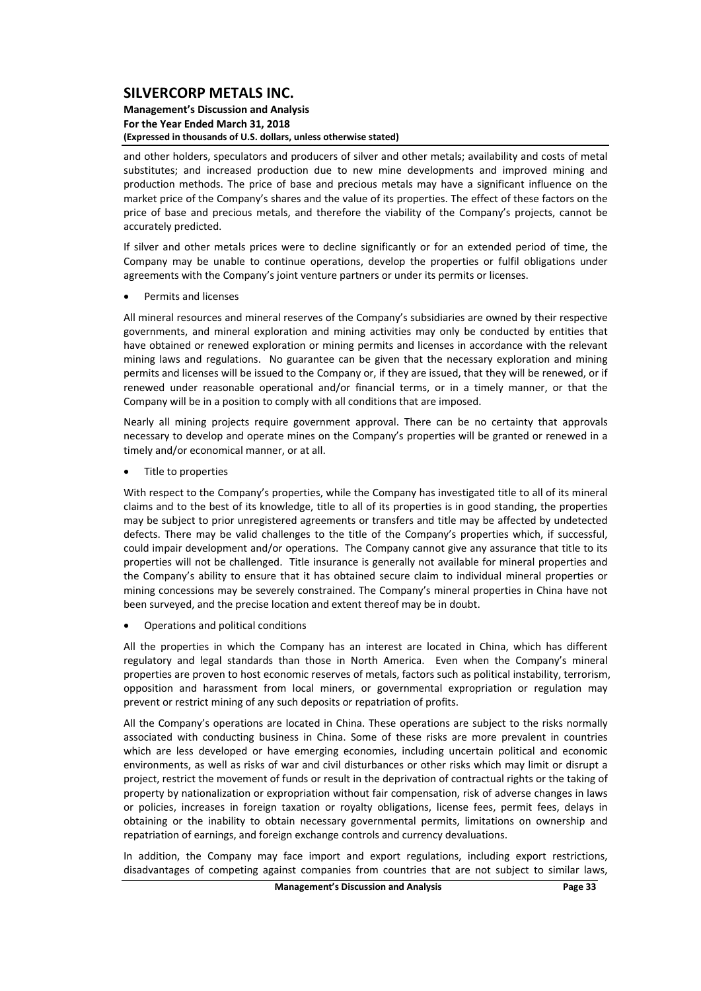#### **Management's Discussion and Analysis For the Year Ended March 31, 2018 (Expressed in thousands of U.S. dollars, unless otherwise stated)**

and other holders, speculators and producers of silver and other metals; availability and costs of metal substitutes; and increased production due to new mine developments and improved mining and production methods. The price of base and precious metals may have a significant influence on the market price of the Company's shares and the value of its properties. The effect of these factors on the price of base and precious metals, and therefore the viability of the Company's projects, cannot be accurately predicted.

If silver and other metals prices were to decline significantly or for an extended period of time, the Company may be unable to continue operations, develop the properties or fulfil obligations under agreements with the Company's joint venture partners or under its permits or licenses.

Permits and licenses

All mineral resources and mineral reserves of the Company's subsidiaries are owned by their respective governments, and mineral exploration and mining activities may only be conducted by entities that have obtained or renewed exploration or mining permits and licenses in accordance with the relevant mining laws and regulations. No guarantee can be given that the necessary exploration and mining permits and licenses will be issued to the Company or, if they are issued, that they will be renewed, or if renewed under reasonable operational and/or financial terms, or in a timely manner, or that the Company will be in a position to comply with all conditions that are imposed.

Nearly all mining projects require government approval. There can be no certainty that approvals necessary to develop and operate mines on the Company's properties will be granted or renewed in a timely and/or economical manner, or at all.

Title to properties

With respect to the Company's properties, while the Company has investigated title to all of its mineral claims and to the best of its knowledge, title to all of its properties is in good standing, the properties may be subject to prior unregistered agreements or transfers and title may be affected by undetected defects. There may be valid challenges to the title of the Company's properties which, if successful, could impair development and/or operations. The Company cannot give any assurance that title to its properties will not be challenged. Title insurance is generally not available for mineral properties and the Company's ability to ensure that it has obtained secure claim to individual mineral properties or mining concessions may be severely constrained. The Company's mineral properties in China have not been surveyed, and the precise location and extent thereof may be in doubt.

Operations and political conditions

All the properties in which the Company has an interest are located in China, which has different regulatory and legal standards than those in North America. Even when the Company's mineral properties are proven to host economic reserves of metals, factors such as political instability, terrorism, opposition and harassment from local miners, or governmental expropriation or regulation may prevent or restrict mining of any such deposits or repatriation of profits.

All the Company's operations are located in China. These operations are subject to the risks normally associated with conducting business in China. Some of these risks are more prevalent in countries which are less developed or have emerging economies, including uncertain political and economic environments, as well as risks of war and civil disturbances or other risks which may limit or disrupt a project, restrict the movement of funds or result in the deprivation of contractual rights or the taking of property by nationalization or expropriation without fair compensation, risk of adverse changes in laws or policies, increases in foreign taxation or royalty obligations, license fees, permit fees, delays in obtaining or the inability to obtain necessary governmental permits, limitations on ownership and repatriation of earnings, and foreign exchange controls and currency devaluations.

In addition, the Company may face import and export regulations, including export restrictions, disadvantages of competing against companies from countries that are not subject to similar laws,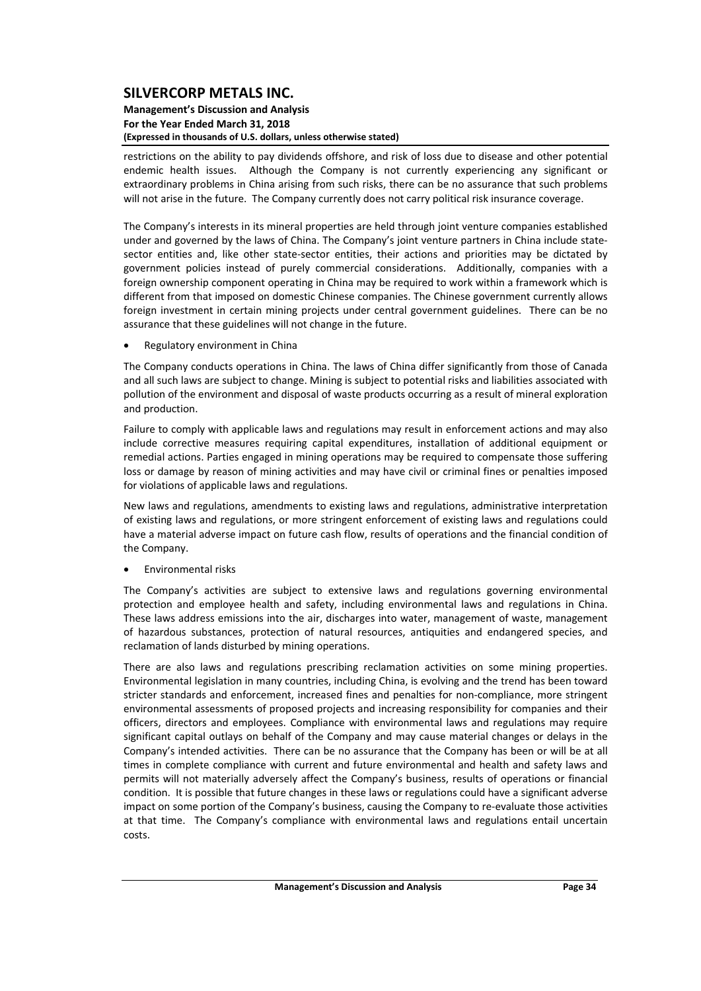#### **Management's Discussion and Analysis For the Year Ended March 31, 2018 (Expressed in thousands of U.S. dollars, unless otherwise stated)**

restrictions on the ability to pay dividends offshore, and risk of loss due to disease and other potential endemic health issues. Although the Company is not currently experiencing any significant or extraordinary problems in China arising from such risks, there can be no assurance that such problems will not arise in the future. The Company currently does not carry political risk insurance coverage.

The Company's interests in its mineral properties are held through joint venture companies established under and governed by the laws of China. The Company's joint venture partners in China include statesector entities and, like other state‐sector entities, their actions and priorities may be dictated by government policies instead of purely commercial considerations. Additionally, companies with a foreign ownership component operating in China may be required to work within a framework which is different from that imposed on domestic Chinese companies. The Chinese government currently allows foreign investment in certain mining projects under central government guidelines. There can be no assurance that these guidelines will not change in the future.

• Regulatory environment in China

The Company conducts operations in China. The laws of China differ significantly from those of Canada and all such laws are subject to change. Mining is subject to potential risks and liabilities associated with pollution of the environment and disposal of waste products occurring as a result of mineral exploration and production.

Failure to comply with applicable laws and regulations may result in enforcement actions and may also include corrective measures requiring capital expenditures, installation of additional equipment or remedial actions. Parties engaged in mining operations may be required to compensate those suffering loss or damage by reason of mining activities and may have civil or criminal fines or penalties imposed for violations of applicable laws and regulations.

New laws and regulations, amendments to existing laws and regulations, administrative interpretation of existing laws and regulations, or more stringent enforcement of existing laws and regulations could have a material adverse impact on future cash flow, results of operations and the financial condition of the Company.

## Environmental risks

The Company's activities are subject to extensive laws and regulations governing environmental protection and employee health and safety, including environmental laws and regulations in China. These laws address emissions into the air, discharges into water, management of waste, management of hazardous substances, protection of natural resources, antiquities and endangered species, and reclamation of lands disturbed by mining operations.

There are also laws and regulations prescribing reclamation activities on some mining properties. Environmental legislation in many countries, including China, is evolving and the trend has been toward stricter standards and enforcement, increased fines and penalties for non-compliance, more stringent environmental assessments of proposed projects and increasing responsibility for companies and their officers, directors and employees. Compliance with environmental laws and regulations may require significant capital outlays on behalf of the Company and may cause material changes or delays in the Company's intended activities. There can be no assurance that the Company has been or will be at all times in complete compliance with current and future environmental and health and safety laws and permits will not materially adversely affect the Company's business, results of operations or financial condition. It is possible that future changes in these laws or regulations could have a significant adverse impact on some portion of the Company's business, causing the Company to re-evaluate those activities at that time. The Company's compliance with environmental laws and regulations entail uncertain costs.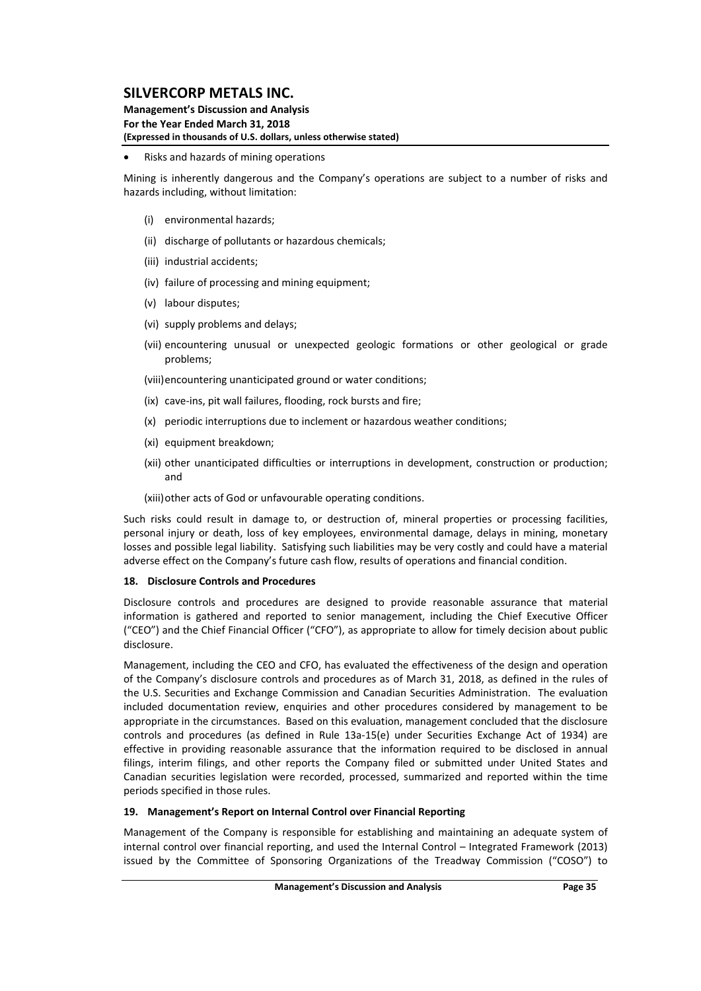### **Management's Discussion and Analysis For the Year Ended March 31, 2018 (Expressed in thousands of U.S. dollars, unless otherwise stated)**

### Risks and hazards of mining operations

Mining is inherently dangerous and the Company's operations are subject to a number of risks and hazards including, without limitation:

- (i) environmental hazards;
- (ii) discharge of pollutants or hazardous chemicals;
- (iii) industrial accidents;
- (iv) failure of processing and mining equipment;
- (v) labour disputes;
- (vi) supply problems and delays;
- (vii) encountering unusual or unexpected geologic formations or other geological or grade problems;

(viii)encountering unanticipated ground or water conditions;

- (ix) cave‐ins, pit wall failures, flooding, rock bursts and fire;
- (x) periodic interruptions due to inclement or hazardous weather conditions;
- (xi) equipment breakdown;
- (xii) other unanticipated difficulties or interruptions in development, construction or production; and

(xiii)other acts of God or unfavourable operating conditions.

Such risks could result in damage to, or destruction of, mineral properties or processing facilities, personal injury or death, loss of key employees, environmental damage, delays in mining, monetary losses and possible legal liability. Satisfying such liabilities may be very costly and could have a material adverse effect on the Company's future cash flow, results of operations and financial condition.

### **18. Disclosure Controls and Procedures**

Disclosure controls and procedures are designed to provide reasonable assurance that material information is gathered and reported to senior management, including the Chief Executive Officer ("CEO") and the Chief Financial Officer ("CFO"), as appropriate to allow for timely decision about public disclosure.

Management, including the CEO and CFO, has evaluated the effectiveness of the design and operation of the Company's disclosure controls and procedures as of March 31, 2018, as defined in the rules of the U.S. Securities and Exchange Commission and Canadian Securities Administration. The evaluation included documentation review, enquiries and other procedures considered by management to be appropriate in the circumstances. Based on this evaluation, management concluded that the disclosure controls and procedures (as defined in Rule 13a‐15(e) under Securities Exchange Act of 1934) are effective in providing reasonable assurance that the information required to be disclosed in annual filings, interim filings, and other reports the Company filed or submitted under United States and Canadian securities legislation were recorded, processed, summarized and reported within the time periods specified in those rules.

### **19. Management's Report on Internal Control over Financial Reporting**

Management of the Company is responsible for establishing and maintaining an adequate system of internal control over financial reporting, and used the Internal Control – Integrated Framework (2013) issued by the Committee of Sponsoring Organizations of the Treadway Commission ("COSO") to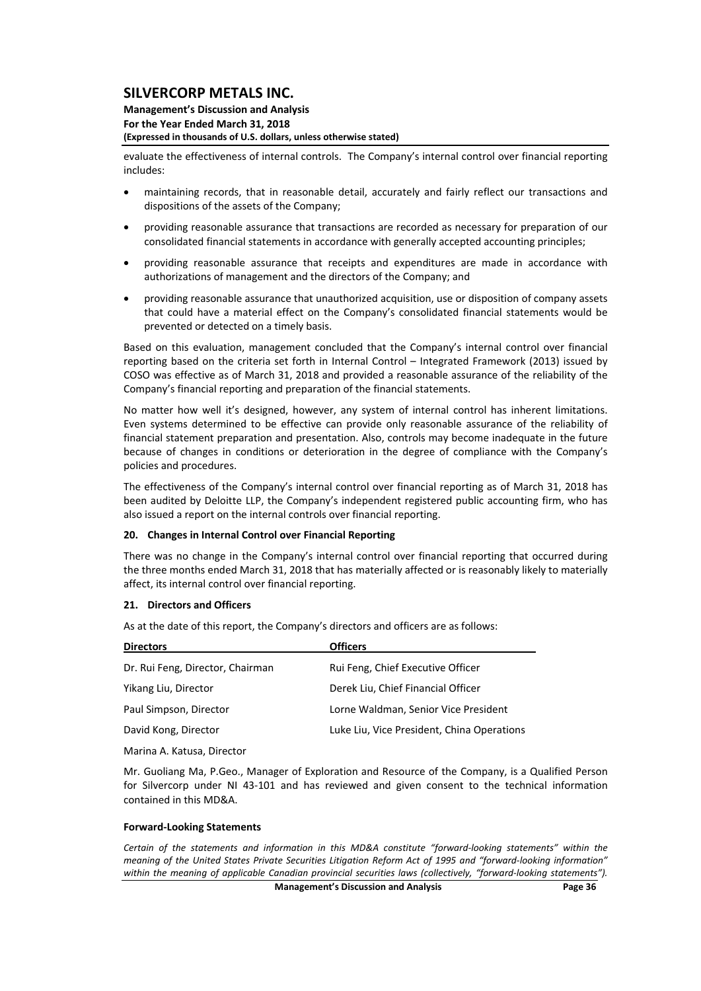#### **Management's Discussion and Analysis For the Year Ended March 31, 2018 (Expressed in thousands of U.S. dollars, unless otherwise stated)**

evaluate the effectiveness of internal controls. The Company's internal control over financial reporting includes:

- maintaining records, that in reasonable detail, accurately and fairly reflect our transactions and dispositions of the assets of the Company;
- providing reasonable assurance that transactions are recorded as necessary for preparation of our consolidated financial statements in accordance with generally accepted accounting principles;
- providing reasonable assurance that receipts and expenditures are made in accordance with authorizations of management and the directors of the Company; and
- providing reasonable assurance that unauthorized acquisition, use or disposition of company assets that could have a material effect on the Company's consolidated financial statements would be prevented or detected on a timely basis.

Based on this evaluation, management concluded that the Company's internal control over financial reporting based on the criteria set forth in Internal Control – Integrated Framework (2013) issued by COSO was effective as of March 31, 2018 and provided a reasonable assurance of the reliability of the Company's financial reporting and preparation of the financial statements.

No matter how well it's designed, however, any system of internal control has inherent limitations. Even systems determined to be effective can provide only reasonable assurance of the reliability of financial statement preparation and presentation. Also, controls may become inadequate in the future because of changes in conditions or deterioration in the degree of compliance with the Company's policies and procedures.

The effectiveness of the Company's internal control over financial reporting as of March 31, 2018 has been audited by Deloitte LLP, the Company's independent registered public accounting firm, who has also issued a report on the internal controls over financial reporting.

#### **20. Changes in Internal Control over Financial Reporting**

There was no change in the Company's internal control over financial reporting that occurred during the three months ended March 31, 2018 that has materially affected or is reasonably likely to materially affect, its internal control over financial reporting.

#### **21. Directors and Officers**

As at the date of this report, the Company's directors and officers are as follows:

| <b>Directors</b>                 | <b>Officers</b>                            |
|----------------------------------|--------------------------------------------|
| Dr. Rui Feng, Director, Chairman | Rui Feng, Chief Executive Officer          |
| Yikang Liu, Director             | Derek Liu, Chief Financial Officer         |
| Paul Simpson, Director           | Lorne Waldman, Senior Vice President       |
| David Kong, Director             | Luke Liu, Vice President, China Operations |
| Marina A Katuca Diroctor         |                                            |

Marina A. Katusa, Director

Mr. Guoliang Ma, P.Geo., Manager of Exploration and Resource of the Company, is a Qualified Person for Silvercorp under NI 43‐101 and has reviewed and given consent to the technical information contained in this MD&A.

#### **Forward‐Looking Statements**

*Certain of the statements and information in this MD&A constitute "forward‐looking statements" within the* meaning of the United States Private Securities Litigation Reform Act of 1995 and "forward-looking information" *within the meaning of applicable Canadian provincial securities laws (collectively, "forward‐looking statements").*